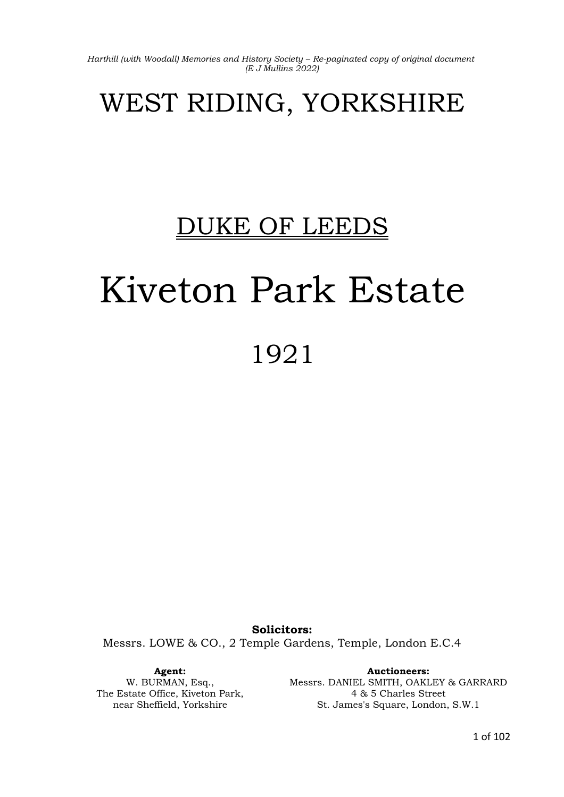# WEST RIDING, YORKSHIRE

# DUKE OF LEEDS

# Kiveton Park Estate 1921

**Solicitors:** Messrs. LOWE & CO., 2 Temple Gardens, Temple, London E.C.4

**Agent:** W. BURMAN, Esq., The Estate Office, Kiveton Park, near Sheffield, Yorkshire

**Auctioneers:** Messrs. DANIEL SMITH, OAKLEY & GARRARD 4 & 5 Charles Street St. James's Square, London, S.W.1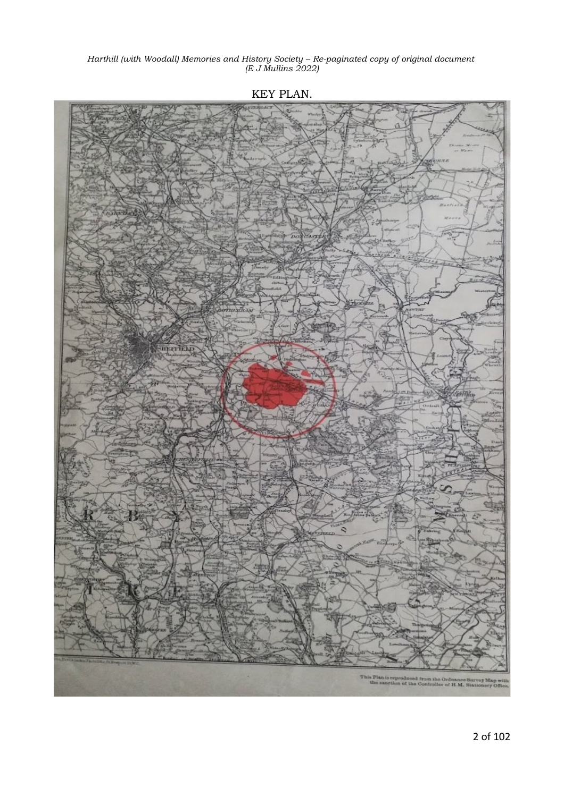**THEFTEND** 

KEY PLAN.

This Plan is reproduced from the Ordnance Survey Ma the sanction of the Controller of H.M. Stationery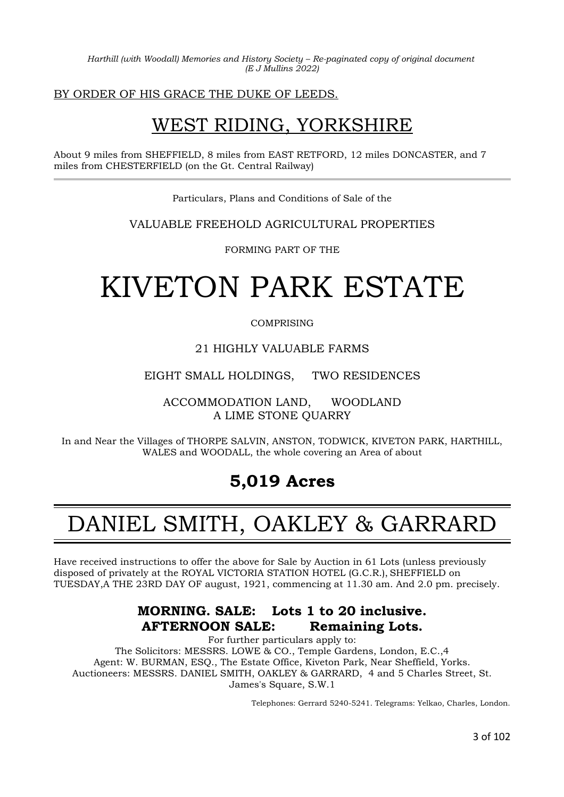BY ORDER OF HIS GRACE THE DUKE OF LEEDS.

# WEST RIDING, YORKSHIRE

About 9 miles from SHEFFIELD, 8 miles from EAST RETFORD, 12 miles DONCASTER, and 7 miles from CHESTERFIELD (on the Gt. Central Railway)

Particulars, Plans and Conditions of Sale of the

VALUABLE FREEHOLD AGRICULTURAL PROPERTIES

FORMING PART OF THE

# KIVETON PARK ESTATE

COMPRISING

### 21 HIGHLY VALUABLE FARMS

EIGHT SMALL HOLDINGS, TWO RESIDENCES

ACCOMMODATION LAND, WOODLAND A LIME STONE QUARRY

In and Near the Villages of THORPE SALVIN, ANSTON, TODWICK, KIVETON PARK, HARTHILL, WALES and WOODALL, the whole covering an Area of about

### **5,019 Acres**

# DANIEL SMITH, OAKLEY & GARRARD

Have received instructions to offer the above for Sale by Auction in 61 Lots (unless previously disposed of privately at the ROYAL VICTORIA STATION HOTEL (G.C.R.), SHEFFIELD on TUESDAY,A THE 23RD DAY OF august, 1921, commencing at 11.30 am. And 2.0 pm. precisely.

### **MORNING. SALE: Lots 1 to 20 inclusive. AFTERNOON SALE: Remaining Lots.**

For further particulars apply to: The Solicitors: MESSRS. LOWE & CO., Temple Gardens, London, E.C.,4 Agent: W. BURMAN, ESQ., The Estate Office, Kiveton Park, Near Sheffield, Yorks. Auctioneers: MESSRS. DANIEL SMITH, OAKLEY & GARRARD, 4 and 5 Charles Street, St. James's Square, S.W.1

Telephones: Gerrard 5240-5241. Telegrams: Yelkao, Charles, London.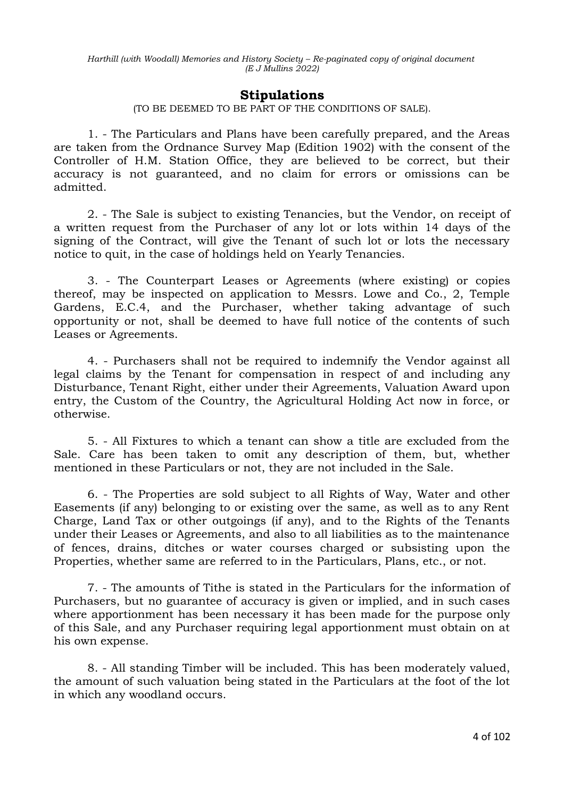### **Stipulations**

(TO BE DEEMED TO BE PART OF THE CONDITIONS OF SALE).

1. - The Particulars and Plans have been carefully prepared, and the Areas are taken from the Ordnance Survey Map (Edition 1902) with the consent of the Controller of H.M. Station Office, they are believed to be correct, but their accuracy is not guaranteed, and no claim for errors or omissions can be admitted.

2. - The Sale is subject to existing Tenancies, but the Vendor, on receipt of a written request from the Purchaser of any lot or lots within 14 days of the signing of the Contract, will give the Tenant of such lot or lots the necessary notice to quit, in the case of holdings held on Yearly Tenancies.

3. - The Counterpart Leases or Agreements (where existing) or copies thereof, may be inspected on application to Messrs. Lowe and Co., 2, Temple Gardens, E.C.4, and the Purchaser, whether taking advantage of such opportunity or not, shall be deemed to have full notice of the contents of such Leases or Agreements.

4. - Purchasers shall not be required to indemnify the Vendor against all legal claims by the Tenant for compensation in respect of and including any Disturbance, Tenant Right, either under their Agreements, Valuation Award upon entry, the Custom of the Country, the Agricultural Holding Act now in force, or otherwise.

5. - All Fixtures to which a tenant can show a title are excluded from the Sale. Care has been taken to omit any description of them, but, whether mentioned in these Particulars or not, they are not included in the Sale.

6. - The Properties are sold subject to all Rights of Way, Water and other Easements (if any) belonging to or existing over the same, as well as to any Rent Charge, Land Tax or other outgoings (if any), and to the Rights of the Tenants under their Leases or Agreements, and also to all liabilities as to the maintenance of fences, drains, ditches or water courses charged or subsisting upon the Properties, whether same are referred to in the Particulars, Plans, etc., or not.

7. - The amounts of Tithe is stated in the Particulars for the information of Purchasers, but no guarantee of accuracy is given or implied, and in such cases where apportionment has been necessary it has been made for the purpose only of this Sale, and any Purchaser requiring legal apportionment must obtain on at his own expense.

8. - All standing Timber will be included. This has been moderately valued, the amount of such valuation being stated in the Particulars at the foot of the lot in which any woodland occurs.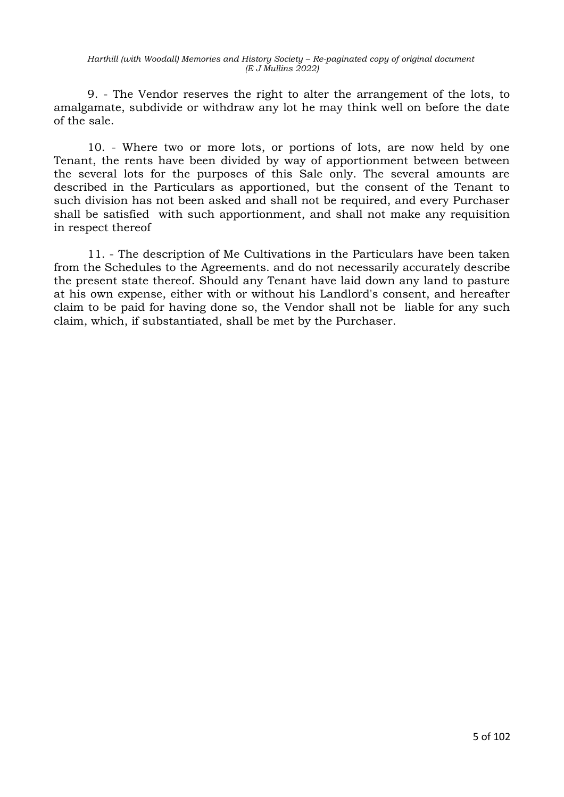9. - The Vendor reserves the right to alter the arrangement of the lots, to amalgamate, subdivide or withdraw any lot he may think well on before the date of the sale.

10. - Where two or more lots, or portions of lots, are now held by one Tenant, the rents have been divided by way of apportionment between between the several lots for the purposes of this Sale only. The several amounts are described in the Particulars as apportioned, but the consent of the Tenant to such division has not been asked and shall not be required, and every Purchaser shall be satisfied with such apportionment, and shall not make any requisition in respect thereof

11. - The description of Me Cultivations in the Particulars have been taken from the Schedules to the Agreements. and do not necessarily accurately describe the present state thereof. Should any Tenant have laid down any land to pasture at his own expense, either with or without his Landlord's consent, and hereafter claim to be paid for having done so, the Vendor shall not be liable for any such claim, which, if substantiated, shall be met by the Purchaser.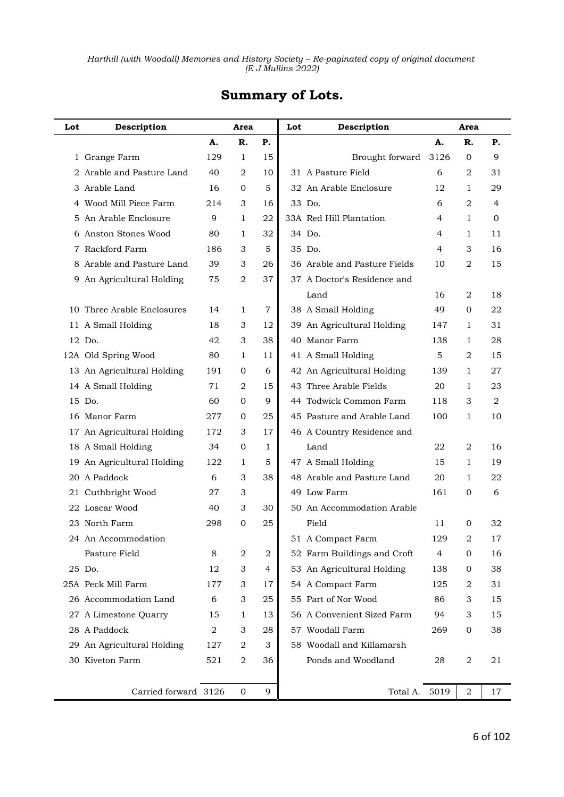| Lot | Description                |                | Area           |              | Lot | Description                  |      | Area           |                  |
|-----|----------------------------|----------------|----------------|--------------|-----|------------------------------|------|----------------|------------------|
|     |                            | А.             | R.             | Р.           |     |                              | A.   | R.             | Р.               |
|     | 1 Grange Farm              | 129            | 1              | 15           |     | Brought forward              | 3126 | $\overline{0}$ | 9                |
|     | 2 Arable and Pasture Land  | 40             | 2              | 10           |     | 31 A Pasture Field           | 6    | 2              | 31               |
|     | 3 Arable Land              | 16             | 0              | 5            |     | 32. An Arable Enclosure      | 12   | 1              | 29               |
| 4   | Wood Mill Piece Farm       | 214            | 3              | 16           |     | 33 Do.                       | 6    | 2              | 4                |
| 5   | An Arable Enclosure        | 9              | 1              | 22           |     | 33A Red Hill Plantation      | 4    | 1              | 0                |
|     | 6 Anston Stones Wood       | 80             | 1              | 32           |     | 34 Do.                       | 4    | 1              | 11               |
| 7   | Rackford Farm              | 186            | 3              | 5            |     | 35 Do.                       | 4    | 3              | 16               |
| 8   | Arable and Pasture Land    | 39             | 3              | 26           |     | 36 Arable and Pasture Fields | 10   | 2              | 15               |
|     | 9 An Agricultural Holding  | 75             | 2              | 37           |     | 37 A Doctor's Residence and  |      |                |                  |
|     |                            |                |                |              |     | Land                         | 16   | 2              | 18               |
|     | 10 Three Arable Enclosures | 14             | 1              | 7            |     | 38 A Small Holding           | 49   | $\overline{0}$ | 22               |
|     | 11 A Small Holding         | 18             | 3              | 12           |     | 39 An Agricultural Holding   | 147  | 1              | 31               |
|     | 12 Do.                     | 42             | 3              | 38           |     | 40 Manor Farm                | 138  | 1              | 28               |
|     | 12A Old Spring Wood        | 80             | 1              | 11           |     | 41 A Small Holding           | 5    | 2              | 15               |
|     | 13 An Agricultural Holding | 191            | 0              | 6            |     | 42 An Agricultural Holding   | 139  | 1              | 27               |
|     | 14 A Small Holding         | 71             | 2              | 15           |     | 43 Three Arable Fields       | 20   | 1              | 23               |
|     | 15 Do.                     | 60             | $\overline{0}$ | 9            |     | 44 Todwick Common Farm       | 118  | 3              | $\boldsymbol{2}$ |
|     | 16 Manor Farm              | 277            | $\mathbf{0}$   | 25           |     | 45 Pasture and Arable Land   | 100  | 1              | 10               |
|     | 17 An Agricultural Holding | 172            | 3              | 17           |     | 46 A Country Residence and   |      |                |                  |
|     | 18 A Small Holding         | 34             | $\mathbf{0}$   | $\mathbf{1}$ |     | Land                         | 22   | 2              | 16               |
|     | 19 An Agricultural Holding | 122            | 1              | 5            |     | 47 A Small Holding           | 15   | 1              | 19               |
|     | 20 A Paddock               | 6              | 3              | 38           |     | 48 Arable and Pasture Land   | 20   | 1              | 22               |
|     | 21 Cuthbright Wood         | 27             | 3              |              |     | 49 Low Farm                  | 161  | 0              | 6                |
|     | 22 Loscar Wood             | 40             | 3              | 30           |     | 50 An Accommodation Arable   |      |                |                  |
|     | 23 North Farm              | 298            | 0              | 25           |     | Field                        | 11   | 0              | 32               |
|     | 24 An Accommodation        |                |                |              |     | 51 A Compact Farm            | 129  | 2              | 17               |
|     | Pasture Field              | 8              | 2              | $\mathbf 2$  |     | 52 Farm Buildings and Croft  | 4    | $\mathbf 0$    | 16               |
|     | 25 Do.                     | 12             | 3              | 4            |     | 53 An Agricultural Holding   | 138  | 0              | 38               |
|     | 25A Peck Mill Farm         | 177            | 3              | 17           |     | 54 A Compact Farm            | 125  | 2              | 31               |
|     | 26 Accommodation Land      | 6              | 3              | 25           |     | 55 Part of Nor Wood          | 86   | 3              | 15               |
|     | 27 A Limestone Quarry      | 15             | 1              | 13           |     | 56 A Convenient Sized Farm   | 94   | 3              | 15               |
|     | 28 A Paddock               | $\overline{a}$ | 3              | 28           |     | 57 Woodall Farm              | 269  | $\mathbf{0}$   | 38               |
| 29  | An Agricultural Holding    | 127            | 2              | 3            |     | 58 Woodall and Killamarsh    |      |                |                  |
|     | 30 Kiveton Farm            | 521            | $\sqrt{2}$     | 36           |     | Ponds and Woodland           | 28   | $\sqrt{2}$     | 21               |
|     |                            |                |                |              |     |                              |      |                |                  |
|     | Carried forward 3126       |                | $\mathbf{0}$   | 9            |     | Total A.                     | 5019 | 2              | 17               |

### **Summary of Lots.**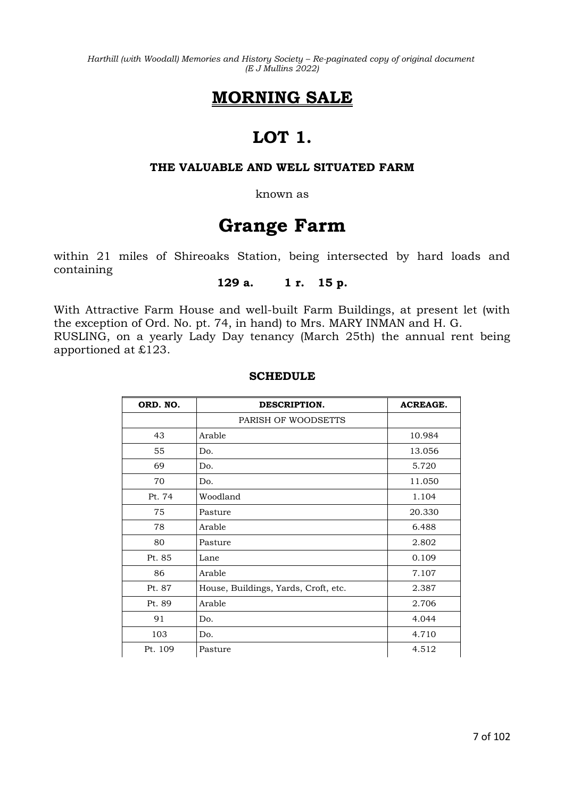# **MORNING SALE**

# **LOT 1.**

### **THE VALUABLE AND WELL SITUATED FARM**

known as

# **Grange Farm**

within 21 miles of Shireoaks Station, being intersected by hard loads and containing

### **129 a. 1 r. 15 p.**

With Attractive Farm House and well-built Farm Buildings, at present let (with the exception of Ord. No. pt. 74, in hand) to Mrs. MARY INMAN and H. G. RUSLING, on a yearly Lady Day tenancy (March 25th) the annual rent being apportioned at £123.

### **SCHEDULE**

| ORD. NO. | DESCRIPTION.                         | <b>ACREAGE.</b> |
|----------|--------------------------------------|-----------------|
|          | PARISH OF WOODSETTS                  |                 |
| 43       | Arable                               | 10.984          |
| 55       | Do.                                  | 13.056          |
| 69       | Do.                                  | 5.720           |
| 70       | Do.                                  | 11.050          |
| Pt. 74   | Woodland                             | 1.104           |
| 75       | Pasture                              | 20.330          |
| 78       | Arable                               | 6.488           |
| 80       | Pasture                              | 2.802           |
| Pt. 85   | Lane                                 | 0.109           |
| 86       | Arable                               | 7.107           |
| Pt. 87   | House, Buildings, Yards, Croft, etc. | 2.387           |
| Pt. 89   | Arable                               | 2.706           |
| 91       | Do.                                  | 4.044           |
| 103      | Do.                                  | 4.710           |
| Pt. 109  | Pasture                              | 4.512           |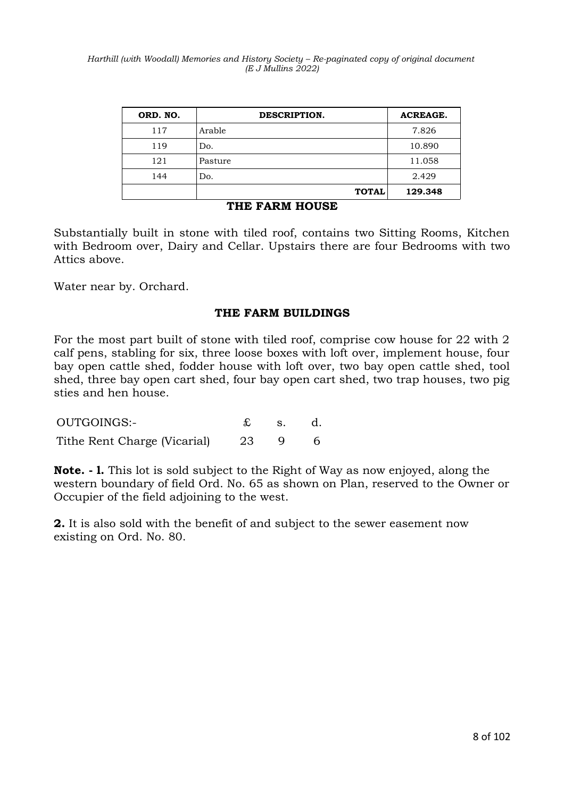| ORD. NO. | DESCRIPTION. | <b>ACREAGE.</b> |
|----------|--------------|-----------------|
| 117      | Arable       | 7.826           |
| 119      | Do.          | 10.890          |
| 121      | Pasture      | 11.058          |
| 144      | Do.          | 2.429           |
|          | <b>TOTAL</b> | 129.348         |

### **THE FARM HOUSE**

Substantially built in stone with tiled roof, contains two Sitting Rooms, Kitchen with Bedroom over, Dairy and Cellar. Upstairs there are four Bedrooms with two Attics above.

Water near by. Orchard.

### **THE FARM BUILDINGS**

For the most part built of stone with tiled roof, comprise cow house for 22 with 2 calf pens, stabling for six, three loose boxes with loft over, implement house, four bay open cattle shed, fodder house with loft over, two bay open cattle shed, tool shed, three bay open cart shed, four bay open cart shed, two trap houses, two pig sties and hen house.

| OUTGOINGS:-                  |       | $\mathbf{S}$ . | d. |
|------------------------------|-------|----------------|----|
| Tithe Rent Charge (Vicarial) | -23 - |                |    |

**Note. - l.** This lot is sold subject to the Right of Way as now enjoyed, along the western boundary of field Ord. No. 65 as shown on Plan, reserved to the Owner or Occupier of the field adjoining to the west.

**2.** It is also sold with the benefit of and subject to the sewer easement now existing on Ord. No. 80.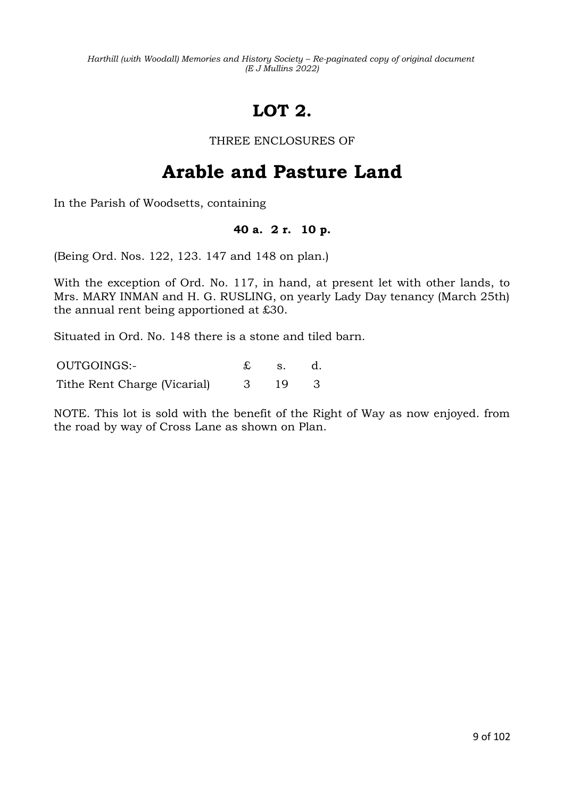# **LOT 2.**

THREE ENCLOSURES OF

# **Arable and Pasture Land**

In the Parish of Woodsetts, containing

### **40 a. 2 r. 10 p.**

(Being Ord. Nos. 122, 123. 147 and 148 on plan.)

With the exception of Ord. No. 117, in hand, at present let with other lands, to Mrs. MARY INMAN and H. G. RUSLING, on yearly Lady Day tenancy (March 25th) the annual rent being apportioned at £30.

Situated in Ord. No. 148 there is a stone and tiled barn.

OUTGOINGS:- £ s. d. Tithe Rent Charge (Vicarial) 3 19 3

NOTE. This lot is sold with the benefit of the Right of Way as now enjoyed. from the road by way of Cross Lane as shown on Plan.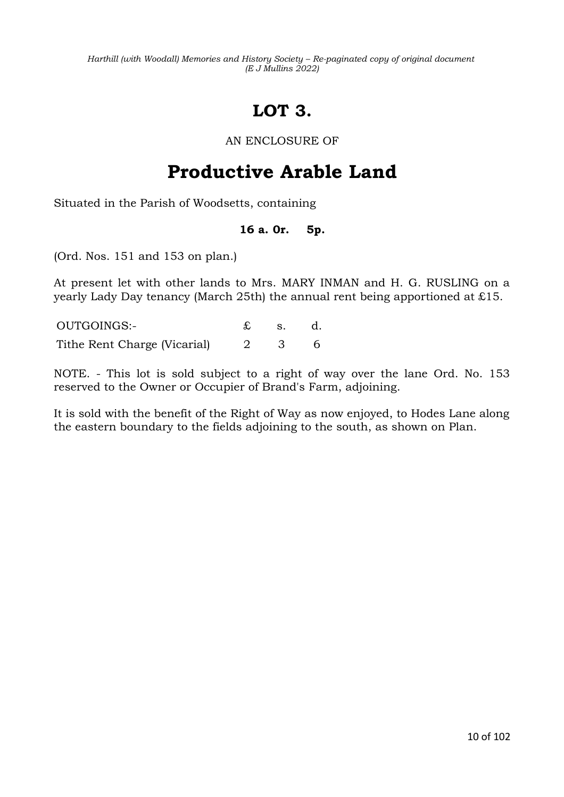# **LOT 3.**

### AN ENCLOSURE OF

# **Productive Arable Land**

Situated in the Parish of Woodsetts, containing

### **16 a. 0r. 5p.**

(Ord. Nos. 151 and 153 on plan.)

At present let with other lands to Mrs. MARY INMAN and H. G. RUSLING on a yearly Lady Day tenancy (March 25th) the annual rent being apportioned at £15.

OUTGOINGS:- £ s. d. Tithe Rent Charge (Vicarial) 2 3 6

NOTE. - This lot is sold subject to a right of way over the lane Ord. No. 153 reserved to the Owner or Occupier of Brand's Farm, adjoining.

It is sold with the benefit of the Right of Way as now enjoyed, to Hodes Lane along the eastern boundary to the fields adjoining to the south, as shown on Plan.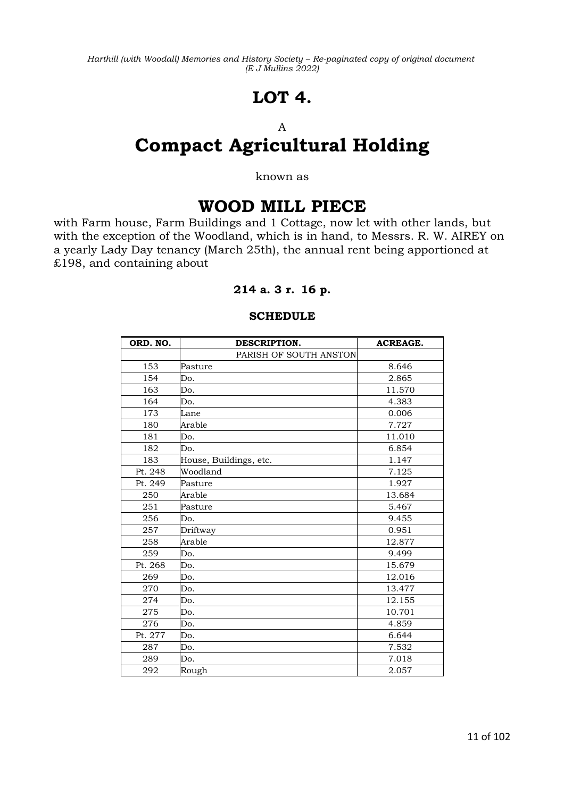# **LOT 4.**

### A

# **Compact Agricultural Holding**

#### known as

# **WOOD MILL PIECE**

with Farm house, Farm Buildings and 1 Cottage, now let with other lands, but with the exception of the Woodland, which is in hand, to Messrs. R. W. AIREY on a yearly Lady Day tenancy (March 25th), the annual rent being apportioned at £198, and containing about

### **214 a. 3 r. 16 p.**

### **SCHEDULE**

| ORD. NO. | DESCRIPTION.           | <b>ACREAGE.</b> |
|----------|------------------------|-----------------|
|          | PARISH OF SOUTH ANSTON |                 |
| 153      | Pasture                | 8.646           |
| 154      | Do.                    | 2.865           |
| 163      | Do.                    | 11.570          |
| 164      | Do.                    | 4.383           |
| 173      | Lane                   | 0.006           |
| 180      | Arable                 | 7.727           |
| 181      | Do.                    | 11.010          |
| 182      | Do.                    | 6.854           |
| 183      | House, Buildings, etc. | 1.147           |
| Pt. 248  | Woodland               | 7.125           |
| Pt. 249  | Pasture                | 1.927           |
| 250      | Arable                 | 13.684          |
| 251      | Pasture                | 5.467           |
| 256      | Do.                    | 9.455           |
| 257      | Driftway               | 0.951           |
| 258      | Arable                 | 12.877          |
| 259      | Do.                    | 9.499           |
| Pt. 268  | Do.                    | 15.679          |
| 269      | Do.                    | 12.016          |
| 270      | Do.                    | 13.477          |
| 274      | Do.                    | 12.155          |
| 275      | Do.                    | 10.701          |
| 276      | Do.                    | 4.859           |
| Pt. 277  | Do.                    | 6.644           |
| 287      | Do.                    | 7.532           |
| 289      | Do.                    | 7.018           |
| 292      | Rough                  | 2.057           |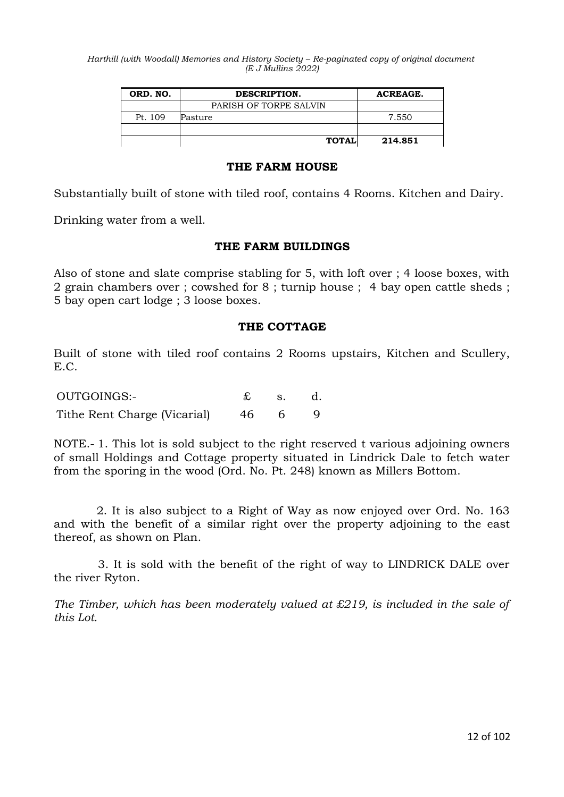| ORD. NO.<br>DESCRIPTION. |                        | <b>ACREAGE.</b> |
|--------------------------|------------------------|-----------------|
|                          | PARISH OF TORPE SALVIN |                 |
| Pt. 109                  | Pasture                | 7.550           |
|                          |                        |                 |
|                          | <b>TOTAL</b>           | 214.851         |

### **THE FARM HOUSE**

Substantially built of stone with tiled roof, contains 4 Rooms. Kitchen and Dairy.

Drinking water from a well.

### **THE FARM BUILDINGS**

Also of stone and slate comprise stabling for 5, with loft over ; 4 loose boxes, with 2 grain chambers over ; cowshed for 8 ; turnip house ; 4 bay open cattle sheds ; 5 bay open cart lodge ; 3 loose boxes.

### **THE COTTAGE**

Built of stone with tiled roof contains 2 Rooms upstairs, Kitchen and Scullery, E.C.

| OUTGOINGS:-                  |    | $\mathbf{S}$ . |  |
|------------------------------|----|----------------|--|
| Tithe Rent Charge (Vicarial) | 46 |                |  |

NOTE.- 1. This lot is sold subject to the right reserved t various adjoining owners of small Holdings and Cottage property situated in Lindrick Dale to fetch water from the sporing in the wood (Ord. No. Pt. 248) known as Millers Bottom.

2. It is also subject to a Right of Way as now enjoyed over Ord. No. 163 and with the benefit of a similar right over the property adjoining to the east thereof, as shown on Plan.

3. It is sold with the benefit of the right of way to LINDRICK DALE over the river Ryton.

*The Timber, which has been moderately valued at £219, is included in the sale of this Lot.*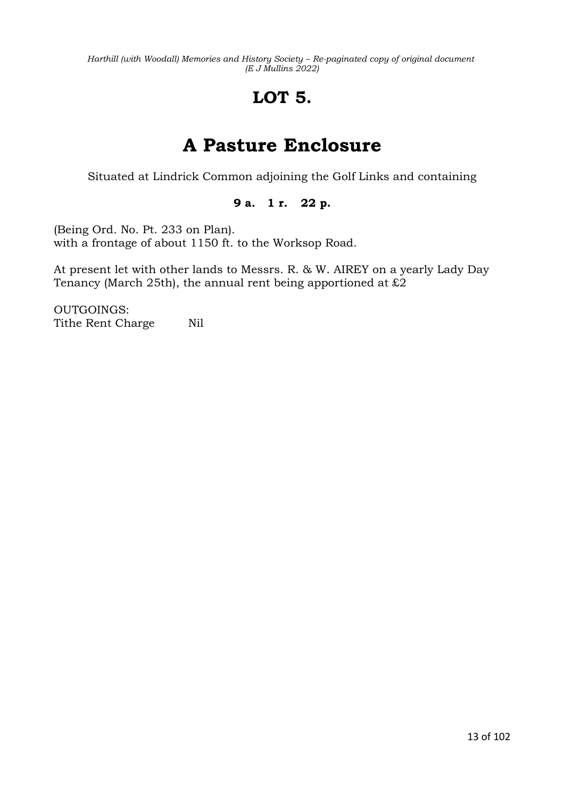# **LOT 5.**

# **A Pasture Enclosure**

Situated at Lindrick Common adjoining the Golf Links and containing

### **9 a. 1 r. 22 p.**

(Being Ord. No. Pt. 233 on Plan). with a frontage of about 1150 ft. to the Worksop Road.

At present let with other lands to Messrs. R. & W. AIREY on a yearly Lady Day Tenancy (March 25th), the annual rent being apportioned at  $£2$ 

OUTGOINGS: Tithe Rent Charge Nil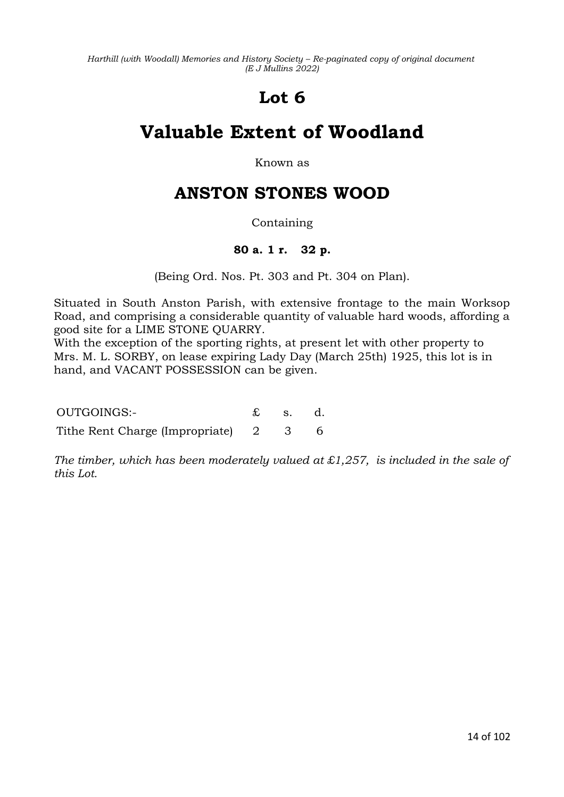# **Lot 6**

# **Valuable Extent of Woodland**

Known as

# **ANSTON STONES WOOD**

### Containing

### **80 a. 1 r. 32 p.**

(Being Ord. Nos. Pt. 303 and Pt. 304 on Plan).

Situated in South Anston Parish, with extensive frontage to the main Worksop Road, and comprising a considerable quantity of valuable hard woods, affording a good site for a LIME STONE QUARRY.

With the exception of the sporting rights, at present let with other property to Mrs. M. L. SORBY, on lease expiring Lady Day (March 25th) 1925, this lot is in hand, and VACANT POSSESSION can be given.

OUTGOINGS:- £ s. d.

Tithe Rent Charge (Impropriate) 2 3 6

*The timber, which has been moderately valued at £1,257, is included in the sale of this Lot.*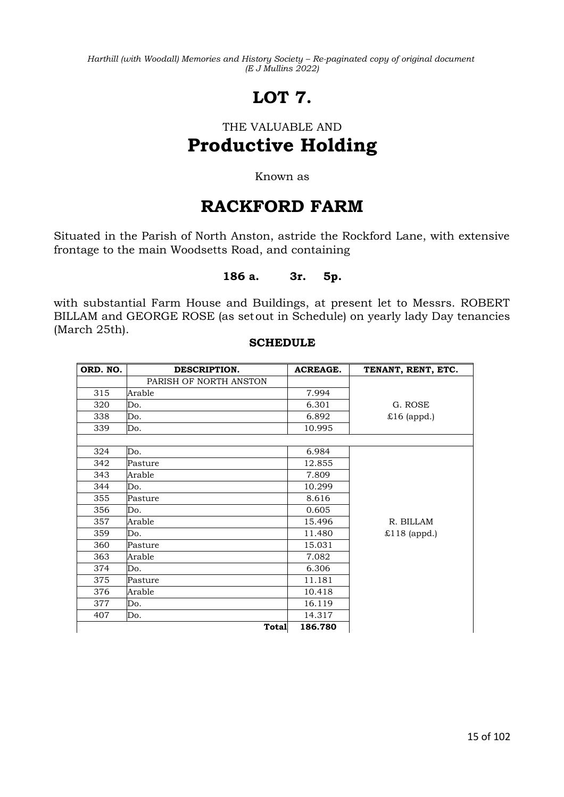# **LOT 7.**

# THE VALUABLE AND **Productive Holding**

### Known as

# **RACKFORD FARM**

Situated in the Parish of North Anston, astride the Rockford Lane, with extensive frontage to the main Woodsetts Road, and containing

### **186 a. 3r. 5p.**

with substantial Farm House and Buildings, at present let to Messrs. ROBERT BILLAM and GEORGE ROSE (as setout in Schedule) on yearly lady Day tenancies (March 25th).

### **SCHEDULE**

| ORD. NO. | DESCRIPTION.           | <b>ACREAGE.</b> | TENANT, RENT, ETC. |
|----------|------------------------|-----------------|--------------------|
|          | PARISH OF NORTH ANSTON |                 |                    |
| 315      | Arable                 | 7.994           |                    |
| 320      | Do.                    | 6.301           | G. ROSE            |
| 338      | Do.                    | 6.892           | $£16$ (appd.)      |
| 339      | Do.                    | 10.995          |                    |
|          |                        |                 |                    |
| 324      | Do.                    | 6.984           |                    |
| 342      | Pasture                | 12.855          |                    |
| 343      | Arable                 | 7.809           |                    |
| 344      | Do.                    | 10.299          |                    |
| 355      | Pasture                | 8.616           |                    |
| 356      | Do.                    | 0.605           |                    |
| 357      | Arable                 | 15.496          | R. BILLAM          |
| 359      | Do.                    | 11.480          | $£118$ (appd.)     |
| 360      | Pasture                | 15.031          |                    |
| 363      | Arable                 | 7.082           |                    |
| 374      | Do.                    | 6.306           |                    |
| 375      | Pasture                | 11.181          |                    |
| 376      | Arable                 | 10.418          |                    |
| 377      | Do.                    | 16.119          |                    |
| 407      | Do.                    | 14.317          |                    |
|          | <b>Total</b>           | 186.780         |                    |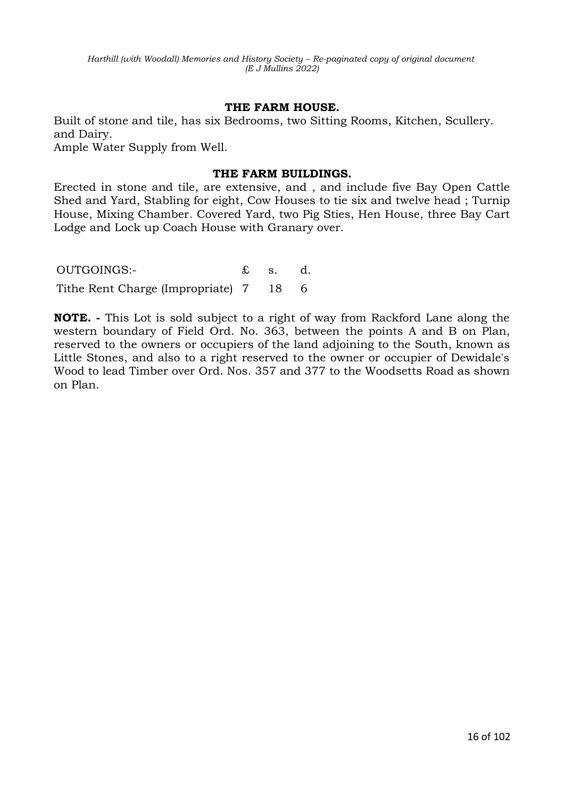### **THE FARM HOUSE.**

Built of stone and tile, has six Bedrooms, two Sitting Rooms, Kitchen, Scullery. and Dairy.

Ample Water Supply from Well.

### **THE FARM BUILDINGS.**

Erected in stone and tile, are extensive, and , and include five Bay Open Cattle Shed and Yard, Stabling for eight, Cow Houses to tie six and twelve head ; Turnip House, Mixing Chamber. Covered Yard, two Pig Sties, Hen House, three Bay Cart Lodge and Lock up Coach House with Granary over.

OUTGOINGS:- £ s. d. Tithe Rent Charge (Impropriate) 7 18 6

**NOTE. -** This Lot is sold subject to a right of way from Rackford Lane along the western boundary of Field Ord. No. 363, between the points A and B on Plan, reserved to the owners or occupiers of the land adjoining to the South, known as Little Stones, and also to a right reserved to the owner or occupier of Dewidale's Wood to lead Timber over Ord. Nos. 357 and 377 to the Woodsetts Road as shown on Plan.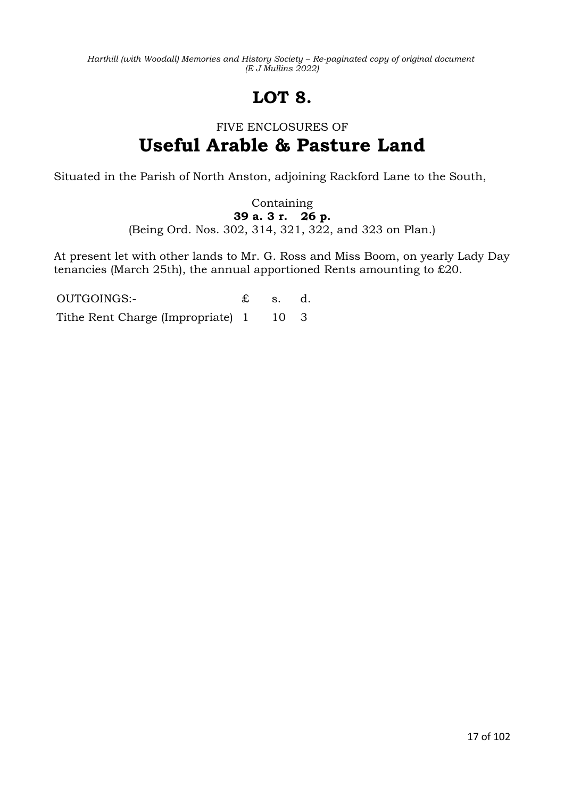# **LOT 8.**

# FIVE ENCLOSURES OF **Useful Arable & Pasture Land**

Situated in the Parish of North Anston, adjoining Rackford Lane to the South,

Containing **39 a. 3 r. 26 p.** (Being Ord. Nos. 302, 314, 321, 322, and 323 on Plan.)

At present let with other lands to Mr. G. Ross and Miss Boom, on yearly Lady Day tenancies (March 25th), the annual apportioned Rents amounting to £20.

OUTGOINGS:- £ s. d. Tithe Rent Charge (Impropriate) 1 10 3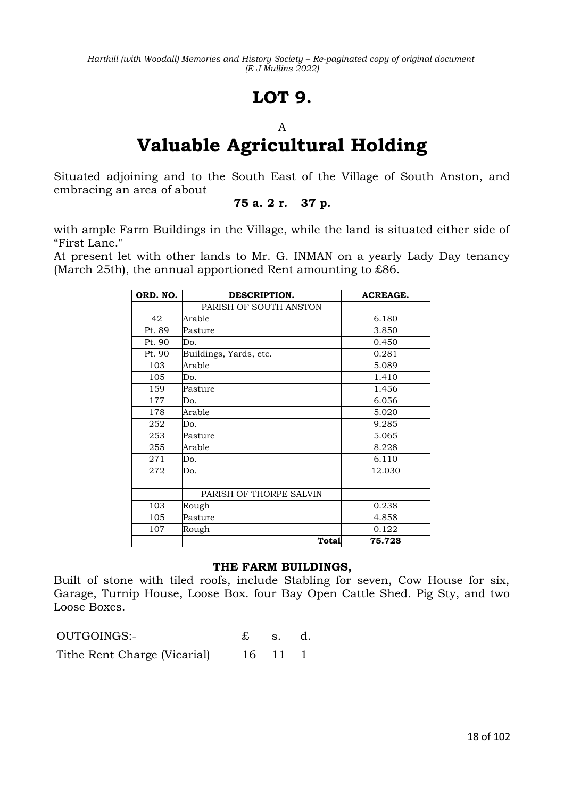# **LOT 9.**

### A

# **Valuable Agricultural Holding**

Situated adjoining and to the South East of the Village of South Anston, and embracing an area of about

### **75 a. 2 r. 37 p.**

with ample Farm Buildings in the Village, while the land is situated either side of "First Lane."

At present let with other lands to Mr. G. INMAN on a yearly Lady Day tenancy (March 25th), the annual apportioned Rent amounting to £86.

| ORD. NO. | DESCRIPTION.            | <b>ACREAGE.</b> |
|----------|-------------------------|-----------------|
|          | PARISH OF SOUTH ANSTON  |                 |
| 42       | Arable                  | 6.180           |
| Pt. 89   | Pasture                 | 3.850           |
| Pt. 90   | Do.                     | 0.450           |
| Pt. 90   | Buildings, Yards, etc.  | 0.281           |
| 103      | Arable                  | 5.089           |
| 105      | Do.                     | 1.410           |
| 159      | Pasture                 | 1.456           |
| 177      | Do.                     | 6.056           |
| 178      | Arable                  | 5.020           |
| 252      | Do.                     | 9.285           |
| 253      | Pasture                 | 5.065           |
| 255      | Arable                  | 8.228           |
| 271      | Do.                     | 6.110           |
| 272      | Do.                     | 12.030          |
|          |                         |                 |
|          | PARISH OF THORPE SALVIN |                 |
| 103      | Rough                   | 0.238           |
| 105      | Pasture                 | 4.858           |
| 107      | Rough                   | 0.122           |
|          | Total                   | 75.728          |

### **THE FARM BUILDINGS,**

Built of stone with tiled roofs, include Stabling for seven, Cow House for six, Garage, Turnip House, Loose Box. four Bay Open Cattle Shed. Pig Sty, and two Loose Boxes.

| OUTGOINGS:-                  | $\mathbf{\pounds}$ s. d. |         |  |
|------------------------------|--------------------------|---------|--|
| Tithe Rent Charge (Vicarial) |                          | 16 11 1 |  |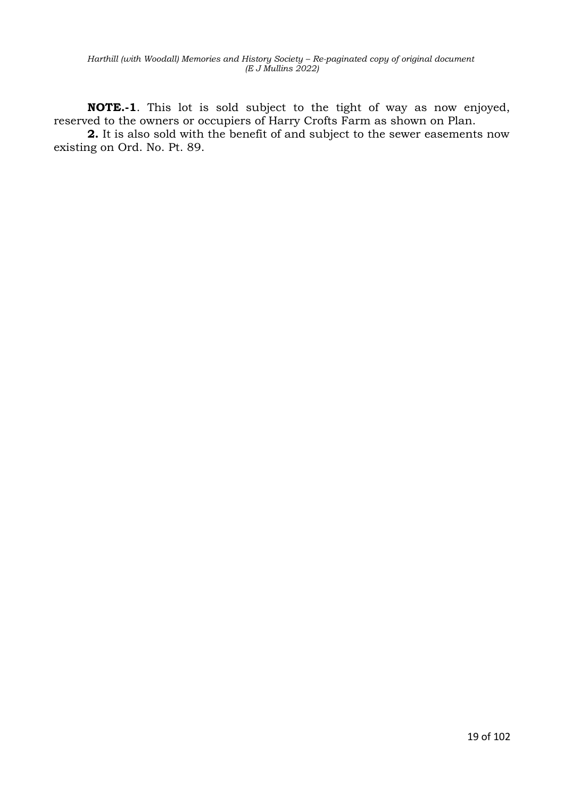**NOTE.-1**. This lot is sold subject to the tight of way as now enjoyed, reserved to the owners or occupiers of Harry Crofts Farm as shown on Plan.

**2.** It is also sold with the benefit of and subject to the sewer easements now existing on Ord. No. Pt. 89.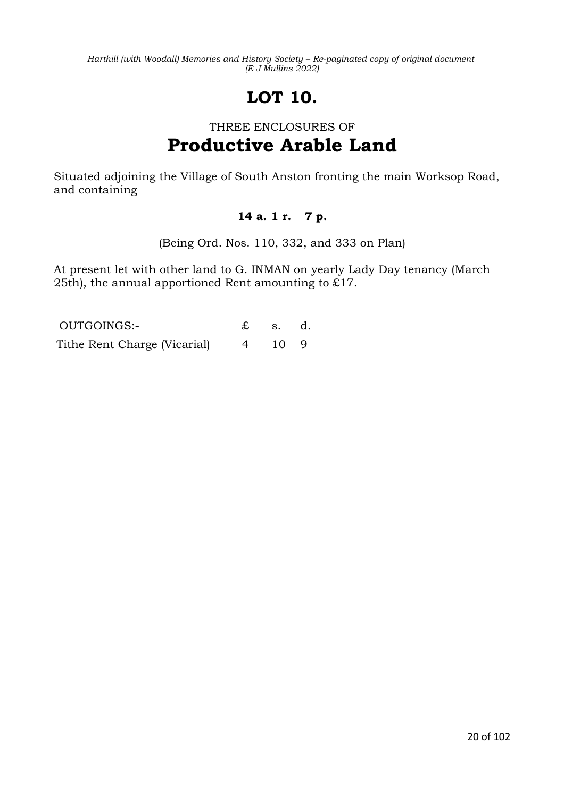# **LOT 10.**

# THREE ENCLOSURES OF **Productive Arable Land**

Situated adjoining the Village of South Anston fronting the main Worksop Road, and containing

### **14 a. 1 r. 7 p.**

(Being Ord. Nos. 110, 332, and 333 on Plan)

At present let with other land to G. INMAN on yearly Lady Day tenancy (March 25th), the annual apportioned Rent amounting to £17.

| OUTGOINGS:-                  |                | s. d.        |  |
|------------------------------|----------------|--------------|--|
| Tithe Rent Charge (Vicarial) | $\overline{4}$ | $10 \quad 9$ |  |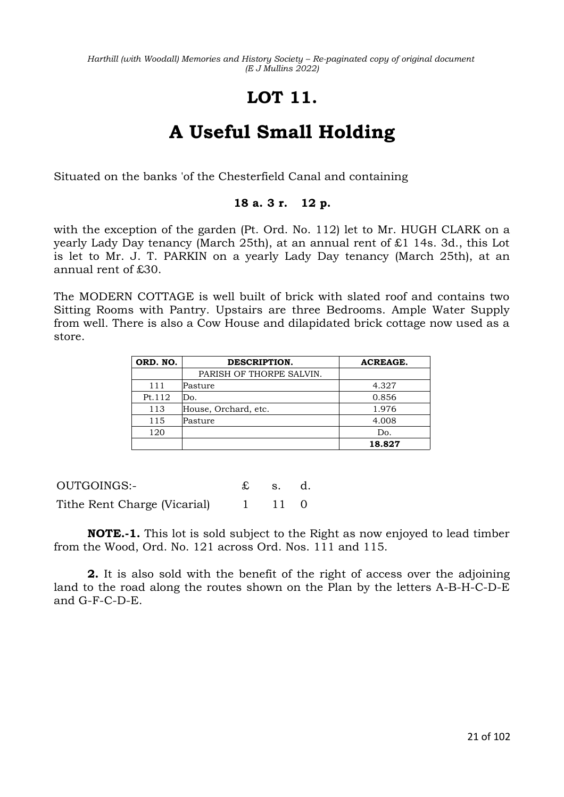# **LOT 11.**

# **A Useful Small Holding**

Situated on the banks 'of the Chesterfield Canal and containing

### **18 a. 3 r. 12 p.**

with the exception of the garden (Pt. Ord. No. 112) let to Mr. HUGH CLARK on a yearly Lady Day tenancy (March 25th), at an annual rent of £1 14s. 3d., this Lot is let to Mr. J. T. PARKIN on a yearly Lady Day tenancy (March 25th), at an annual rent of £30.

The MODERN COTTAGE is well built of brick with slated roof and contains two Sitting Rooms with Pantry. Upstairs are three Bedrooms. Ample Water Supply from well. There is also a Cow House and dilapidated brick cottage now used as a store.

| ORD. NO. | DESCRIPTION.             | <b>ACREAGE.</b> |
|----------|--------------------------|-----------------|
|          | PARISH OF THORPE SALVIN. |                 |
| 111      | Pasture                  | 4.327           |
| Pt.112   | Do.                      | 0.856           |
| 113      | House, Orchard, etc.     | 1.976           |
| 115      | Pasture                  | 4.008           |
| 120      |                          | Do.             |
|          |                          | 18.827          |

| OUTGOINGS:-                  | $\mathbf{\pounds}$ s. d. |  |
|------------------------------|--------------------------|--|
| Tithe Rent Charge (Vicarial) | $1 \t 11 \t 0$           |  |

**NOTE.-1.** This lot is sold subject to the Right as now enjoyed to lead timber from the Wood, Ord. No. 121 across Ord. Nos. 111 and 115.

**2.** It is also sold with the benefit of the right of access over the adjoining land to the road along the routes shown on the Plan by the letters A-B-H-C-D-E and G-F-C-D-E.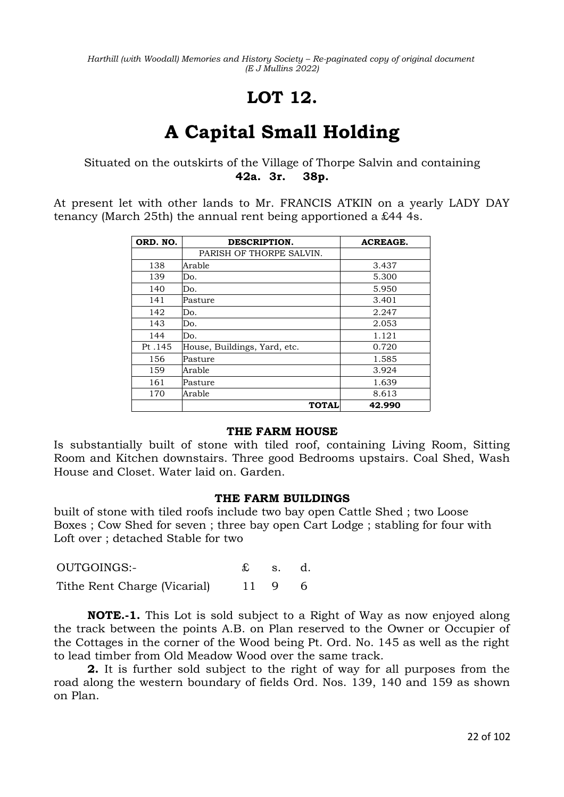# **LOT 12.**

# **A Capital Small Holding**

Situated on the outskirts of the Village of Thorpe Salvin and containing **42a. 3r. 38p.**

At present let with other lands to Mr. FRANCIS ATKIN on a yearly LADY DAY tenancy (March 25th) the annual rent being apportioned a £44 4s.

| ORD. NO. | DESCRIPTION.                 | <b>ACREAGE.</b> |
|----------|------------------------------|-----------------|
|          | PARISH OF THORPE SALVIN.     |                 |
| 138      | Arable                       | 3.437           |
| 139      | Do.                          | 5.300           |
| 140      | Do.                          | 5.950           |
| 141      | Pasture                      | 3.401           |
| 142      | Do.                          | 2.247           |
| 143      | Do.                          | 2.053           |
| 144      | Do.                          | 1.121           |
| Pt.145   | House, Buildings, Yard, etc. | 0.720           |
| 156      | Pasture                      | 1.585           |
| 159      | Arable                       | 3.924           |
| 161      | Pasture                      | 1.639           |
| 170      | Arable                       | 8.613           |
|          | <b>TOTAL</b>                 | 42.990          |

### **THE FARM HOUSE**

Is substantially built of stone with tiled roof, containing Living Room, Sitting Room and Kitchen downstairs. Three good Bedrooms upstairs. Coal Shed, Wash House and Closet. Water laid on. Garden.

#### **THE FARM BUILDINGS**

built of stone with tiled roofs include two bay open Cattle Shed ; two Loose Boxes ; Cow Shed for seven ; three bay open Cart Lodge ; stabling for four with Loft over ; detached Stable for two

| OUTGOINGS:-                  | $\mathbf{\pounds}$ s. d. |        |  |
|------------------------------|--------------------------|--------|--|
| Tithe Rent Charge (Vicarial) |                          | 11 9 6 |  |

**NOTE.-1.** This Lot is sold subject to a Right of Way as now enjoyed along the track between the points A.B. on Plan reserved to the Owner or Occupier of the Cottages in the corner of the Wood being Pt. Ord. No. 145 as well as the right to lead timber from Old Meadow Wood over the same track.

**2.** It is further sold subject to the right of way for all purposes from the road along the western boundary of fields Ord. Nos. 139, 140 and 159 as shown on Plan.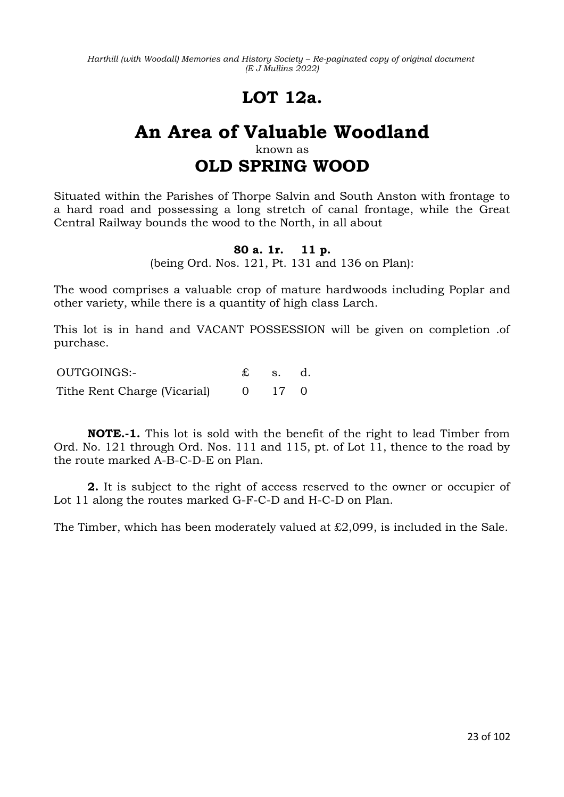# **LOT 12a.**

### **An Area of Valuable Woodland** known as

# **OLD SPRING WOOD**

Situated within the Parishes of Thorpe Salvin and South Anston with frontage to a hard road and possessing a long stretch of canal frontage, while the Great Central Railway bounds the wood to the North, in all about

### **80 a. 1r. 11 p.**

(being Ord. Nos. 121, Pt. 131 and 136 on Plan):

The wood comprises a valuable crop of mature hardwoods including Poplar and other variety, while there is a quantity of high class Larch.

This lot is in hand and VACANT POSSESSION will be given on completion .of purchase.

OUTGOINGS:- £ s. d. Tithe Rent Charge (Vicarial) 0 17 0

**NOTE.-1.** This lot is sold with the benefit of the right to lead Timber from Ord. No. 121 through Ord. Nos. 111 and 115, pt. of Lot 11, thence to the road by the route marked A-B-C-D-E on Plan.

**2.** It is subject to the right of access reserved to the owner or occupier of Lot 11 along the routes marked G-F-C-D and H-C-D on Plan.

The Timber, which has been moderately valued at £2,099, is included in the Sale.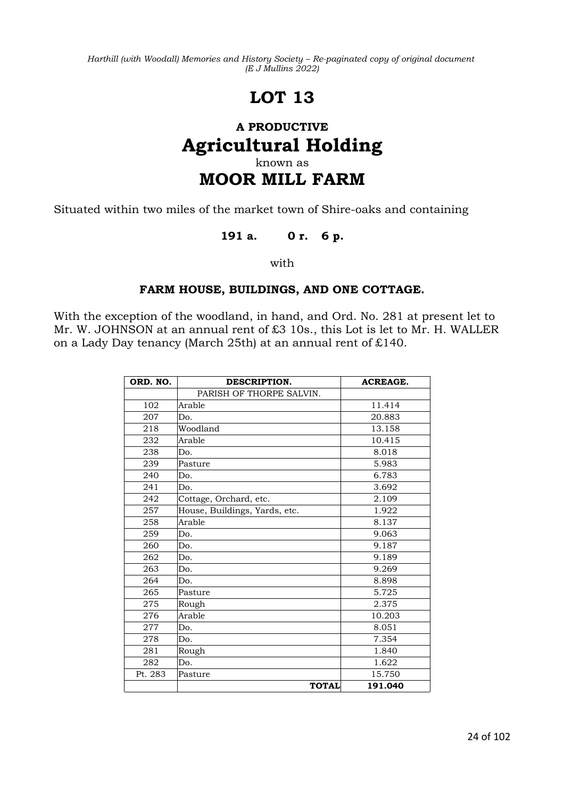# **LOT 13**

### **A PRODUCTIVE Agricultural Holding** known as **MOOR MILL FARM**

Situated within two miles of the market town of Shire-oaks and containing

### **191 a. 0 r. 6 p.**

with

### **FARM HOUSE, BUILDINGS, AND ONE COTTAGE.**

With the exception of the woodland, in hand, and Ord. No. 281 at present let to Mr. W. JOHNSON at an annual rent of £3 10s., this Lot is let to Mr. H. WALLER on a Lady Day tenancy (March 25th) at an annual rent of £140.

| ORD. NO. | DESCRIPTION.                  | <b>ACREAGE.</b> |
|----------|-------------------------------|-----------------|
|          | PARISH OF THORPE SALVIN.      |                 |
| 102      | Arable                        | 11.414          |
| 207      | Do.                           | 20.883          |
| 218      | Woodland                      | 13.158          |
| 232      | Arable                        | 10.415          |
| 238      | Do.                           | 8.018           |
| 239      | Pasture                       | 5.983           |
| 240      | Do.                           | 6.783           |
| 241      | Do.                           | 3.692           |
| 242      | Cottage, Orchard, etc.        | 2.109           |
| 257      | House, Buildings, Yards, etc. | 1.922           |
| 258      | Arable                        | 8.137           |
| 259      | Do.                           | 9.063           |
| 260      | Do.                           | 9.187           |
| 262      | Do.                           | 9.189           |
| 263      | Do.                           | 9.269           |
| 264      | Do.                           | 8.898           |
| 265      | Pasture                       | 5.725           |
| 275      | Rough                         | 2.375           |
| 276      | Arable                        | 10.203          |
| 277      | Do.                           | 8.051           |
| 278      | Do.                           | 7.354           |
| 281      | Rough                         | 1.840           |
| 282      | Do.                           | 1.622           |
| Pt. 283  | Pasture                       | 15.750          |
|          | <b>TOTAL</b>                  | 191.040         |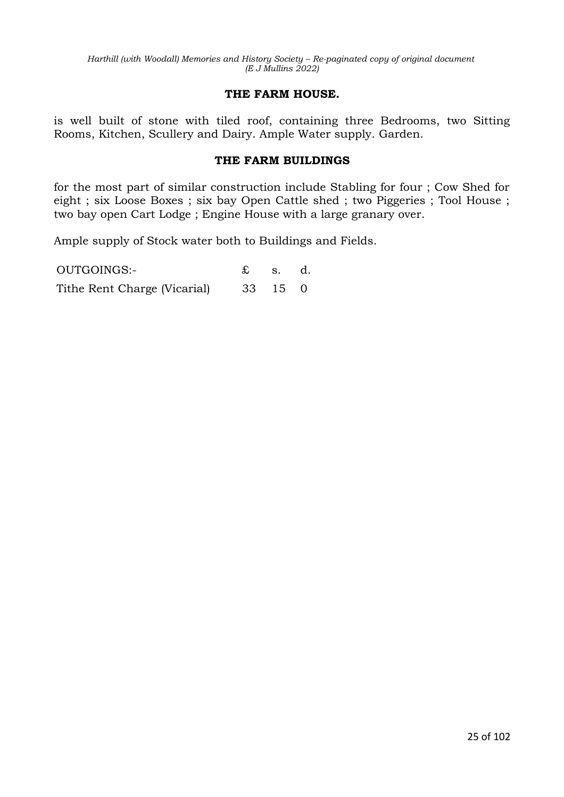### **THE FARM HOUSE.**

is well built of stone with tiled roof, containing three Bedrooms, two Sitting Rooms, Kitchen, Scullery and Dairy. Ample Water supply. Garden.

### **THE FARM BUILDINGS**

for the most part of similar construction include Stabling for four ; Cow Shed for eight ; six Loose Boxes ; six bay Open Cattle shed ; two Piggeries ; Tool House ; two bay open Cart Lodge ; Engine House with a large granary over.

Ample supply of Stock water both to Buildings and Fields.

OUTGOINGS:- £ s. d. Tithe Rent Charge (Vicarial) 33 15 0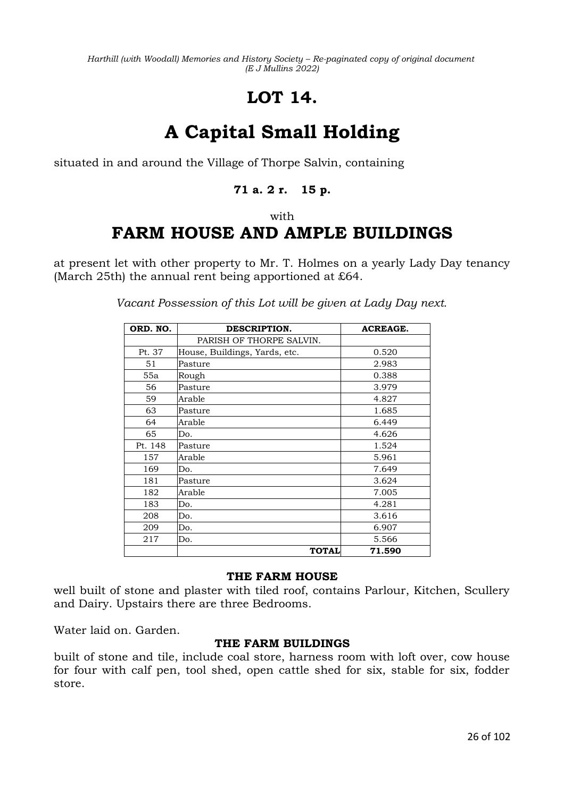# **LOT 14.**

# **A Capital Small Holding**

situated in and around the Village of Thorpe Salvin, containing

### **71 a. 2 r. 15 p.**

with

# **FARM HOUSE AND AMPLE BUILDINGS**

at present let with other property to Mr. T. Holmes on a yearly Lady Day tenancy (March 25th) the annual rent being apportioned at £64.

| ORD. NO. | DESCRIPTION.                  | <b>ACREAGE.</b> |
|----------|-------------------------------|-----------------|
|          | PARISH OF THORPE SALVIN.      |                 |
| Pt. 37   | House, Buildings, Yards, etc. | 0.520           |
| 51       | Pasture                       | 2.983           |
| 55a      | Rough                         | 0.388           |
| 56       | Pasture                       | 3.979           |
| 59       | Arable                        | 4.827           |
| 63       | Pasture                       | 1.685           |
| 64       | Arable                        | 6.449           |
| 65       | Do.                           | 4.626           |
| Pt. 148  | Pasture                       | 1.524           |
| 157      | Arable                        | 5.961           |
| 169      | Do.                           | 7.649           |
| 181      | Pasture                       | 3.624           |
| 182      | Arable                        | 7.005           |
| 183      | Do.                           | 4.281           |
| 208      | Do.                           | 3.616           |
| 209      | Do.                           | 6.907           |
| 217      | Do.                           | 5.566           |
|          | <b>TOTAL</b>                  | 71.590          |

*Vacant Possession of this Lot will be given at Lady Day next.*

### **THE FARM HOUSE**

well built of stone and plaster with tiled roof, contains Parlour, Kitchen, Scullery and Dairy. Upstairs there are three Bedrooms.

Water laid on. Garden.

### **THE FARM BUILDINGS**

built of stone and tile, include coal store, harness room with loft over, cow house for four with calf pen, tool shed, open cattle shed for six, stable for six, fodder store.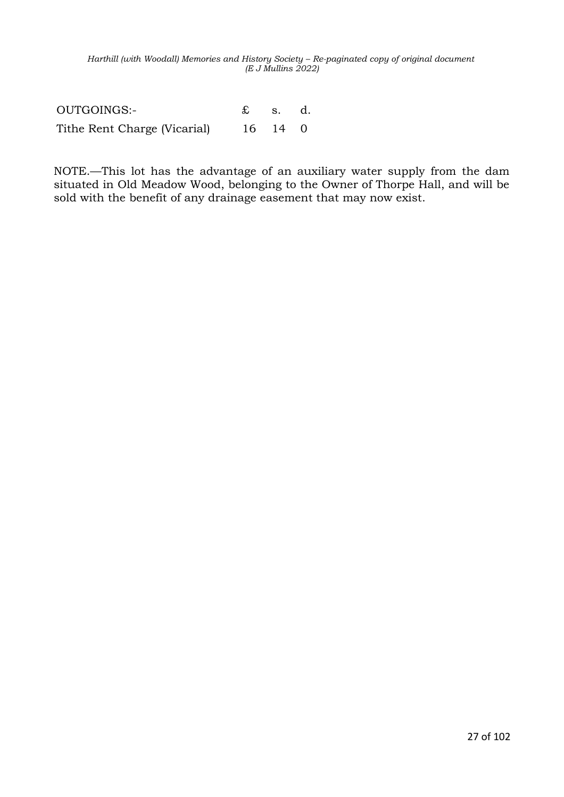OUTGOINGS:- £ s. d. Tithe Rent Charge (Vicarial) 16 14 0

NOTE.—This lot has the advantage of an auxiliary water supply from the dam situated in Old Meadow Wood, belonging to the Owner of Thorpe Hall, and will be sold with the benefit of any drainage easement that may now exist.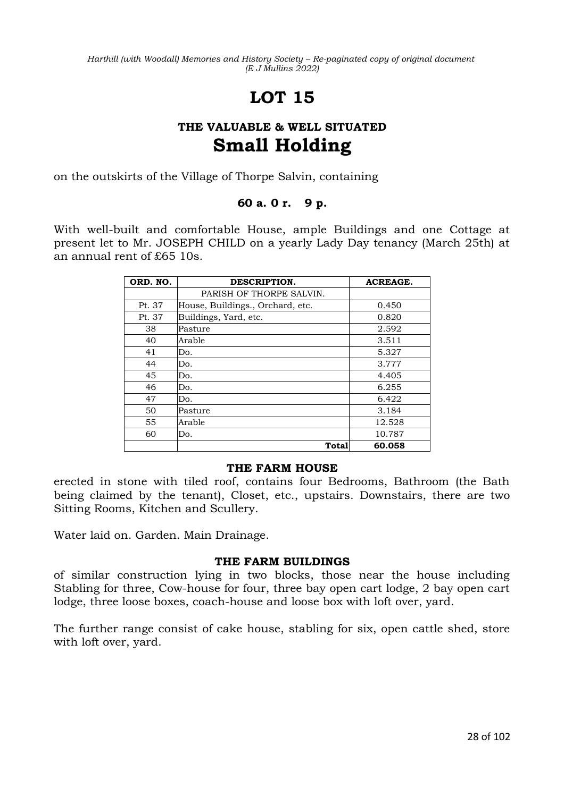# **LOT 15**

### **THE VALUABLE & WELL SITUATED Small Holding**

on the outskirts of the Village of Thorpe Salvin, containing

### **60 a. 0 r. 9 p.**

With well-built and comfortable House, ample Buildings and one Cottage at present let to Mr. JOSEPH CHILD on a yearly Lady Day tenancy (March 25th) at an annual rent of £65 10s.

| ORD. NO. | DESCRIPTION.                     | <b>ACREAGE.</b> |
|----------|----------------------------------|-----------------|
|          | PARISH OF THORPE SALVIN.         |                 |
| Pt. 37   | House, Buildings., Orchard, etc. | 0.450           |
| Pt. 37   | Buildings, Yard, etc.            | 0.820           |
| 38       | Pasture                          | 2.592           |
| 40       | Arable                           | 3.511           |
| 41       | Do.                              | 5.327           |
| 44       | Do.                              | 3.777           |
| 45       | Do.                              | 4.405           |
| 46       | Do.                              | 6.255           |
| 47       | Do.                              | 6.422           |
| 50       | Pasture                          | 3.184           |
| 55       | Arable                           | 12.528          |
| 60       | Do.                              | 10.787          |
|          | Total                            | 60.058          |

### **THE FARM HOUSE**

erected in stone with tiled roof, contains four Bedrooms, Bathroom (the Bath being claimed by the tenant), Closet, etc., upstairs. Downstairs, there are two Sitting Rooms, Kitchen and Scullery.

Water laid on. Garden. Main Drainage.

### **THE FARM BUILDINGS**

of similar construction lying in two blocks, those near the house including Stabling for three, Cow-house for four, three bay open cart lodge, 2 bay open cart lodge, three loose boxes, coach-house and loose box with loft over, yard.

The further range consist of cake house, stabling for six, open cattle shed, store with loft over, yard.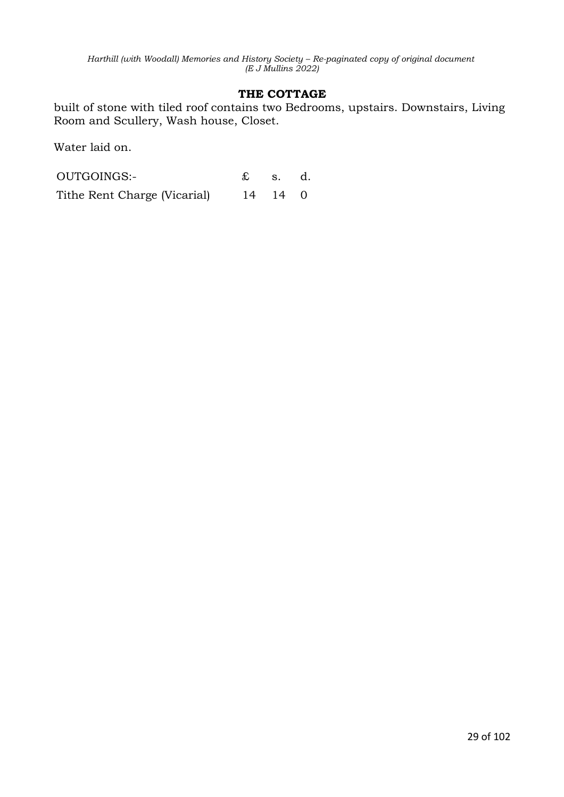### **THE COTTAGE**

built of stone with tiled roof contains two Bedrooms, upstairs. Downstairs, Living Room and Scullery, Wash house, Closet.

Water laid on.

| OUTGOINGS:-                  | $\mathfrak{L}$ s. d. |         |  |
|------------------------------|----------------------|---------|--|
| Tithe Rent Charge (Vicarial) |                      | 14 14 0 |  |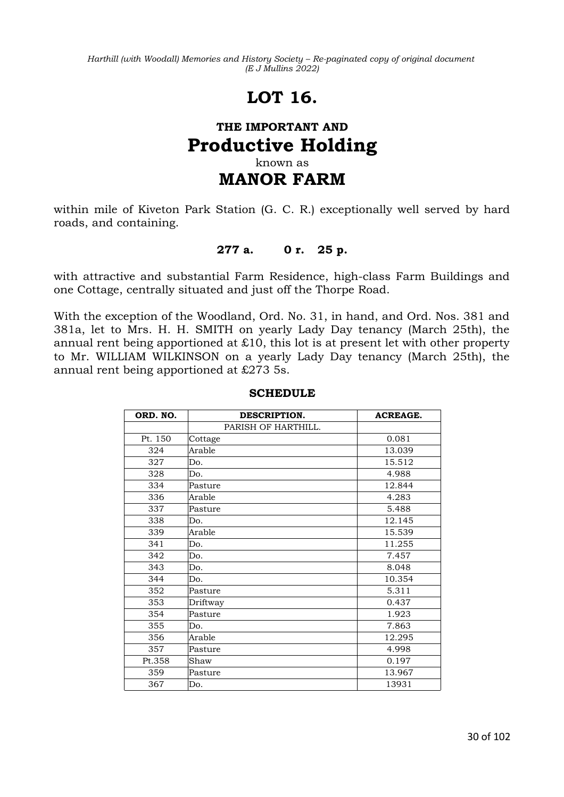# **LOT 16.**

### **THE IMPORTANT AND Productive Holding** known as **MANOR FARM**

within mile of Kiveton Park Station (G. C. R.) exceptionally well served by hard roads, and containing.

### **277 a. 0 r. 25 p.**

with attractive and substantial Farm Residence, high-class Farm Buildings and one Cottage, centrally situated and just off the Thorpe Road.

With the exception of the Woodland, Ord. No. 31, in hand, and Ord. Nos. 381 and 381a, let to Mrs. H. H. SMITH on yearly Lady Day tenancy (March 25th), the annual rent being apportioned at  $£10$ , this lot is at present let with other property to Mr. WILLIAM WILKINSON on a yearly Lady Day tenancy (March 25th), the annual rent being apportioned at £273 5s.

| ORD. NO. | DESCRIPTION.        | <b>ACREAGE.</b> |
|----------|---------------------|-----------------|
|          | PARISH OF HARTHILL. |                 |
| Pt. 150  | Cottage             | 0.081           |
| 324      | Arable              | 13.039          |
| 327      | Do.                 | 15.512          |
| 328      | Do.                 | 4.988           |
| 334      | Pasture             | 12.844          |
| 336      | Arable              | 4.283           |
| 337      | Pasture             | 5.488           |
| 338      | Do.                 | 12.145          |
| 339      | Arable              | 15.539          |
| 341      | Do.                 | 11.255          |
| 342      | Do.                 | 7.457           |
| 343      | Do.                 | 8.048           |
| 344      | Do.                 | 10.354          |
| 352      | Pasture             | 5.311           |
| 353      | Driftway            | 0.437           |
| 354      | Pasture             | 1.923           |
| 355      | Do.                 | 7.863           |
| 356      | Arable              | 12.295          |
| 357      | Pasture             | 4.998           |
| Pt.358   | Shaw                | 0.197           |
| 359      | Pasture             | 13.967          |
| 367      | Do.                 | 13931           |

#### **SCHEDULE**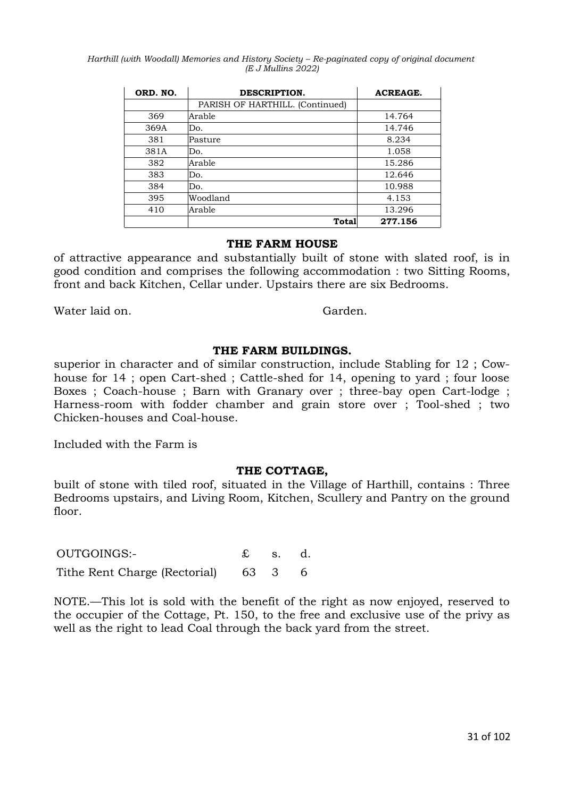| ORD. NO. | DESCRIPTION.                    | <b>ACREAGE.</b> |
|----------|---------------------------------|-----------------|
|          | PARISH OF HARTHILL. (Continued) |                 |
| 369      | Arable                          | 14.764          |
| 369A     | Do.                             | 14.746          |
| 381      | Pasture                         | 8.234           |
| 381A     | Do.                             | 1.058           |
| 382      | Arable                          | 15.286          |
| 383      | Do.                             | 12.646          |
| 384      | Do.                             | 10.988          |
| 395      | Woodland                        | 4.153           |
| 410      | Arable                          | 13.296          |
|          | Total                           | 277.156         |

### **THE FARM HOUSE**

of attractive appearance and substantially built of stone with slated roof, is in good condition and comprises the following accommodation : two Sitting Rooms, front and back Kitchen, Cellar under. Upstairs there are six Bedrooms.

Water laid on. Sanctice Control of the Garden.

### **THE FARM BUILDINGS.**

superior in character and of similar construction, include Stabling for 12 ; Cowhouse for 14 ; open Cart-shed ; Cattle-shed for 14, opening to yard ; four loose Boxes ; Coach-house ; Barn with Granary over ; three-bay open Cart-lodge ; Harness-room with fodder chamber and grain store over ; Tool-shed ; two Chicken-houses and Coal-house.

Included with the Farm is

#### **THE COTTAGE,**

built of stone with tiled roof, situated in the Village of Harthill, contains : Three Bedrooms upstairs, and Living Room, Kitchen, Scullery and Pantry on the ground floor.

OUTGOINGS:- £ s. d. Tithe Rent Charge (Rectorial) 63 3 6

NOTE.—This lot is sold with the benefit of the right as now enjoyed, reserved to the occupier of the Cottage, Pt. 150, to the free and exclusive use of the privy as well as the right to lead Coal through the back yard from the street.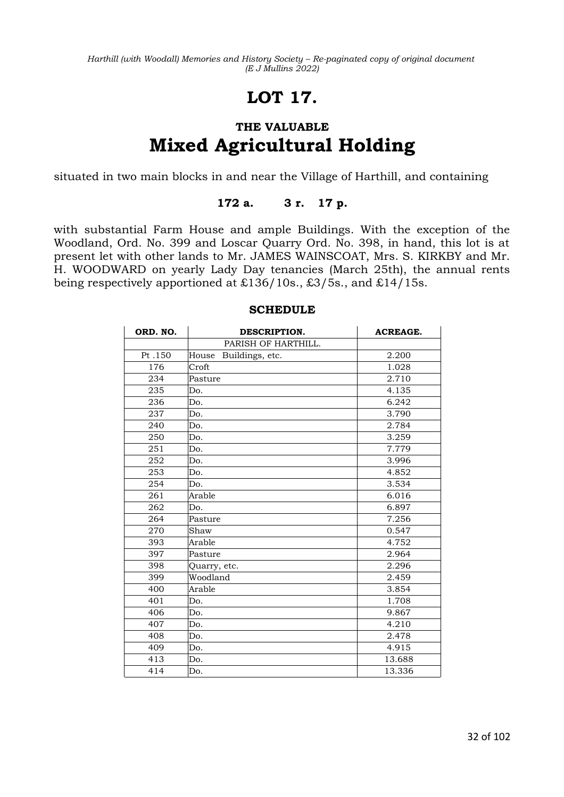# **LOT 17.**

# **THE VALUABLE Mixed Agricultural Holding**

situated in two main blocks in and near the Village of Harthill, and containing

### **172 a. 3 r. 17 p.**

with substantial Farm House and ample Buildings. With the exception of the Woodland, Ord. No. 399 and Loscar Quarry Ord. No. 398, in hand, this lot is at present let with other lands to Mr. JAMES WAINSCOAT, Mrs. S. KIRKBY and Mr. H. WOODWARD on yearly Lady Day tenancies (March 25th), the annual rents being respectively apportioned at £136/10s., £3/5s., and £14/15s.

| ORD. NO. | DESCRIPTION.             | <b>ACREAGE.</b> |
|----------|--------------------------|-----------------|
|          | PARISH OF HARTHILL.      |                 |
| Pt.150   | House<br>Buildings, etc. | 2.200           |
| 176      | Croft                    | 1.028           |
| 234      | Pasture                  | 2.710           |
| 235      | Do.                      | 4.135           |
| 236      | Do.                      | 6.242           |
| 237      | Do.                      | 3.790           |
| 240      | Do.                      | 2.784           |
| 250      | Do.                      | 3.259           |
| 251      | Do.                      | 7.779           |
| 252      | Do.                      | 3.996           |
| 253      | Do.                      | 4.852           |
| 254      | Do.                      | 3.534           |
| 261      | Arable                   | 6.016           |
| 262      | Do.                      | 6.897           |
| 264      | Pasture                  | 7.256           |
| 270      | Shaw                     | 0.547           |
| 393      | Arable                   | 4.752           |
| 397      | Pasture                  | 2.964           |
| 398      | Quarry, etc.             | 2.296           |
| 399      | Woodland                 | 2.459           |
| 400      | Arable                   | 3.854           |
| 401      | Do.                      | 1.708           |
| 406      | Do.                      | 9.867           |
| 407      | Do.                      | 4.210           |
| 408      | Do.                      | 2.478           |
| 409      | Do.                      | 4.915           |
| 413      | Do.                      | 13.688          |
| 414      | Do.                      | 13.336          |

### **SCHEDULE**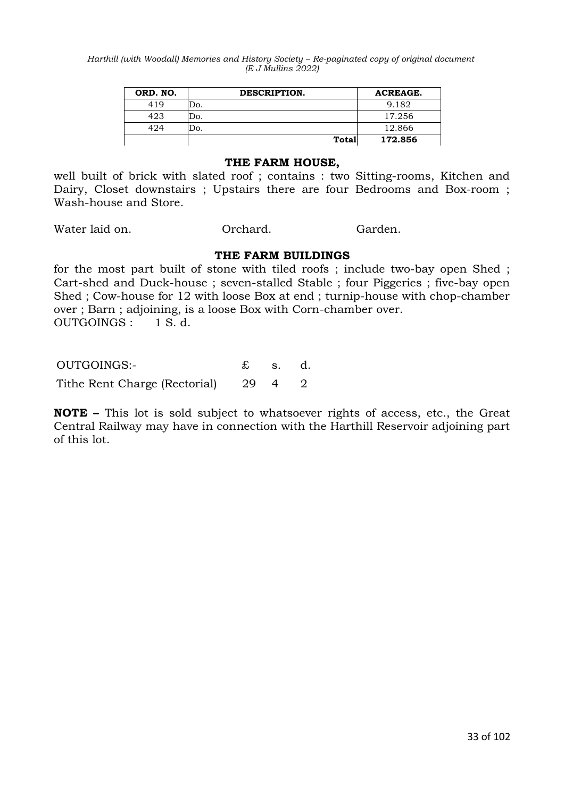| ORD. NO. | DESCRIPTION. | <b>ACREAGE.</b> |
|----------|--------------|-----------------|
| 419      | Do.          | 9.182           |
| 423      | Do.          | 17.256          |
| 424      | .סכ          | 12.866          |
|          | <b>Total</b> | 172.856         |

#### **THE FARM HOUSE,**

well built of brick with slated roof ; contains : two Sitting-rooms, Kitchen and Dairy, Closet downstairs ; Upstairs there are four Bedrooms and Box-room ; Wash-house and Store.

Water laid on. Compared and Compared the Garden.

#### **THE FARM BUILDINGS**

for the most part built of stone with tiled roofs ; include two-bay open Shed ; Cart-shed and Duck-house ; seven-stalled Stable ; four Piggeries ; five-bay open Shed ; Cow-house for 12 with loose Box at end ; turnip-house with chop-chamber over ; Barn ; adjoining, is a loose Box with Corn-chamber over. OUTGOINGS : 1 S. d.

OUTGOINGS:- £ s. d.

Tithe Rent Charge (Rectorial) 29 4 2

**NOTE –** This lot is sold subject to whatsoever rights of access, etc., the Great Central Railway may have in connection with the Harthill Reservoir adjoining part of this lot.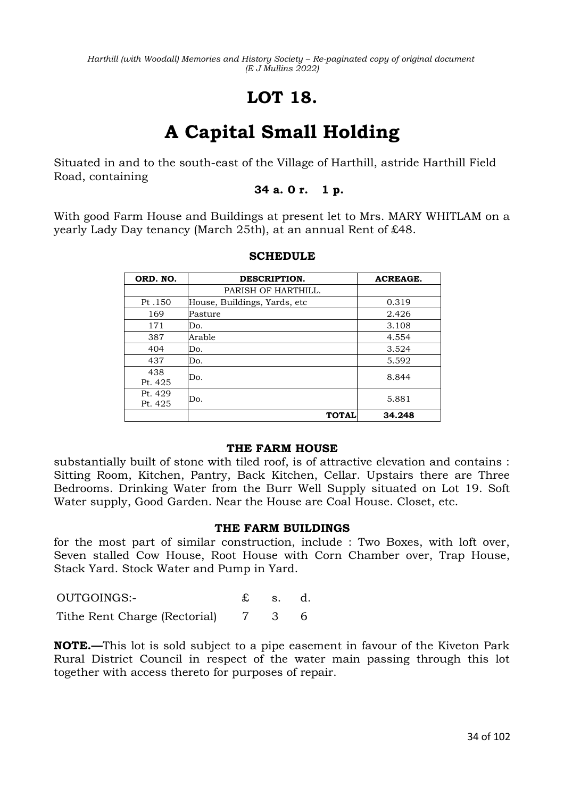# **LOT 18.**

# **A Capital Small Holding**

Situated in and to the south-east of the Village of Harthill, astride Harthill Field Road, containing

### **34 a. 0 r. 1 p.**

With good Farm House and Buildings at present let to Mrs. MARY WHITLAM on a yearly Lady Day tenancy (March 25th), at an annual Rent of £48.

| ORD. NO. | DESCRIPTION.                 | <b>ACREAGE.</b> |
|----------|------------------------------|-----------------|
|          | PARISH OF HARTHILL.          |                 |
| Pt.150   | House, Buildings, Yards, etc | 0.319           |
| 169      | Pasture                      | 2.426           |
| 171      | Do.                          | 3.108           |
| 387      | Arable                       | 4.554           |
| 404      | Do.                          | 3.524           |
| 437      | Do.                          | 5.592           |
| 438      | Do.                          | 8.844           |
| Pt. 425  |                              |                 |
| Pt. 429  | Do.                          | 5.881           |
| Pt. 425  |                              |                 |
|          | <b>TOTAL</b>                 | 34.248          |

### **SCHEDULE**

### **THE FARM HOUSE**

substantially built of stone with tiled roof, is of attractive elevation and contains : Sitting Room, Kitchen, Pantry, Back Kitchen, Cellar. Upstairs there are Three Bedrooms. Drinking Water from the Burr Well Supply situated on Lot 19. Soft Water supply, Good Garden. Near the House are Coal House. Closet, etc.

### **THE FARM BUILDINGS**

for the most part of similar construction, include : Two Boxes, with loft over, Seven stalled Cow House, Root House with Corn Chamber over, Trap House, Stack Yard. Stock Water and Pump in Yard.

OUTGOINGS:- £ s. d. Tithe Rent Charge (Rectorial) 7 3 6

**NOTE.—**This lot is sold subject to a pipe easement in favour of the Kiveton Park Rural District Council in respect of the water main passing through this lot together with access thereto for purposes of repair.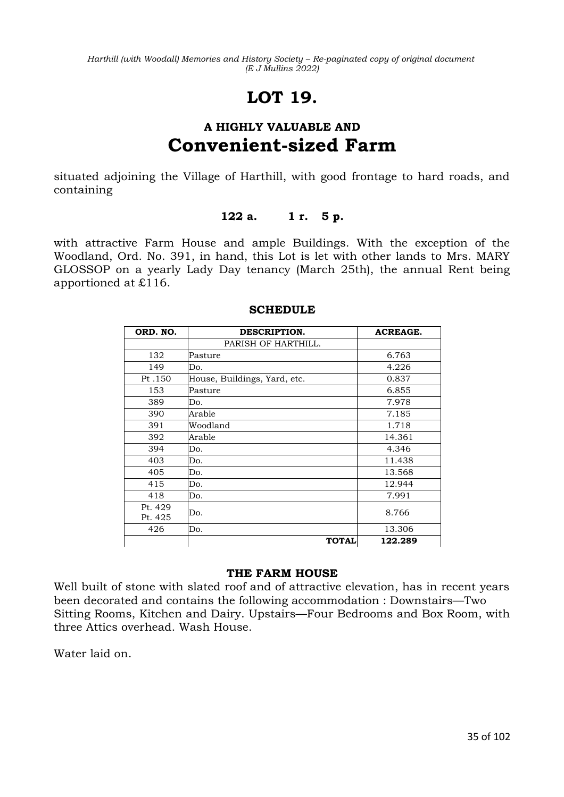# **LOT 19.**

### **A HIGHLY VALUABLE AND Convenient-sized Farm**

situated adjoining the Village of Harthill, with good frontage to hard roads, and containing

### **122 a. 1 r. 5 p.**

with attractive Farm House and ample Buildings. With the exception of the Woodland, Ord. No. 391, in hand, this Lot is let with other lands to Mrs. MARY GLOSSOP on a yearly Lady Day tenancy (March 25th), the annual Rent being apportioned at £116.

| ORD. NO.           | DESCRIPTION.                 | <b>ACREAGE.</b> |
|--------------------|------------------------------|-----------------|
|                    | PARISH OF HARTHILL.          |                 |
| 132                | Pasture                      | 6.763           |
| 149                | Do.                          | 4.226           |
| Pt.150             | House, Buildings, Yard, etc. | 0.837           |
| 153                | Pasture                      | 6.855           |
| 389                | Do.                          | 7.978           |
| 390                | Arable                       | 7.185           |
| 391                | Woodland                     | 1.718           |
| 392                | Arable                       | 14.361          |
| 394                | Do.                          | 4.346           |
| 403                | Do.                          | 11.438          |
| 405                | Do.                          | 13.568          |
| 415                | Do.                          | 12.944          |
| 418                | Do.                          | 7.991           |
| Pt. 429<br>Pt. 425 | Do.                          | 8.766           |
| 426                | Do.                          | 13.306          |
|                    | <b>TOTAL</b>                 | 122.289         |

### **SCHEDULE**

### **THE FARM HOUSE**

Well built of stone with slated roof and of attractive elevation, has in recent years been decorated and contains the following accommodation : Downstairs—Two Sitting Rooms, Kitchen and Dairy. Upstairs—Four Bedrooms and Box Room, with three Attics overhead. Wash House.

Water laid on.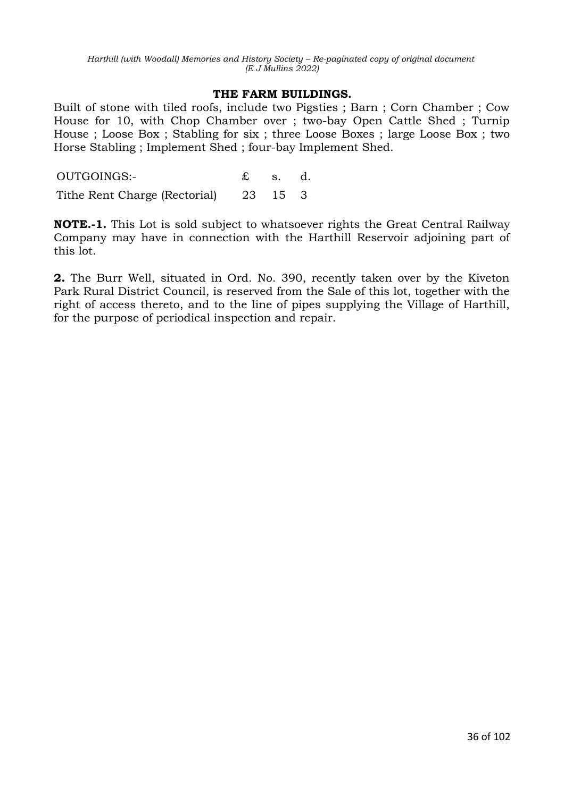### **THE FARM BUILDINGS.**

Built of stone with tiled roofs, include two Pigsties ; Barn ; Corn Chamber ; Cow House for 10, with Chop Chamber over ; two-bay Open Cattle Shed ; Turnip House ; Loose Box ; Stabling for six ; three Loose Boxes ; large Loose Box ; two Horse Stabling ; Implement Shed ; four-bay Implement Shed.

OUTGOINGS:- £ s. d. Tithe Rent Charge (Rectorial) 23 15 3

**NOTE.-1.** This Lot is sold subject to whatsoever rights the Great Central Railway Company may have in connection with the Harthill Reservoir adjoining part of this lot.

**2.** The Burr Well, situated in Ord. No. 390, recently taken over by the Kiveton Park Rural District Council, is reserved from the Sale of this lot, together with the right of access thereto, and to the line of pipes supplying the Village of Harthill, for the purpose of periodical inspection and repair.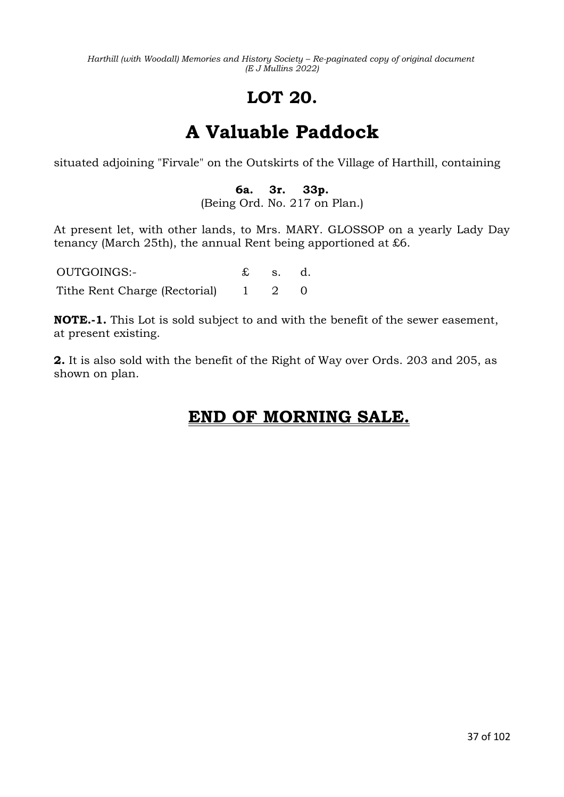# **LOT 20.**

# **A Valuable Paddock**

situated adjoining "Firvale" on the Outskirts of the Village of Harthill, containing

## **6a. 3r. 33p.**

(Being Ord. No. 217 on Plan.)

At present let, with other lands, to Mrs. MARY. GLOSSOP on a yearly Lady Day tenancy (March 25th), the annual Rent being apportioned at £6.

OUTGOINGS:- £ s. d. Tithe Rent Charge (Rectorial) 1 2 0

**NOTE.-1.** This Lot is sold subject to and with the benefit of the sewer easement, at present existing.

**2.** It is also sold with the benefit of the Right of Way over Ords. 203 and 205, as shown on plan.

## **END OF MORNING SALE.**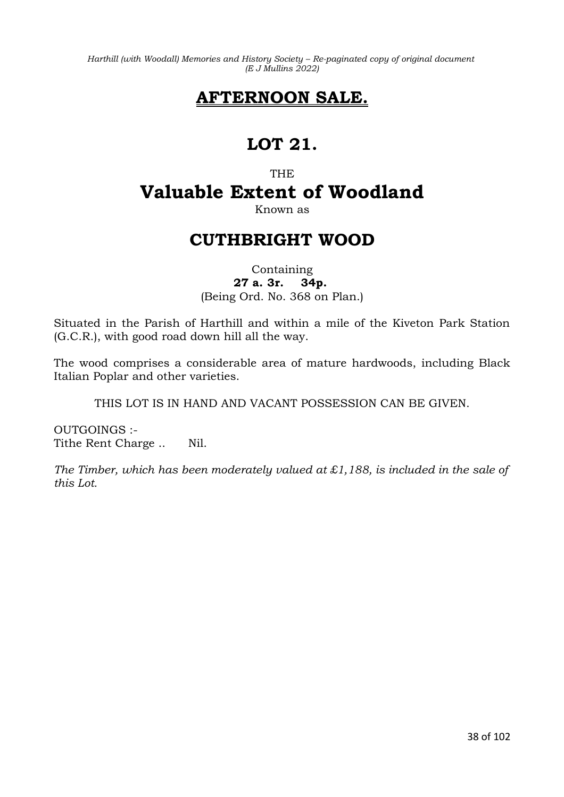## **AFTERNOON SALE.**

## **LOT 21.**

## **THE Valuable Extent of Woodland**

Known as

## **CUTHBRIGHT WOOD**

Containing **27 a. 3r. 34p.**  (Being Ord. No. 368 on Plan.)

Situated in the Parish of Harthill and within a mile of the Kiveton Park Station (G.C.R.), with good road down hill all the way.

The wood comprises a considerable area of mature hardwoods, including Black Italian Poplar and other varieties.

THIS LOT IS IN HAND AND VACANT POSSESSION CAN BE GIVEN.

OUTGOINGS :- Tithe Rent Charge .. Nil.

*The Timber, which has been moderately valued at £1,188, is included in the sale of this Lot.*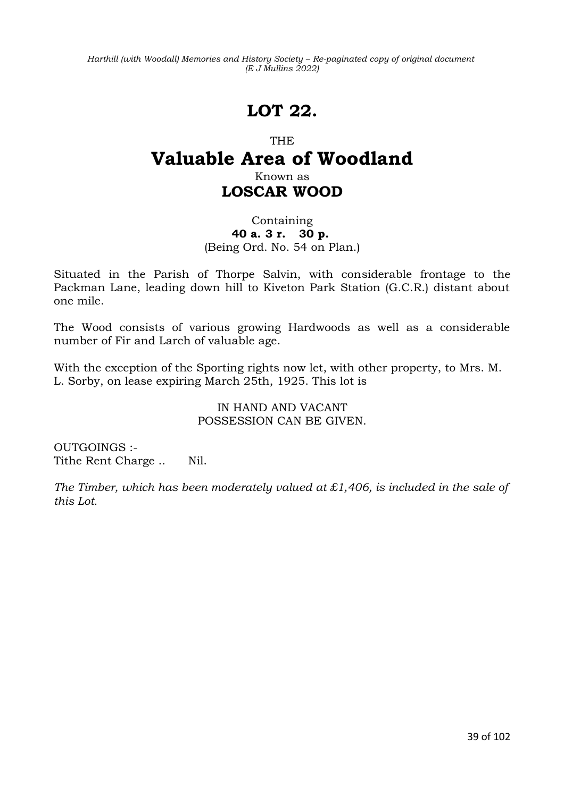## **LOT 22.**

### THE

## **Valuable Area of Woodland**

## Known as **LOSCAR WOOD**

### Containing **40 a. 3 r. 30 p.**  (Being Ord. No. 54 on Plan.)

Situated in the Parish of Thorpe Salvin, with considerable frontage to the Packman Lane, leading down hill to Kiveton Park Station (G.C.R.) distant about one mile.

The Wood consists of various growing Hardwoods as well as a considerable number of Fir and Larch of valuable age.

With the exception of the Sporting rights now let, with other property, to Mrs. M. L. Sorby, on lease expiring March 25th, 1925. This lot is

> IN HAND AND VACANT POSSESSION CAN BE GIVEN.

OUTGOINGS :- Tithe Rent Charge .. Nil.

*The Timber, which has been moderately valued at £1,406, is included in the sale of this Lot.*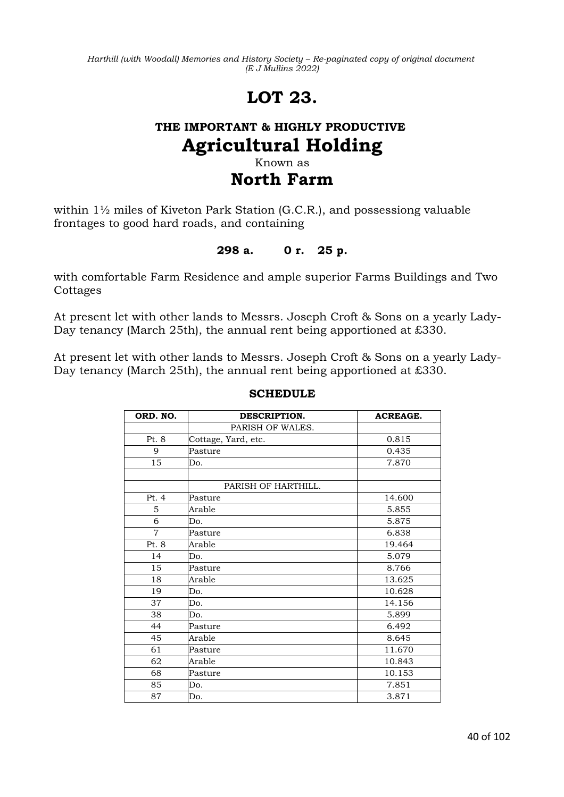## **LOT 23.**

## **THE IMPORTANT & HIGHLY PRODUCTIVE Agricultural Holding** Known as

## **North Farm**

within 1½ miles of Kiveton Park Station (G.C.R.), and possessiong valuable frontages to good hard roads, and containing

### **298 a. 0 r. 25 p.**

with comfortable Farm Residence and ample superior Farms Buildings and Two **Cottages** 

At present let with other lands to Messrs. Joseph Croft & Sons on a yearly Lady-Day tenancy (March 25th), the annual rent being apportioned at £330.

At present let with other lands to Messrs. Joseph Croft & Sons on a yearly Lady-Day tenancy (March 25th), the annual rent being apportioned at £330.

| ORD. NO.       | DESCRIPTION.        | <b>ACREAGE.</b> |
|----------------|---------------------|-----------------|
|                | PARISH OF WALES.    |                 |
| Pt. 8          | Cottage, Yard, etc. | 0.815           |
| 9              | Pasture             | 0.435           |
| 15             | Do.                 | 7.870           |
|                |                     |                 |
|                | PARISH OF HARTHILL. |                 |
| Pt.4           | Pasture             | 14.600          |
| 5              | Arable              | 5.855           |
| 6              | Do.                 | 5.875           |
| $\overline{7}$ | Pasture             | 6.838           |
| Pt. 8          | Arable              | 19.464          |
| 14             | Do.                 | 5.079           |
| 15             | Pasture             | 8.766           |
| 18             | Arable              | 13.625          |
| 19             | Do.                 | 10.628          |
| 37             | Do.                 | 14.156          |
| 38             | Do.                 | 5.899           |
| 44             | Pasture             | 6.492           |
| 45             | Arable              | 8.645           |
| 61             | Pasture             | 11.670          |
| 62             | Arable              | 10.843          |
| 68             | Pasture             | 10.153          |
| 85             | Do.                 | 7.851           |
| 87             | Do.                 | 3.871           |

### **SCHEDULE**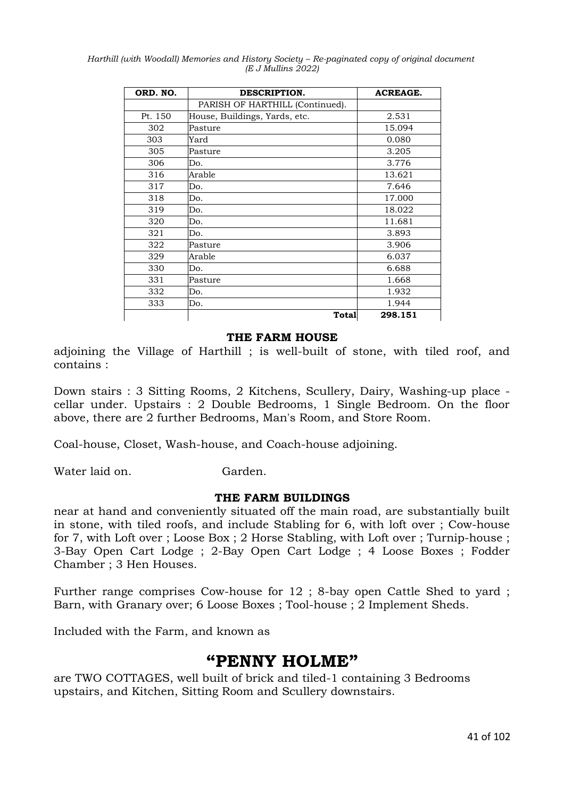| ORD. NO. | DESCRIPTION.                    | <b>ACREAGE.</b> |
|----------|---------------------------------|-----------------|
|          | PARISH OF HARTHILL (Continued). |                 |
| Pt. 150  | House, Buildings, Yards, etc.   | 2.531           |
| 302      | Pasture                         | 15.094          |
| 303      | Yard                            | 0.080           |
| 305      | Pasture                         | 3.205           |
| 306      | Do.                             | 3.776           |
| 316      | Arable                          | 13.621          |
| 317      | Do.                             | 7.646           |
| 318      | Do.                             | 17.000          |
| 319      | Do.                             | 18.022          |
| 320      | Do.                             | 11.681          |
| 321      | Do.                             | 3.893           |
| 322      | Pasture                         | 3.906           |
| 329      | Arable                          | 6.037           |
| 330      | Do.                             | 6.688           |
| 331      | Pasture                         | 1.668           |
| 332      | Do.                             | 1.932           |
| 333      | Do.                             | 1.944           |
|          | <b>Total</b>                    | 298.151         |

#### **THE FARM HOUSE**

adjoining the Village of Harthill ; is well-built of stone, with tiled roof, and contains :

Down stairs : 3 Sitting Rooms, 2 Kitchens, Scullery, Dairy, Washing-up place cellar under. Upstairs : 2 Double Bedrooms, 1 Single Bedroom. On the floor above, there are 2 further Bedrooms, Man's Room, and Store Room.

Coal-house, Closet, Wash-house, and Coach-house adjoining.

Water laid on. Garden.

#### **THE FARM BUILDINGS**

near at hand and conveniently situated off the main road, are substantially built in stone, with tiled roofs, and include Stabling for 6, with loft over ; Cow-house for 7, with Loft over ; Loose Box ; 2 Horse Stabling, with Loft over ; Turnip-house ; 3-Bay Open Cart Lodge ; 2-Bay Open Cart Lodge ; 4 Loose Boxes ; Fodder Chamber ; 3 Hen Houses.

Further range comprises Cow-house for 12 ; 8-bay open Cattle Shed to yard ; Barn, with Granary over; 6 Loose Boxes ; Tool-house ; 2 Implement Sheds.

Included with the Farm, and known as

## **"PENNY HOLME"**

are TWO COTTAGES, well built of brick and tiled-1 containing 3 Bedrooms upstairs, and Kitchen, Sitting Room and Scullery downstairs.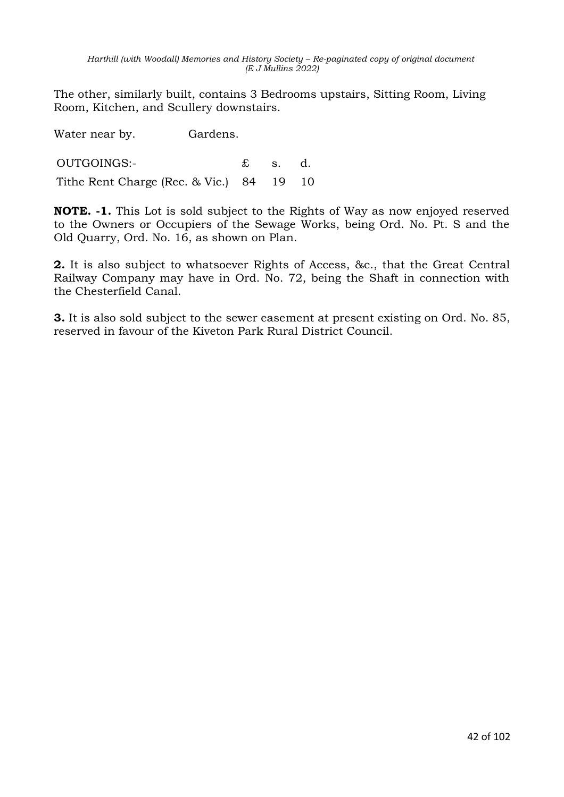The other, similarly built, contains 3 Bedrooms upstairs, Sitting Room, Living Room, Kitchen, and Scullery downstairs.

Water near by. Gardens. OUTGOINGS:- £ s. d. Tithe Rent Charge (Rec. & Vic.) 84 19 10

**NOTE. -1.** This Lot is sold subject to the Rights of Way as now enjoyed reserved to the Owners or Occupiers of the Sewage Works, being Ord. No. Pt. S and the Old Quarry, Ord. No. 16, as shown on Plan.

**2.** It is also subject to whatsoever Rights of Access, &c., that the Great Central Railway Company may have in Ord. No. 72, being the Shaft in connection with the Chesterfield Canal.

**3.** It is also sold subject to the sewer easement at present existing on Ord. No. 85, reserved in favour of the Kiveton Park Rural District Council.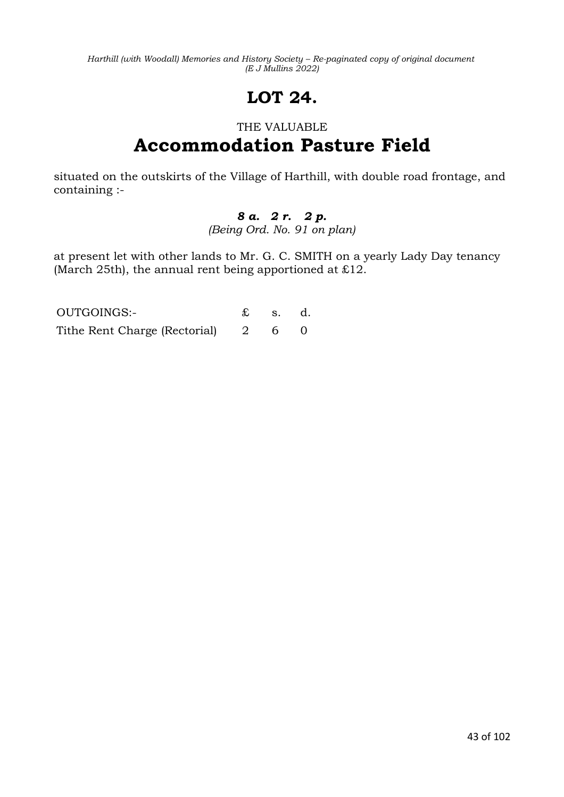# **LOT 24.**

## THE VALUABLE **Accommodation Pasture Field**

situated on the outskirts of the Village of Harthill, with double road frontage, and containing :-

### *8 a. 2 r. 2 p. (Being Ord. No. 91 on plan)*

at present let with other lands to Mr. G. C. SMITH on a yearly Lady Day tenancy (March 25th), the annual rent being apportioned at £12.

| OUTGOINGS:-                       | $\pounds$ s. d. |  |
|-----------------------------------|-----------------|--|
| Tithe Rent Charge (Rectorial) 2 6 |                 |  |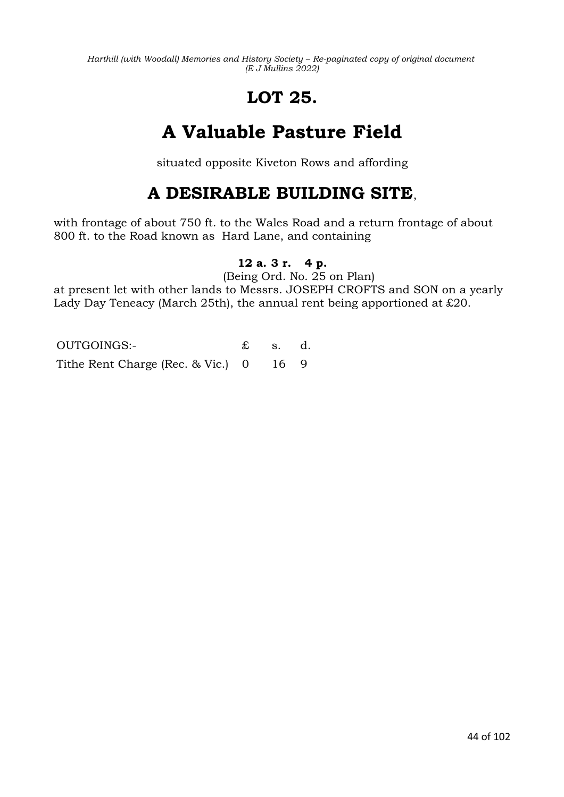# **LOT 25.**

# **A Valuable Pasture Field**

situated opposite Kiveton Rows and affording

## **A DESIRABLE BUILDING SITE**,

with frontage of about 750 ft. to the Wales Road and a return frontage of about 800 ft. to the Road known as Hard Lane, and containing

## **12 a. 3 r. 4 p.**

(Being Ord. No. 25 on Plan)

at present let with other lands to Messrs. JOSEPH CROFTS and SON on a yearly Lady Day Teneacy (March 25th), the annual rent being apportioned at £20.

OUTGOINGS:- £ s. d. Tithe Rent Charge (Rec. & Vic.) 0 16 9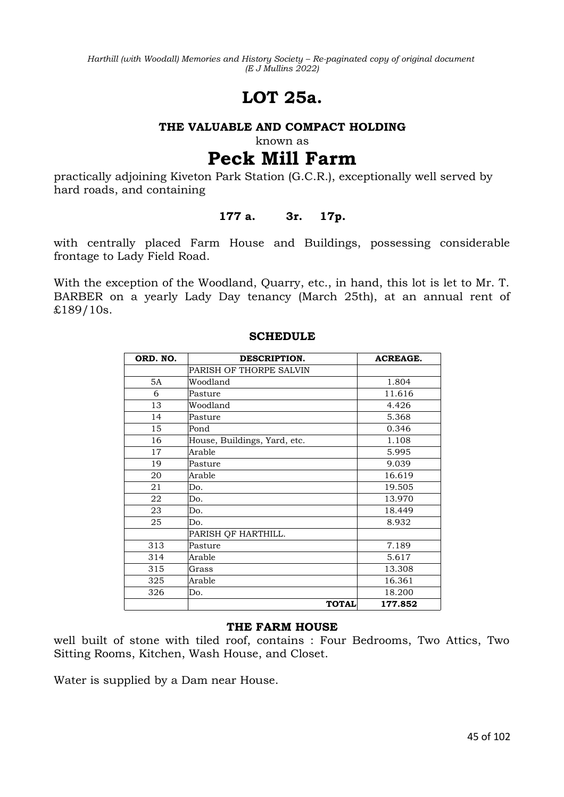## **LOT 25a.**

#### **THE VALUABLE AND COMPACT HOLDING**

known as

## **Peck Mill Farm**

practically adjoining Kiveton Park Station (G.C.R.), exceptionally well served by hard roads, and containing

### **177 a. 3r. 17p.**

with centrally placed Farm House and Buildings, possessing considerable frontage to Lady Field Road.

With the exception of the Woodland, Quarry, etc., in hand, this lot is let to Mr. T. BARBER on a yearly Lady Day tenancy (March 25th), at an annual rent of £189/10s.

| ORD. NO. | DESCRIPTION.                 | <b>ACREAGE.</b> |
|----------|------------------------------|-----------------|
|          | PARISH OF THORPE SALVIN      |                 |
| 5A       | Woodland                     | 1.804           |
| 6        | Pasture                      | 11.616          |
| 13       | Woodland                     | 4.426           |
| 14       | Pasture                      | 5.368           |
| 15       | Pond                         | 0.346           |
| 16       | House, Buildings, Yard, etc. | 1.108           |
| 17       | Arable                       | 5.995           |
| 19       | Pasture                      | 9.039           |
| 20       | Arable                       | 16.619          |
| 21       | Do.                          | 19.505          |
| 22       | Do.                          | 13.970          |
| 23       | Do.                          | 18.449          |
| 25       | Do.                          | 8.932           |
|          | PARISH QF HARTHILL.          |                 |
| 313      | Pasture                      | 7.189           |
| 314      | Arable                       | 5.617           |
| 315      | Grass                        | 13.308          |
| 325      | Arable                       | 16.361          |
| 326      | Do.                          | 18.200          |
|          | <b>TOTAL</b>                 | 177.852         |

#### **SCHEDULE**

#### **THE FARM HOUSE**

well built of stone with tiled roof, contains : Four Bedrooms, Two Attics, Two Sitting Rooms, Kitchen, Wash House, and Closet.

Water is supplied by a Dam near House.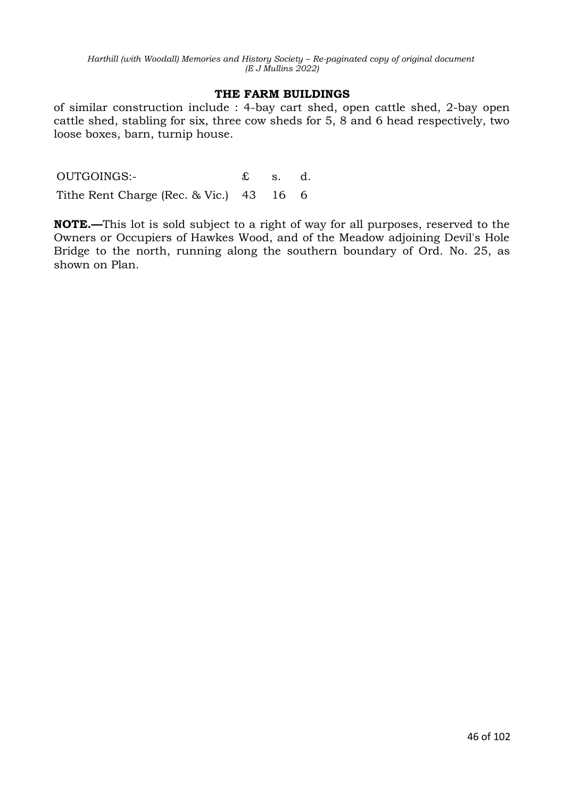#### **THE FARM BUILDINGS**

of similar construction include : 4-bay cart shed, open cattle shed, 2-bay open cattle shed, stabling for six, three cow sheds for 5, 8 and 6 head respectively, two loose boxes, barn, turnip house.

OUTGOINGS:- £ s. d. Tithe Rent Charge (Rec. & Vic.) 43 16 6

**NOTE.—**This lot is sold subject to a right of way for all purposes, reserved to the Owners or Occupiers of Hawkes Wood, and of the Meadow adjoining Devil's Hole Bridge to the north, running along the southern boundary of Ord. No. 25, as shown on Plan.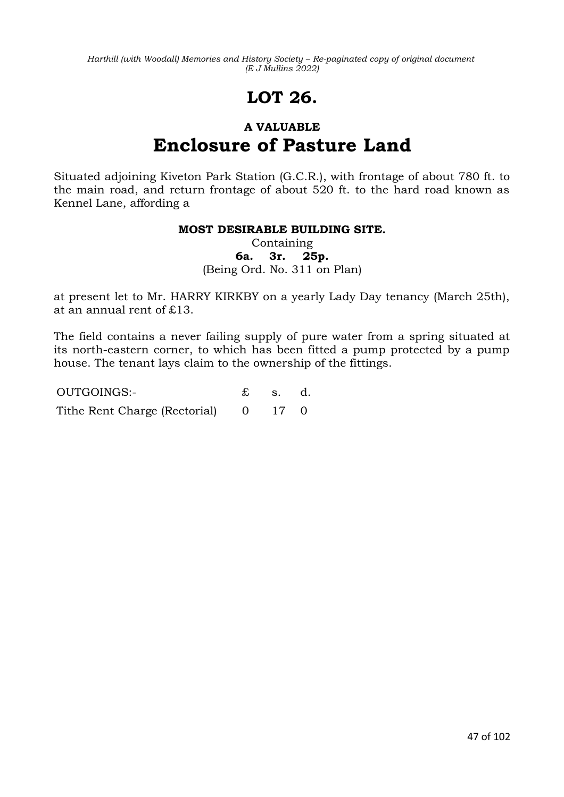# **LOT 26.**

## **A VALUABLE Enclosure of Pasture Land**

Situated adjoining Kiveton Park Station (G.C.R.), with frontage of about 780 ft. to the main road, and return frontage of about 520 ft. to the hard road known as Kennel Lane, affording a

### **MOST DESIRABLE BUILDING SITE.**

Containing **6a. 3r. 25p.** (Being Ord. No. 311 on Plan)

at present let to Mr. HARRY KIRKBY on a yearly Lady Day tenancy (March 25th), at an annual rent of £13.

The field contains a never failing supply of pure water from a spring situated at its north-eastern corner, to which has been fitted a pump protected by a pump house. The tenant lays claim to the ownership of the fittings.

OUTGOINGS:- £ s. d. Tithe Rent Charge (Rectorial) 0 17 0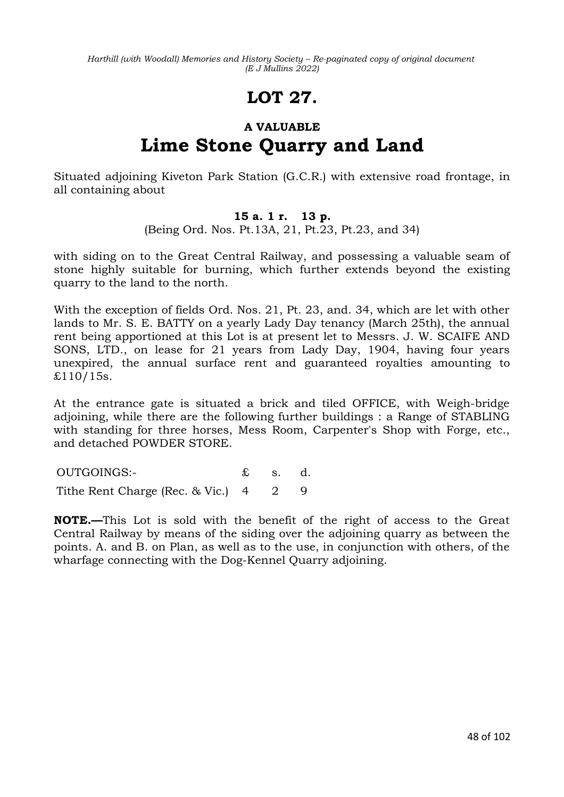# **LOT 27.**

## **A VALUABLE Lime Stone Quarry and Land**

Situated adjoining Kiveton Park Station (G.C.R.) with extensive road frontage, in all containing about

### **15 a. 1 r. 13 p.**

(Being Ord. Nos. Pt.13A, 21, Pt.23, Pt.23, and 34)

with siding on to the Great Central Railway, and possessing a valuable seam of stone highly suitable for burning, which further extends beyond the existing quarry to the land to the north.

With the exception of fields Ord. Nos. 21, Pt. 23, and. 34, which are let with other lands to Mr. S. E. BATTY on a yearly Lady Day tenancy (March 25th), the annual rent being apportioned at this Lot is at present let to Messrs. J. W. SCAIFE AND SONS, LTD., on lease for 21 years from Lady Day, 1904, having four years unexpired, the annual surface rent and guaranteed royalties amounting to  $£110/15s.$ 

At the entrance gate is situated a brick and tiled OFFICE, with Weigh-bridge adjoining, while there are the following further buildings : a Range of STABLING with standing for three horses, Mess Room, Carpenter's Shop with Forge, etc., and detached POWDER STORE.

OUTGOINGS:- £ s. d. Tithe Rent Charge (Rec. & Vic.) 4 2 9

**NOTE.—**This Lot is sold with the benefit of the right of access to the Great Central Railway by means of the siding over the adjoining quarry as between the points. A. and B. on Plan, as well as to the use, in conjunction with others, of the wharfage connecting with the Dog-Kennel Quarry adjoining.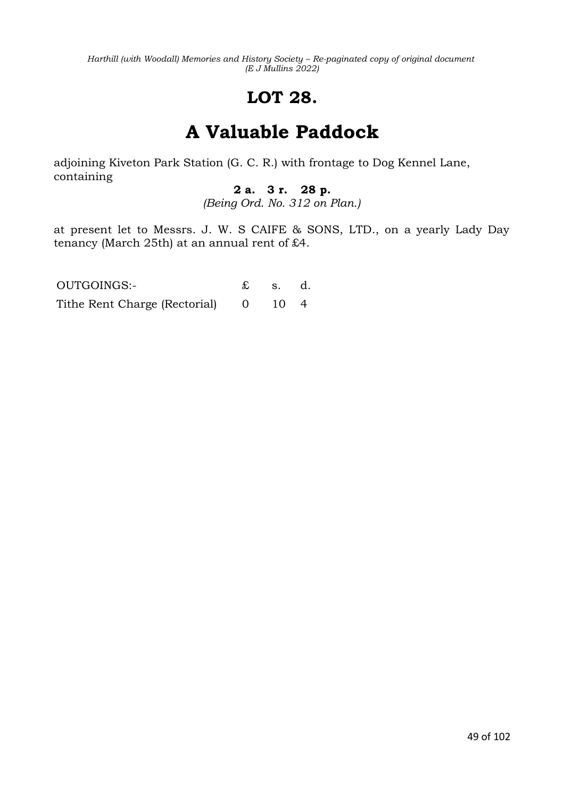# **LOT 28.**

# **A Valuable Paddock**

adjoining Kiveton Park Station (G. C. R.) with frontage to Dog Kennel Lane, containing

## **2 a. 3 r. 28 p.**

*(Being Ord. No. 312 on Plan.)*

at present let to Messrs. J. W. S CAIFE & SONS, LTD., on a yearly Lady Day tenancy (March 25th) at an annual rent of £4.

OUTGOINGS:- £ s. d. Tithe Rent Charge (Rectorial) 0 10 4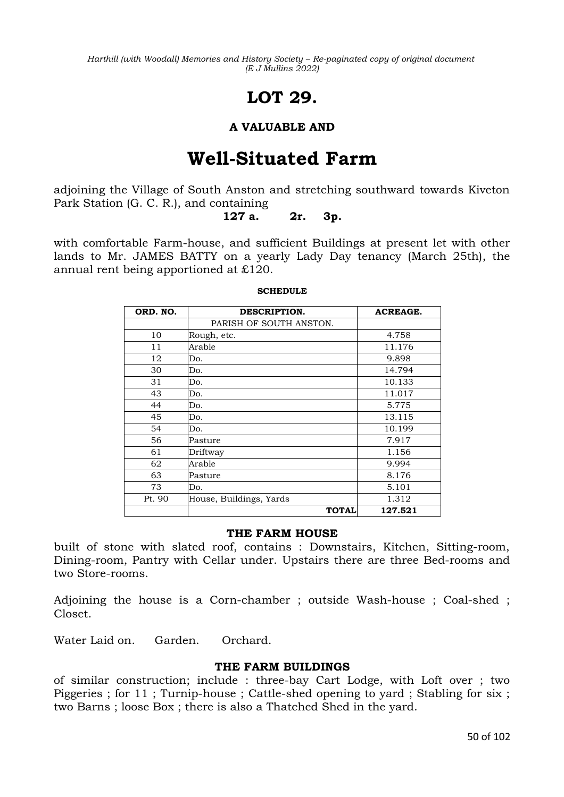# **LOT 29.**

### **A VALUABLE AND**

## **Well-Situated Farm**

adjoining the Village of South Anston and stretching southward towards Kiveton Park Station (G. C. R.), and containing

**127 a. 2r. 3p.**

with comfortable Farm-house, and sufficient Buildings at present let with other lands to Mr. JAMES BATTY on a yearly Lady Day tenancy (March 25th), the annual rent being apportioned at £120.

| ORD. NO. | DESCRIPTION.            | <b>ACREAGE.</b> |
|----------|-------------------------|-----------------|
|          | PARISH OF SOUTH ANSTON. |                 |
| 10       | Rough, etc.             | 4.758           |
| 11       | Arable                  | 11.176          |
| 12       | Do.                     | 9.898           |
| 30       | Do.                     | 14.794          |
| 31       | Do.                     | 10.133          |
| 43       | Do.                     | 11.017          |
| 44       | Do.                     | 5.775           |
| 45       | Do.                     | 13.115          |
| 54       | Do.                     | 10.199          |
| 56       | Pasture                 | 7.917           |
| 61       | Driftway                | 1.156           |
| 62       | Arable                  | 9.994           |
| 63       | Pasture                 | 8.176           |
| 73       | Do.                     | 5.101           |
| Pt. 90   | House, Buildings, Yards | 1.312           |
|          | <b>TOTAL</b>            | 127.521         |

#### **SCHEDULE**

#### **THE FARM HOUSE**

built of stone with slated roof, contains : Downstairs, Kitchen, Sitting-room, Dining-room, Pantry with Cellar under. Upstairs there are three Bed-rooms and two Store-rooms.

Adjoining the house is a Corn-chamber ; outside Wash-house ; Coal-shed ; Closet.

Water Laid on. Garden. Orchard.

#### **THE FARM BUILDINGS**

of similar construction; include : three-bay Cart Lodge, with Loft over ; two Piggeries ; for 11 ; Turnip-house ; Cattle-shed opening to yard ; Stabling for six ; two Barns ; loose Box ; there is also a Thatched Shed in the yard.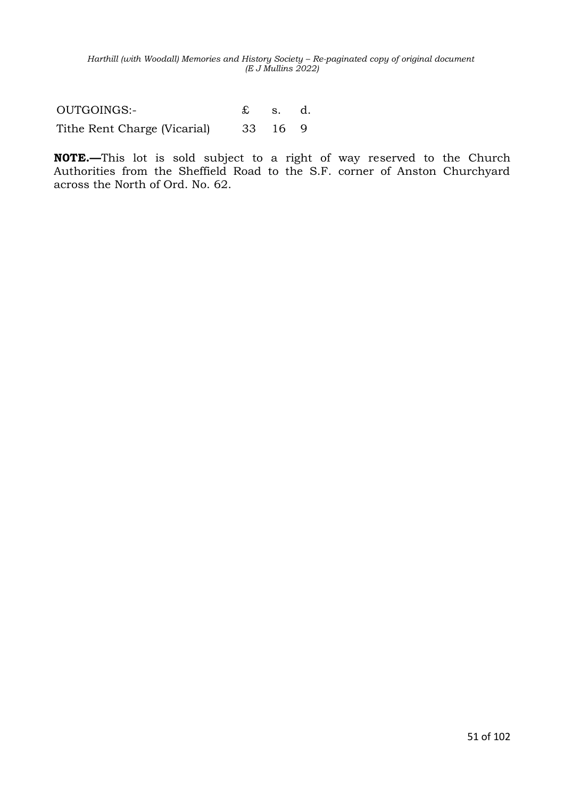OUTGOINGS:- £ s. d. Tithe Rent Charge (Vicarial) 33 16 9

**N0TE.—**This lot is sold subject to a right of way reserved to the Church Authorities from the Sheffield Road to the S.F. corner of Anston Churchyard across the North of Ord. No. 62.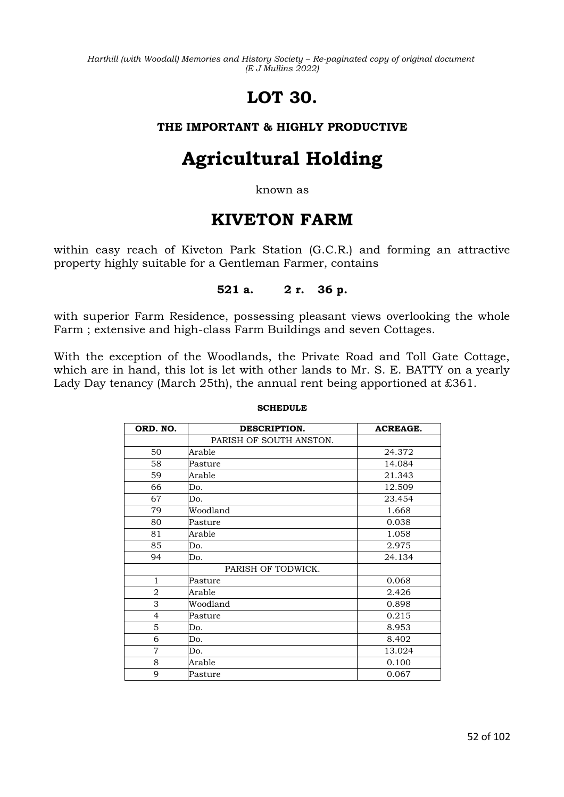# **LOT 30.**

### **THE IMPORTANT & HIGHLY PRODUCTIVE**

# **Agricultural Holding**

known as

## **KIVETON FARM**

within easy reach of Kiveton Park Station (G.C.R.) and forming an attractive property highly suitable for a Gentleman Farmer, contains

### **521 a. 2 r. 36 p.**

with superior Farm Residence, possessing pleasant views overlooking the whole Farm ; extensive and high-class Farm Buildings and seven Cottages.

With the exception of the Woodlands, the Private Road and Toll Gate Cottage, which are in hand, this lot is let with other lands to Mr. S. E. BATTY on a yearly Lady Day tenancy (March 25th), the annual rent being apportioned at £361.

| ORD. NO.       | DESCRIPTION.            | <b>ACREAGE.</b> |
|----------------|-------------------------|-----------------|
|                | PARISH OF SOUTH ANSTON. |                 |
| 50             | Arable                  | 24.372          |
| 58             | Pasture                 | 14.084          |
| 59             | Arable                  | 21.343          |
| 66             | Do.                     | 12.509          |
| 67             | Do.                     | 23.454          |
| 79             | Woodland                | 1.668           |
| 80             | Pasture                 | 0.038           |
| 81             | Arable                  | 1.058           |
| 85             | Do.                     | 2.975           |
| 94             | Do.                     | 24.134          |
|                | PARISH OF TODWICK.      |                 |
| $\mathbf{1}$   | Pasture                 | 0.068           |
| $\overline{2}$ | Arable                  | 2.426           |
| 3              | Woodland                | 0.898           |
| 4              | Pasture                 | 0.215           |
| 5              | Do.                     | 8.953           |
| 6              | Do.                     | 8.402           |
| $\overline{7}$ | Do.                     | 13.024          |
| 8              | Arable                  | 0.100           |
| 9              | Pasture                 | 0.067           |

#### **SCHEDULE**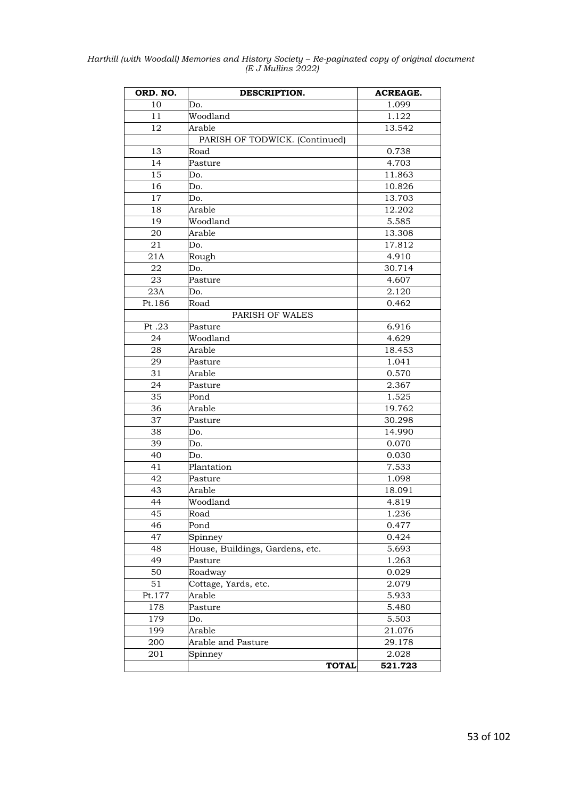| Harthill (with Woodall) Memories and History Society – Re-paginated copy of original document |                    |  |  |
|-----------------------------------------------------------------------------------------------|--------------------|--|--|
|                                                                                               | (E J Mullins 2022) |  |  |

| ORD. NO.        | DESCRIPTION.                    | <b>ACREAGE.</b> |
|-----------------|---------------------------------|-----------------|
| 10              | Do.                             | 1.099           |
| 11              | Woodland                        | 1.122           |
| 12              | Arable                          | 13.542          |
|                 | PARISH OF TODWICK. (Continued)  |                 |
| 13              | Road                            | 0.738           |
| 14              | Pasture                         | 4.703           |
| 15              | Do.                             | 11.863          |
| 16              | Do.                             | 10.826          |
| 17              | Do.                             | 13.703          |
| 18              | Arable                          | 12.202          |
| 19              | Woodland                        | 5.585           |
| 20              | Arable                          | 13.308          |
| 21              | Do.                             | 17.812          |
| 21A             | Rough                           | 4.910           |
| 22              | Do.                             | 30.714          |
| 23              | Pasture                         | 4.607           |
| 23A             | Do.                             | 2.120           |
| Pt.186          | Road                            | 0.462           |
|                 | PARISH OF WALES                 |                 |
| Pt.23           | Pasture                         | 6.916           |
| 24              | Woodland                        | 4.629           |
| 28              | Arable                          | 18.453          |
| 29              | Pasture                         | 1.041           |
| 31              | Arable                          | 0.570           |
| 24              | Pasture                         | 2.367           |
| 35              | Pond                            | 1.525           |
| 36              | Arable                          | 19.762          |
| 37              | Pasture                         | 30.298          |
| 38              | Do.                             | 14.990          |
| 39              | Do.                             | 0.070           |
| 40              | Do.                             | 0.030           |
| 41              | Plantation                      | 7.533           |
| 42              | Pasture                         | 1.098           |
| 43              | Arable                          | 18.091          |
| 44              | Woodland                        | 4.819           |
| $\overline{45}$ | Road                            | 1.236           |
| 46              | Pond                            | 0.477           |
| 47              | Spinney                         | 0.424           |
| 48              | House, Buildings, Gardens, etc. | 5.693           |
| 49              | Pasture                         | 1.263           |
| 50              | Roadway                         | 0.029           |
| 51              | Cottage, Yards, etc.            | 2.079           |
| Pt.177          | Arable                          | 5.933           |
| 178             | Pasture                         | 5.480           |
| 179             |                                 | 5.503           |
| 199             | Do.                             |                 |
|                 | Arable                          | 21.076          |
| 200             | Arable and Pasture              | 29.178<br>2.028 |
| 201             | Spinney                         |                 |
|                 | <b>TOTAL</b>                    | 521.723         |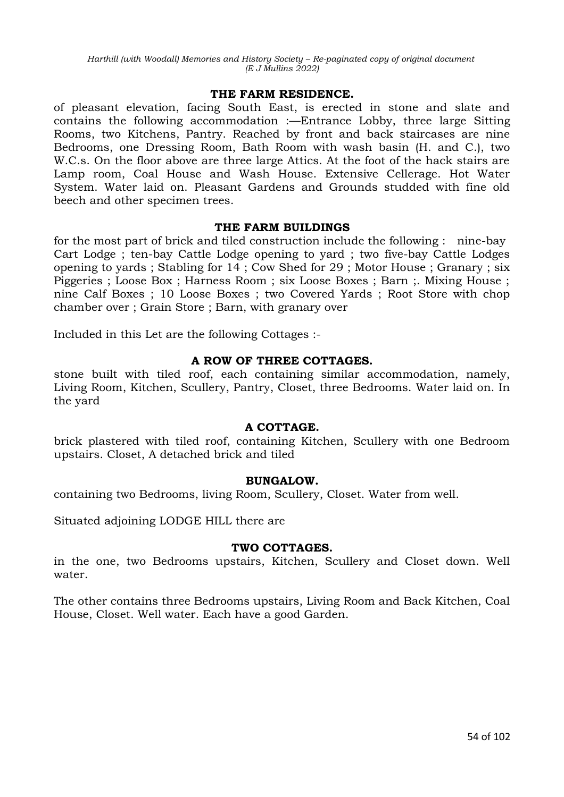#### **THE FARM RESIDENCE.**

of pleasant elevation, facing South East, is erected in stone and slate and contains the following accommodation :—Entrance Lobby, three large Sitting Rooms, two Kitchens, Pantry. Reached by front and back staircases are nine Bedrooms, one Dressing Room, Bath Room with wash basin (H. and C.), two W.C.s. On the floor above are three large Attics. At the foot of the hack stairs are Lamp room, Coal House and Wash House. Extensive Cellerage. Hot Water System. Water laid on. Pleasant Gardens and Grounds studded with fine old beech and other specimen trees.

#### **THE FARM BUILDINGS**

for the most part of brick and tiled construction include the following : nine-bay Cart Lodge ; ten-bay Cattle Lodge opening to yard ; two five-bay Cattle Lodges opening to yards ; Stabling for 14 ; Cow Shed for 29 ; Motor House ; Granary ; six Piggeries ; Loose Box ; Harness Room ; six Loose Boxes ; Barn ;. Mixing House ; nine Calf Boxes ; 10 Loose Boxes ; two Covered Yards ; Root Store with chop chamber over ; Grain Store ; Barn, with granary over

Included in this Let are the following Cottages :-

#### **A ROW OF THREE COTTAGES.**

stone built with tiled roof, each containing similar accommodation, namely, Living Room, Kitchen, Scullery, Pantry, Closet, three Bedrooms. Water laid on. In the yard

#### **A COTTAGE.**

brick plastered with tiled roof, containing Kitchen, Scullery with one Bedroom upstairs. Closet, A detached brick and tiled

#### **BUNGALOW.**

containing two Bedrooms, living Room, Scullery, Closet. Water from well.

Situated adjoining LODGE HILL there are

#### **TWO COTTAGES.**

in the one, two Bedrooms upstairs, Kitchen, Scullery and Closet down. Well water.

The other contains three Bedrooms upstairs, Living Room and Back Kitchen, Coal House, Closet. Well water. Each have a good Garden.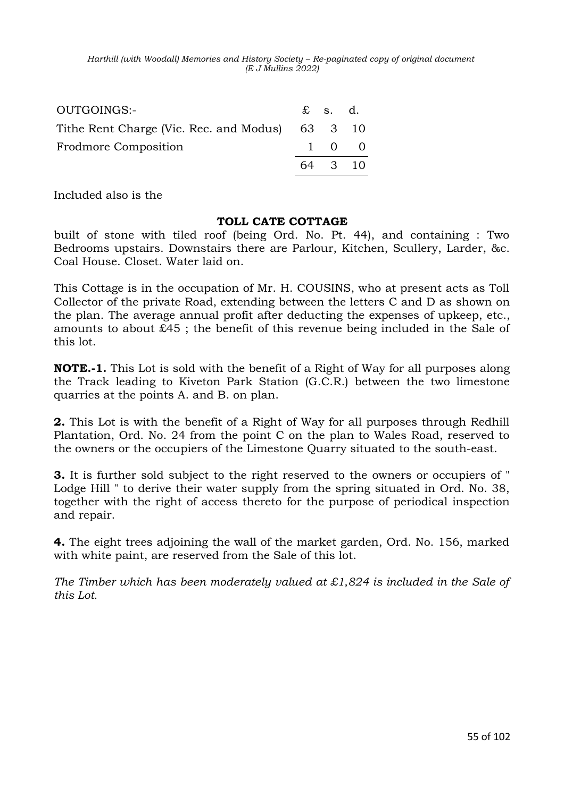| OUTGOINGS:-                                     | $\mathbf{\pounds}$ s. d. |                     |
|-------------------------------------------------|--------------------------|---------------------|
| Tithe Rent Charge (Vic. Rec. and Modus) 63 3 10 |                          |                     |
| <b>Frodmore Composition</b>                     |                          | $1 \quad 0 \quad 0$ |
|                                                 | 64 3 10                  |                     |

Included also is the

### **TOLL CATE COTTAGE**

built of stone with tiled roof (being Ord. No. Pt. 44), and containing : Two Bedrooms upstairs. Downstairs there are Parlour, Kitchen, Scullery, Larder, &c. Coal House. Closet. Water laid on.

This Cottage is in the occupation of Mr. H. COUSINS, who at present acts as Toll Collector of the private Road, extending between the letters C and D as shown on the plan. The average annual profit after deducting the expenses of upkeep, etc., amounts to about £45 ; the benefit of this revenue being included in the Sale of this lot.

**NOTE.-1.** This Lot is sold with the benefit of a Right of Way for all purposes along the Track leading to Kiveton Park Station (G.C.R.) between the two limestone quarries at the points A. and B. on plan.

**2.** This Lot is with the benefit of a Right of Way for all purposes through Redhill Plantation, Ord. No. 24 from the point C on the plan to Wales Road, reserved to the owners or the occupiers of the Limestone Quarry situated to the south-east.

**3.** It is further sold subject to the right reserved to the owners or occupiers of " Lodge Hill " to derive their water supply from the spring situated in Ord. No. 38, together with the right of access thereto for the purpose of periodical inspection and repair.

**4.** The eight trees adjoining the wall of the market garden, Ord. No. 156, marked with white paint, are reserved from the Sale of this lot.

*The Timber which has been moderately valued at £1,824 is included in the Sale of this Lot.*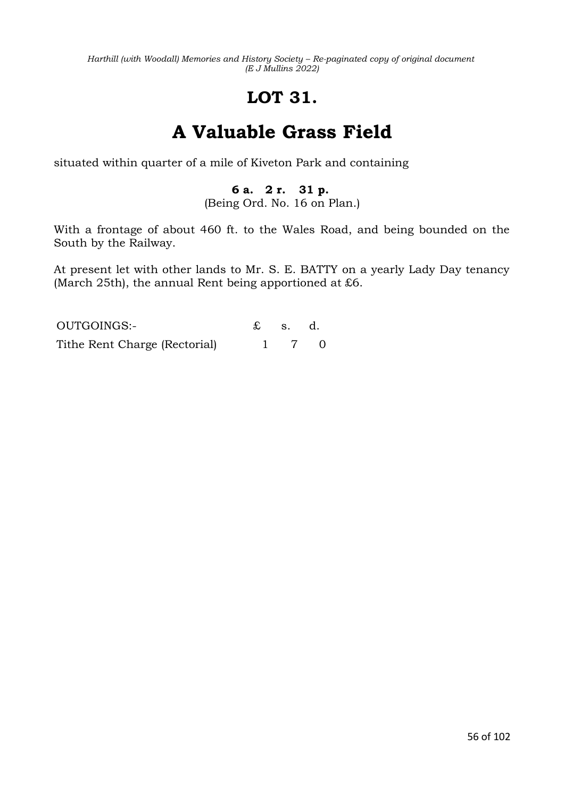# **LOT 31.**

# **A Valuable Grass Field**

situated within quarter of a mile of Kiveton Park and containing

## **6 a. 2 r. 31 p.**

(Being Ord. No. 16 on Plan.)

With a frontage of about 460 ft. to the Wales Road, and being bounded on the South by the Railway.

At present let with other lands to Mr. S. E. BATTY on a yearly Lady Day tenancy (March 25th), the annual Rent being apportioned at £6.

| OUTGOINGS:-                   | $\mathfrak{L}$ s. d. |       |  |
|-------------------------------|----------------------|-------|--|
| Tithe Rent Charge (Rectorial) |                      | 1 7 0 |  |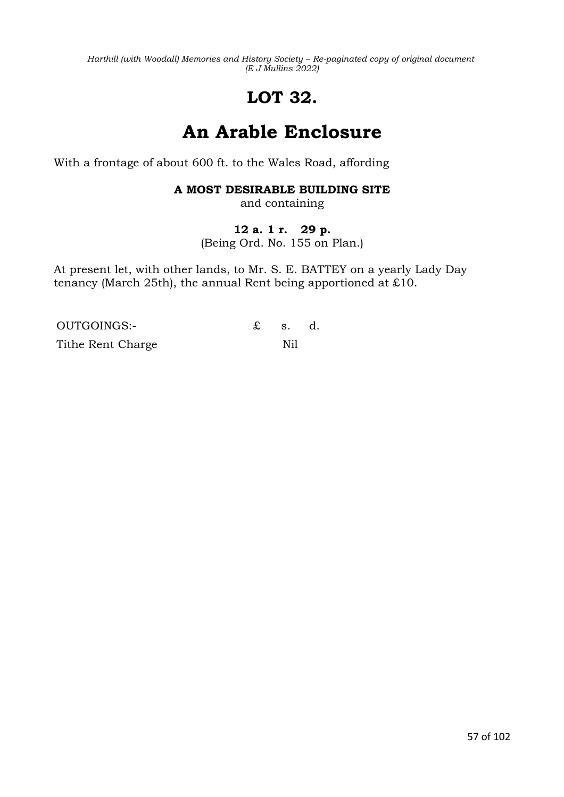# **LOT 32.**

# **An Arable Enclosure**

With a frontage of about 600 ft. to the Wales Road, affording

## **A MOST DESIRABLE BUILDING SITE**

and containing

### **12 a. 1 r. 29 p.**

(Being Ord. No. 155 on Plan.)

At present let, with other lands, to Mr. S. E. BATTEY on a yearly Lady Day tenancy (March 25th), the annual Rent being apportioned at £10.

OUTGOINGS:- £ s. d. Tithe Rent Charge Nil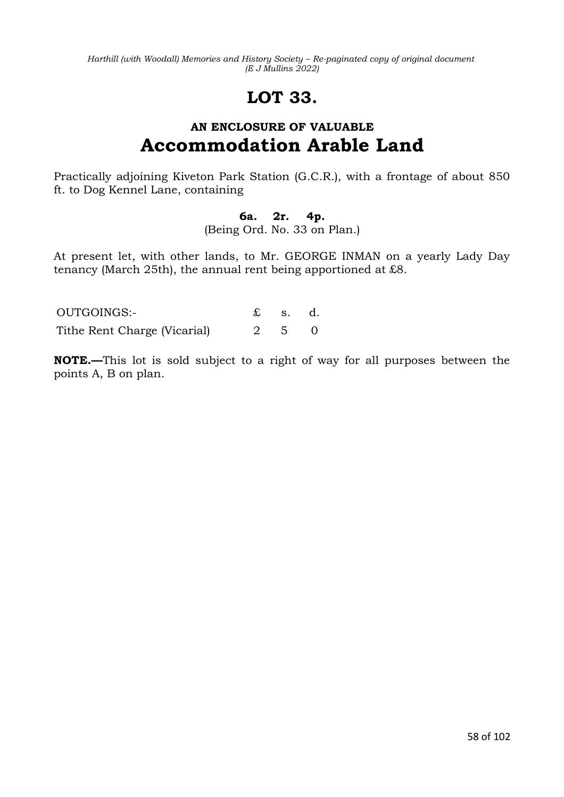# **LOT 33.**

## **AN ENCLOSURE OF VALUABLE Accommodation Arable Land**

Practically adjoining Kiveton Park Station (G.C.R.), with a frontage of about 850 ft. to Dog Kennel Lane, containing

## **6a. 2r. 4p.**

(Being Ord. No. 33 on Plan.)

At present let, with other lands, to Mr. GEORGE INMAN on a yearly Lady Day tenancy (March 25th), the annual rent being apportioned at £8.

| OUTGOINGS:-                  | $\mathbf{\pounds}$ s. d. |  |
|------------------------------|--------------------------|--|
| Tithe Rent Charge (Vicarial) | 2 5 0                    |  |

**NOTE.—**This lot is sold subject to a right of way for all purposes between the points A, B on plan.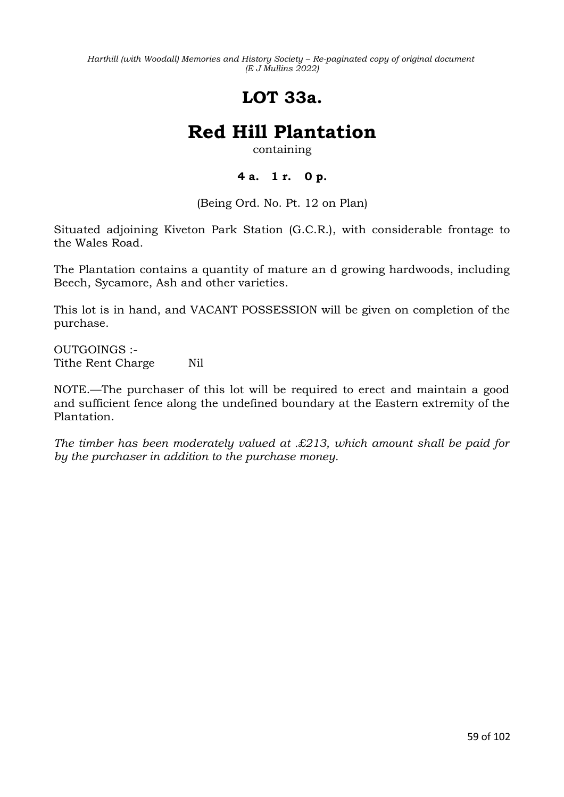## **LOT 33a.**

# **Red Hill Plantation**

containing

## **4 a. 1 r. 0 p.**

(Being Ord. No. Pt. 12 on Plan)

Situated adjoining Kiveton Park Station (G.C.R.), with considerable frontage to the Wales Road.

The Plantation contains a quantity of mature an d growing hardwoods, including Beech, Sycamore, Ash and other varieties.

This lot is in hand, and VACANT POSSESSION will be given on completion of the purchase.

OUTGOINGS :- Tithe Rent Charge Nil

NOTE.—The purchaser of this lot will be required to erect and maintain a good and sufficient fence along the undefined boundary at the Eastern extremity of the Plantation.

*The timber has been moderately valued at .£213, which amount shall be paid for by the purchaser in addition to the purchase money.*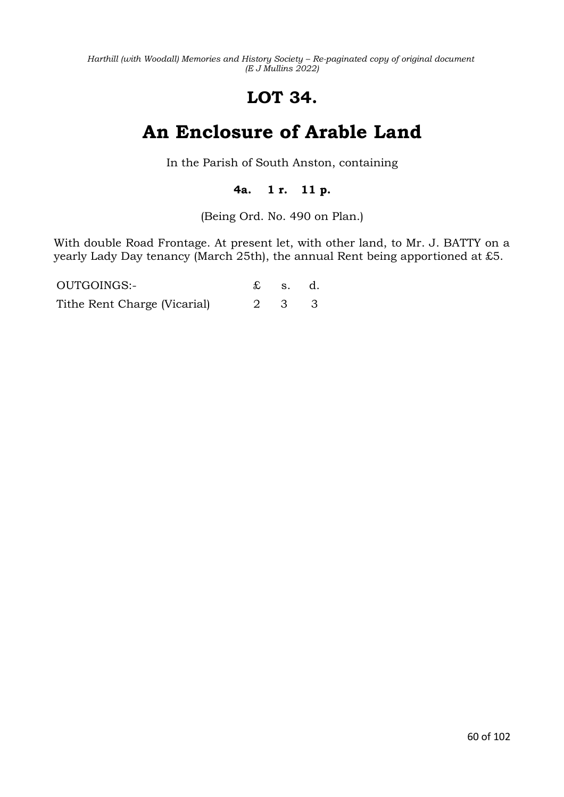# **LOT 34.**

# **An Enclosure of Arable Land**

In the Parish of South Anston, containing

## **4a. 1 r. 11 p.**

(Being Ord. No. 490 on Plan.)

With double Road Frontage. At present let, with other land, to Mr. J. BATTY on a yearly Lady Day tenancy (March 25th), the annual Rent being apportioned at £5.

| OUTGOINGS:-                  | $\mathfrak{L}$ s. d. |  |
|------------------------------|----------------------|--|
| Tithe Rent Charge (Vicarial) | 2 3 3                |  |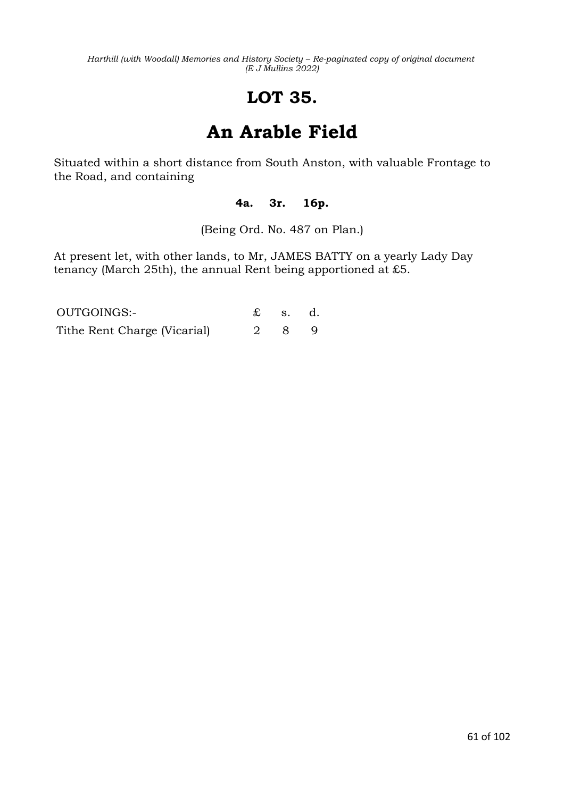# **LOT 35.**

# **An Arable Field**

Situated within a short distance from South Anston, with valuable Frontage to the Road, and containing

### **4a. 3r. 16p.**

(Being Ord. No. 487 on Plan.)

At present let, with other lands, to Mr, JAMES BATTY on a yearly Lady Day tenancy (March 25th), the annual Rent being apportioned at £5.

| OUTGOINGS:-                  | $\mathbf{\pounds}$ s. d. |  |
|------------------------------|--------------------------|--|
| Tithe Rent Charge (Vicarial) | 289                      |  |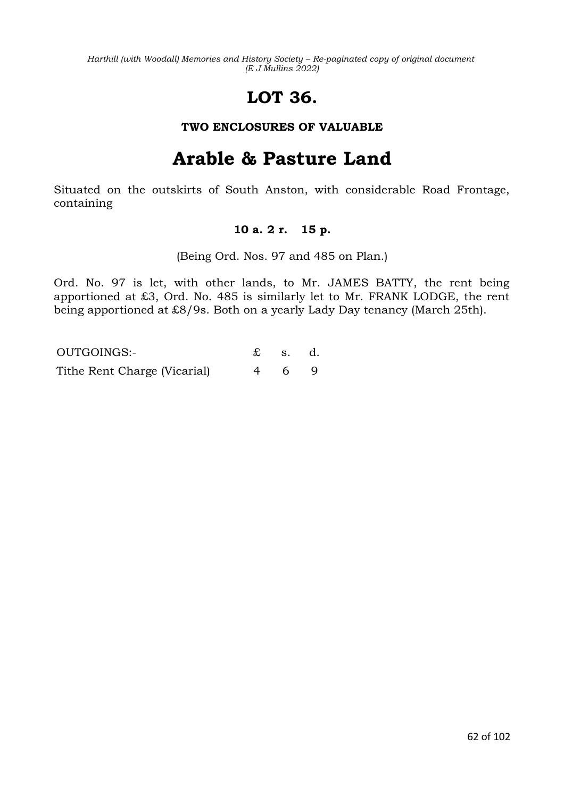# **LOT 36.**

### **TWO ENCLOSURES OF VALUABLE**

# **Arable & Pasture Land**

Situated on the outskirts of South Anston, with considerable Road Frontage, containing

### **10 a. 2 r. 15 p.**

(Being Ord. Nos. 97 and 485 on Plan.)

Ord. No. 97 is let, with other lands, to Mr. JAMES BATTY, the rent being apportioned at £3, Ord. No. 485 is similarly let to Mr. FRANK LODGE, the rent being apportioned at £8/9s. Both on a yearly Lady Day tenancy (March 25th).

| OUTGOINGS:-                  | $\mathbf{\pounds}$ s. d. |  |
|------------------------------|--------------------------|--|
| Tithe Rent Charge (Vicarial) | 469                      |  |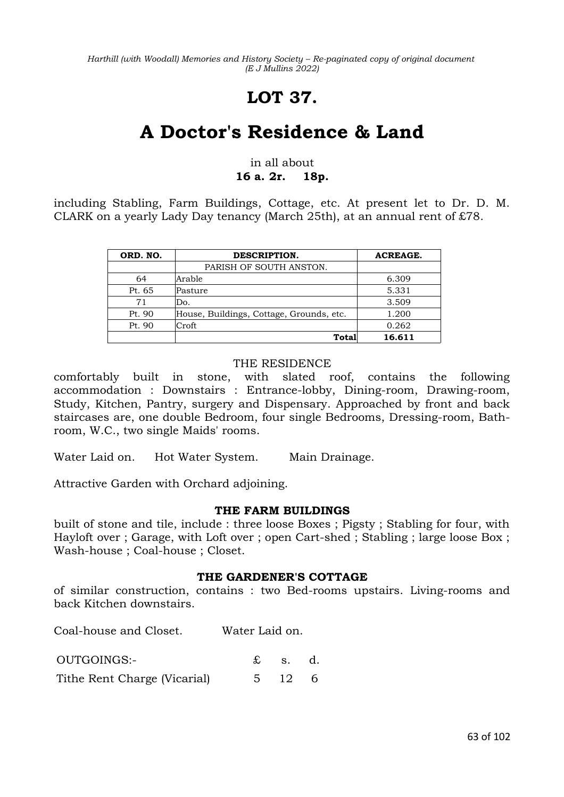# **LOT 37.**

# **A Doctor's Residence & Land**

### in all about **16 a. 2r. 18p.**

including Stabling, Farm Buildings, Cottage, etc. At present let to Dr. D. M. CLARK on a yearly Lady Day tenancy (March 25th), at an annual rent of £78.

| ORD. NO. | DESCRIPTION.                             | <b>ACREAGE.</b> |
|----------|------------------------------------------|-----------------|
|          | PARISH OF SOUTH ANSTON.                  |                 |
| 64       | Arable                                   | 6.309           |
| Pt. 65   | Pasture                                  | 5.331           |
| 71       | Do.                                      | 3.509           |
| Pt. 90   | House, Buildings, Cottage, Grounds, etc. | 1.200           |
| Pt. 90   | Croft                                    | 0.262           |
|          | Total                                    | 16.611          |

#### THE RESIDENCE

comfortably built in stone, with slated roof, contains the following accommodation : Downstairs : Entrance-lobby, Dining-room, Drawing-room, Study, Kitchen, Pantry, surgery and Dispensary. Approached by front and back staircases are, one double Bedroom, four single Bedrooms, Dressing-room, Bathroom, W.C., two single Maids' rooms.

Water Laid on. Hot Water System. Main Drainage.

Attractive Garden with Orchard adjoining.

### **THE FARM BUILDINGS**

built of stone and tile, include : three loose Boxes ; Pigsty ; Stabling for four, with Hayloft over ; Garage, with Loft over ; open Cart-shed ; Stabling ; large loose Box ; Wash-house ; Coal-house ; Closet.

#### **THE GARDENER'S COTTAGE**

of similar construction, contains : two Bed-rooms upstairs. Living-rooms and back Kitchen downstairs.

Coal-house and Closet. Water Laid on.

OUTGOINGS:- £ s. d. Tithe Rent Charge (Vicarial) 5 12 6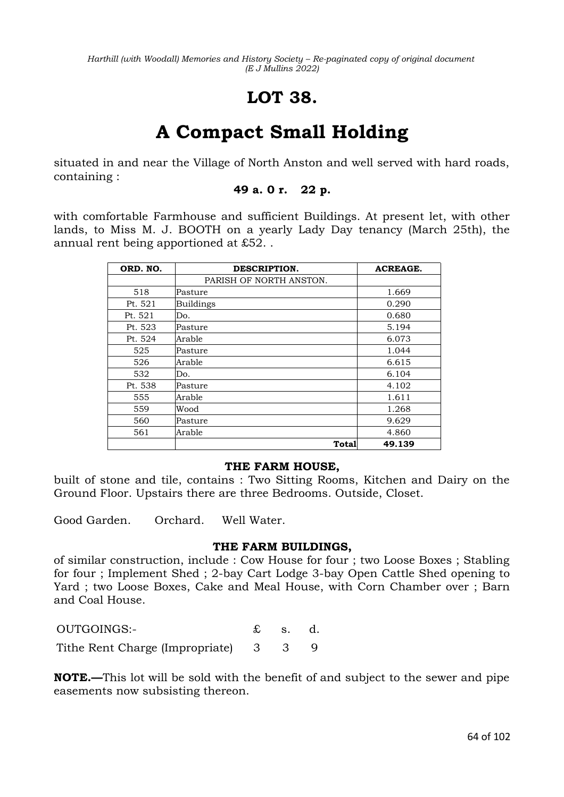## **LOT 38.**

# **A Compact Small Holding**

situated in and near the Village of North Anston and well served with hard roads, containing :

### **49 a. 0 r. 22 p.**

with comfortable Farmhouse and sufficient Buildings. At present let, with other lands, to Miss M. J. BOOTH on a yearly Lady Day tenancy (March 25th), the annual rent being apportioned at £52. .

| ORD. NO. | DESCRIPTION.            | <b>ACREAGE.</b> |
|----------|-------------------------|-----------------|
|          | PARISH OF NORTH ANSTON. |                 |
| 518      | Pasture                 | 1.669           |
| Pt. 521  | <b>Buildings</b>        | 0.290           |
| Pt. 521  | Do.                     | 0.680           |
| Pt. 523  | Pasture                 | 5.194           |
| Pt. 524  | Arable                  | 6.073           |
| 525      | Pasture                 | 1.044           |
| 526      | Arable                  | 6.615           |
| 532      | Do.                     | 6.104           |
| Pt. 538  | Pasture                 | 4.102           |
| 555      | Arable                  | 1.611           |
| 559      | Wood                    | 1.268           |
| 560      | Pasture                 | 9.629           |
| 561      | Arable                  | 4.860           |
|          | Total                   | 49.139          |

#### **THE FARM HOUSE,**

built of stone and tile, contains : Two Sitting Rooms, Kitchen and Dairy on the Ground Floor. Upstairs there are three Bedrooms. Outside, Closet.

Good Garden. Orchard. Well Water.

#### **THE FARM BUILDINGS,**

of similar construction, include : Cow House for four ; two Loose Boxes ; Stabling for four ; Implement Shed ; 2-bay Cart Lodge 3-bay Open Cattle Shed opening to Yard ; two Loose Boxes, Cake and Meal House, with Corn Chamber over ; Barn and Coal House.

OUTGOINGS:- £ s. d. Tithe Rent Charge (Impropriate) 3 3 9

**NOTE.—**This lot will be sold with the benefit of and subject to the sewer and pipe easements now subsisting thereon.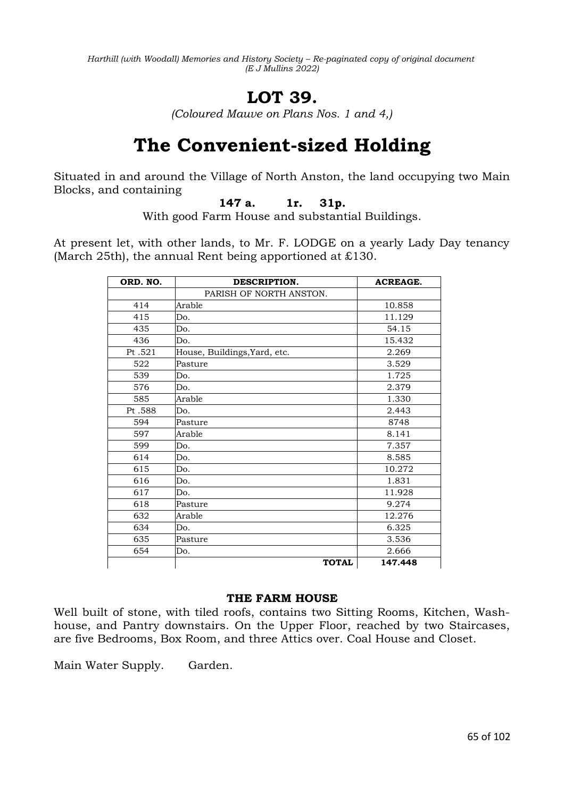# **LOT 39.**

*(Coloured Mauve on Plans Nos. 1 and 4,)*

# **The Convenient-sized Holding**

Situated in and around the Village of North Anston, the land occupying two Main Blocks, and containing

### **147 a. 1r. 31p.**

With good Farm House and substantial Buildings.

At present let, with other lands, to Mr. F. LODGE on a yearly Lady Day tenancy (March 25th), the annual Rent being apportioned at £130.

| ORD. NO. | DESCRIPTION.                 | <b>ACREAGE.</b> |
|----------|------------------------------|-----------------|
|          | PARISH OF NORTH ANSTON.      |                 |
| 414      | Arable                       | 10.858          |
| 415      | Do.                          | 11.129          |
| 435      | Do.                          | 54.15           |
| 436      | Do.                          | 15.432          |
| Pt.521   | House, Buildings, Yard, etc. | 2.269           |
| 522      | Pasture                      | 3.529           |
| 539      | Do.                          | 1.725           |
| 576      | Do.                          | 2.379           |
| 585      | Arable                       | 1.330           |
| Pt.588   | Do.                          | 2.443           |
| 594      | Pasture                      | 8748            |
| 597      | Arable                       | 8.141           |
| 599      | Do.                          | 7.357           |
| 614      | Do.                          | 8.585           |
| 615      | Do.                          | 10.272          |
| 616      | Do.                          | 1.831           |
| 617      | Do.                          | 11.928          |
| 618      | Pasture                      | 9.274           |
| 632      | Arable                       | 12.276          |
| 634      | Do.                          | 6.325           |
| 635      | Pasture                      | 3.536           |
| 654      | Do.                          | 2.666           |
|          | <b>TOTAL</b>                 | 147.448         |

### **THE FARM HOUSE**

Well built of stone, with tiled roofs, contains two Sitting Rooms, Kitchen, Washhouse, and Pantry downstairs. On the Upper Floor, reached by two Staircases, are five Bedrooms, Box Room, and three Attics over. Coal House and Closet.

Main Water Supply. Garden.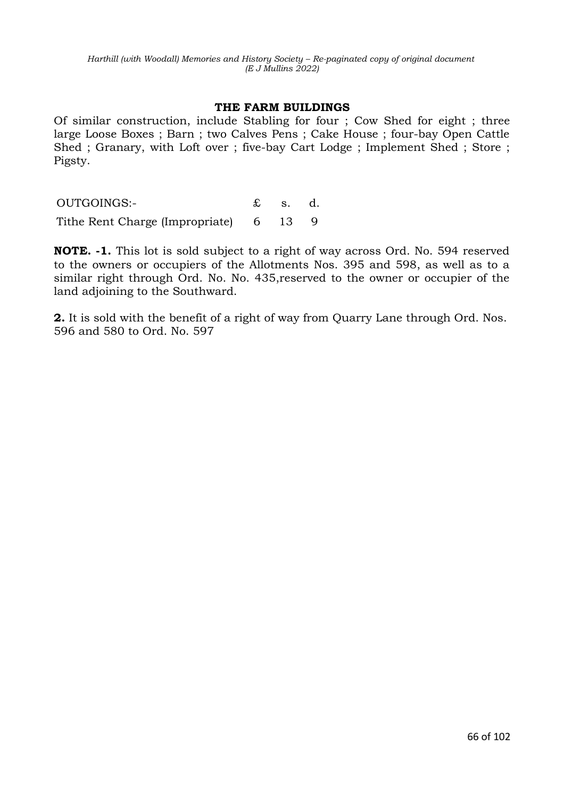#### **THE FARM BUILDINGS**

Of similar construction, include Stabling for four ; Cow Shed for eight ; three large Loose Boxes ; Barn ; two Calves Pens ; Cake House ; four-bay Open Cattle Shed ; Granary, with Loft over ; five-bay Cart Lodge ; Implement Shed ; Store ; Pigsty.

OUTGOINGS:- £ s. d.

Tithe Rent Charge (Impropriate) 6 13 9

**NOTE. -1.** This lot is sold subject to a right of way across Ord. No. 594 reserved to the owners or occupiers of the Allotments Nos. 395 and 598, as well as to a similar right through Ord. No. No. 435,reserved to the owner or occupier of the land adjoining to the Southward.

**2.** It is sold with the benefit of a right of way from Quarry Lane through Ord. Nos. 596 and 580 to Ord. No. 597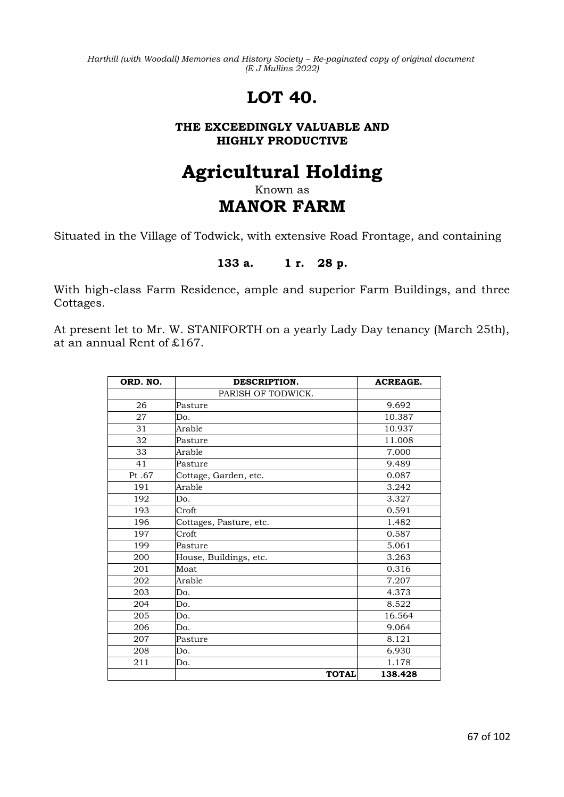# **LOT 40.**

### **THE EXCEEDINGLY VALUABLE AND HIGHLY PRODUCTIVE**

# **Agricultural Holding**

## Known as **MANOR FARM**

Situated in the Village of Todwick, with extensive Road Frontage, and containing

### **133 a. 1 r. 28 p.**

With high-class Farm Residence, ample and superior Farm Buildings, and three Cottages.

At present let to Mr. W. STANIFORTH on a yearly Lady Day tenancy (March 25th), at an annual Rent of £167.

| ORD. NO. | DESCRIPTION.            | <b>ACREAGE.</b> |
|----------|-------------------------|-----------------|
|          | PARISH OF TODWICK.      |                 |
| 26       | Pasture                 | 9.692           |
| 27       | Do.                     | 10.387          |
| 31       | Arable                  | 10.937          |
| 32       | Pasture                 | 11.008          |
| 33       | Arable                  | 7.000           |
| 41       | Pasture                 | 9.489           |
| Pt.67    | Cottage, Garden, etc.   | 0.087           |
| 191      | Arable                  | 3.242           |
| 192      | Do.                     | 3.327           |
| 193      | Croft                   | 0.591           |
| 196      | Cottages, Pasture, etc. | 1.482           |
| 197      | Croft                   | 0.587           |
| 199      | Pasture                 | 5.061           |
| 200      | House, Buildings, etc.  | 3.263           |
| 201      | Moat                    | 0.316           |
| 202      | Arable                  | 7.207           |
| 203      | Do.                     | 4.373           |
| 204      | Do.                     | 8.522           |
| 205      | Do.                     | 16.564          |
| 206      | Do.                     | 9.064           |
| 207      | Pasture                 | 8.121           |
| 208      | Do.                     | 6.930           |
| 211      | Do.                     | 1.178           |
|          | <b>TOTAL</b>            | 138.428         |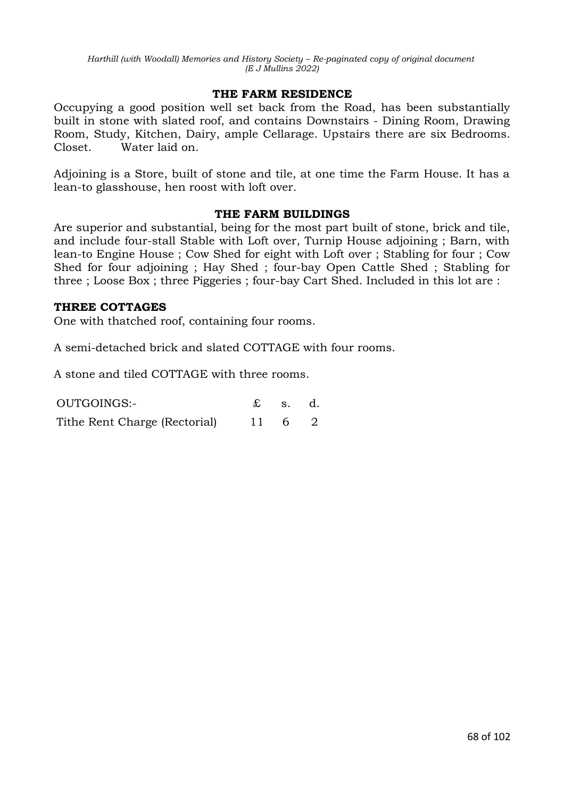#### **THE FARM RESIDENCE**

Occupying a good position well set back from the Road, has been substantially built in stone with slated roof, and contains Downstairs - Dining Room, Drawing Room, Study, Kitchen, Dairy, ample Cellarage. Upstairs there are six Bedrooms. Closet. Water laid on.

Adjoining is a Store, built of stone and tile, at one time the Farm House. It has a lean-to glasshouse, hen roost with loft over.

#### **THE FARM BUILDINGS**

Are superior and substantial, being for the most part built of stone, brick and tile, and include four-stall Stable with Loft over, Turnip House adjoining ; Barn, with lean-to Engine House ; Cow Shed for eight with Loft over ; Stabling for four ; Cow Shed for four adjoining ; Hay Shed ; four-bay Open Cattle Shed ; Stabling for three ; Loose Box ; three Piggeries ; four-bay Cart Shed. Included in this lot are :

#### **THREE COTTAGES**

One with thatched roof, containing four rooms.

A semi-detached brick and slated COTTAGE with four rooms.

A stone and tiled COTTAGE with three rooms.

| OUTGOINGS:-                   | $\mathfrak{L}$ s. d. |  |
|-------------------------------|----------------------|--|
| Tithe Rent Charge (Rectorial) | 11 6 2               |  |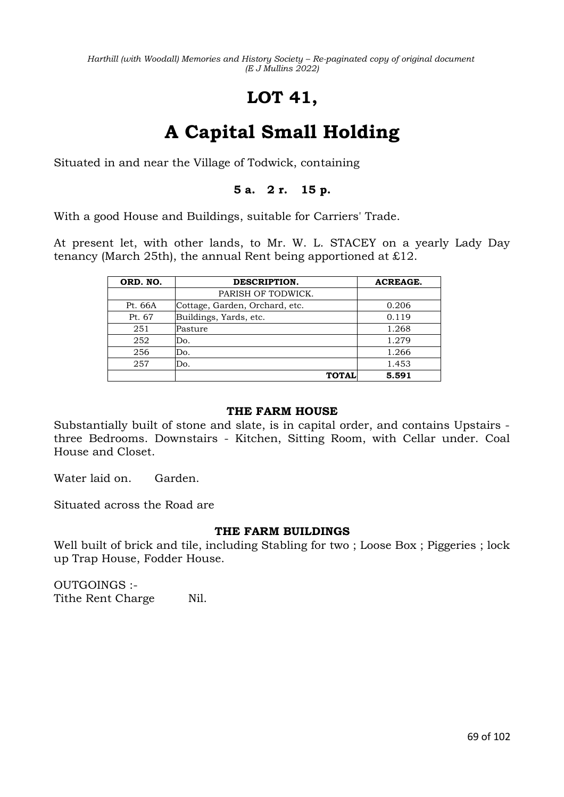# **LOT 41,**

# **A Capital Small Holding**

Situated in and near the Village of Todwick, containing

## **5 a. 2 r. 15 p.**

With a good House and Buildings, suitable for Carriers' Trade.

At present let, with other lands, to Mr. W. L. STACEY on a yearly Lady Day tenancy (March 25th), the annual Rent being apportioned at £12.

| ORD. NO. | DESCRIPTION.                   | <b>ACREAGE.</b> |
|----------|--------------------------------|-----------------|
|          | PARISH OF TODWICK.             |                 |
| Pt. 66A  | Cottage, Garden, Orchard, etc. | 0.206           |
| Pt. 67   | Buildings, Yards, etc.         | 0.119           |
| 251      | Pasture                        | 1.268           |
| 252      | Do.                            | 1.279           |
| 256      | Do.                            | 1.266           |
| 257      | Do.                            | 1.453           |
|          | <b>TOTAL</b>                   | 5.591           |

#### **THE FARM HOUSE**

Substantially built of stone and slate, is in capital order, and contains Upstairs three Bedrooms. Downstairs - Kitchen, Sitting Room, with Cellar under. Coal House and Closet.

Water laid on. Garden.

Situated across the Road are

#### **THE FARM BUILDINGS**

Well built of brick and tile, including Stabling for two ; Loose Box ; Piggeries ; lock up Trap House, Fodder House.

OUTGOINGS :- Tithe Rent Charge Nil.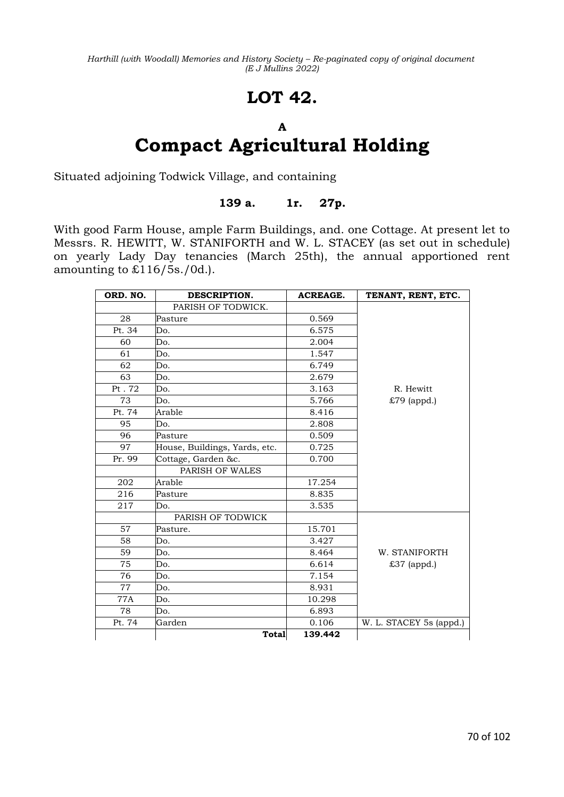## **LOT 42.**

## **A Compact Agricultural Holding**

Situated adjoining Todwick Village, and containing

### **139 a. 1r. 27p.**

With good Farm House, ample Farm Buildings, and. one Cottage. At present let to Messrs. R. HEWITT, W. STANIFORTH and W. L. STACEY (as set out in schedule) on yearly Lady Day tenancies (March 25th), the annual apportioned rent amounting to £116/5s./0d.).

| ORD. NO. | DESCRIPTION.                  | <b>ACREAGE.</b> | TENANT, RENT, ETC.      |
|----------|-------------------------------|-----------------|-------------------------|
|          | PARISH OF TODWICK.            |                 |                         |
| 28       | Pasture                       | 0.569           |                         |
| Pt. 34   | Do.                           | 6.575           |                         |
| 60       | Do.                           | 2.004           |                         |
| 61       | Do.                           | 1.547           |                         |
| 62       | Do.                           | 6.749           |                         |
| 63       | Do.                           | 2.679           |                         |
| Pt. 72   | Do.                           | 3.163           | R. Hewitt               |
| 73       | Do.                           | 5.766           | £79 (appd.)             |
| Pt. 74   | Arable                        | 8.416           |                         |
| 95       | Do.                           | 2.808           |                         |
| 96       | Pasture                       | 0.509           |                         |
| 97       | House, Buildings, Yards, etc. | 0.725           |                         |
| Pr. 99   | Cottage, Garden &c.           | 0.700           |                         |
|          | PARISH OF WALES               |                 |                         |
| 202      | Arable                        | 17.254          |                         |
| 216      | Pasture                       | 8.835           |                         |
| 217      | Do.                           | 3.535           |                         |
|          | PARISH OF TODWICK             |                 |                         |
| 57       | Pasture.                      | 15.701          |                         |
| 58       | Do.                           | 3.427           |                         |
| 59       | Do.                           | 8.464           | W. STANIFORTH           |
| 75       | Do.                           | 6.614           | £37 (appd.)             |
| 76       | Do.                           | 7.154           |                         |
| 77       | Do.                           | 8.931           |                         |
| 77A      | Do.                           | 10.298          |                         |
| 78       | Do.                           | 6.893           |                         |
| Pt. 74   | Garden                        | 0.106           | W. L. STACEY 5s (appd.) |
|          | Total                         | 139.442         |                         |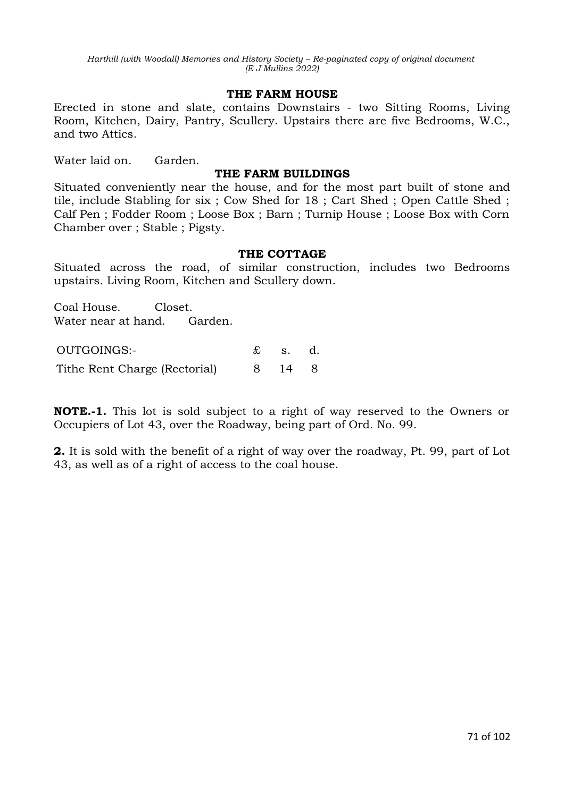#### **THE FARM HOUSE**

Erected in stone and slate, contains Downstairs - two Sitting Rooms, Living Room, Kitchen, Dairy, Pantry, Scullery. Upstairs there are five Bedrooms, W.C., and two Attics.

Water laid on. Garden.

#### **THE FARM BUILDINGS**

Situated conveniently near the house, and for the most part built of stone and tile, include Stabling for six ; Cow Shed for 18 ; Cart Shed ; Open Cattle Shed ; Calf Pen ; Fodder Room ; Loose Box ; Barn ; Turnip House ; Loose Box with Corn Chamber over ; Stable ; Pigsty.

#### **THE COTTAGE**

Situated across the road, of similar construction, includes two Bedrooms upstairs. Living Room, Kitchen and Scullery down.

Coal House. Closet. Water near at hand. Garden.

OUTGOINGS:- £ s. d. Tithe Rent Charge (Rectorial) 8 14 8

**NOTE.-1.** This lot is sold subject to a right of way reserved to the Owners or Occupiers of Lot 43, over the Roadway, being part of Ord. No. 99.

**2.** It is sold with the benefit of a right of way over the roadway, Pt. 99, part of Lot 43, as well as of a right of access to the coal house.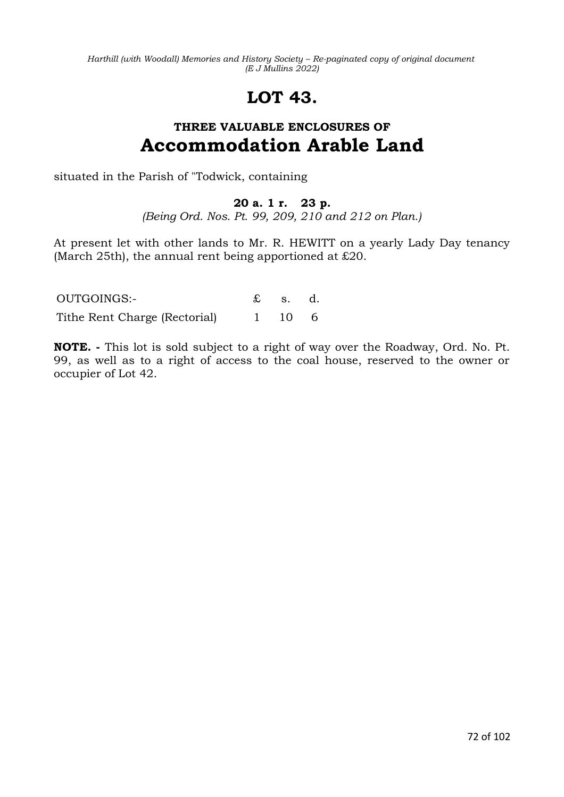# **LOT 43.**

## **THREE VALUABLE ENCLOSURES OF Accommodation Arable Land**

situated in the Parish of "Todwick, containing

## **20 a. 1 r. 23 p.**

*(Being Ord. Nos. Pt. 99, 209, 210 and 212 on Plan.)*

At present let with other lands to Mr. R. HEWITT on a yearly Lady Day tenancy (March 25th), the annual rent being apportioned at £20.

| OUTGOINGS:-                   | $\mathfrak{L}$ s. d. |  |
|-------------------------------|----------------------|--|
| Tithe Rent Charge (Rectorial) | 1 10 6               |  |

**NOTE. -** This lot is sold subject to a right of way over the Roadway, Ord. No. Pt. 99, as well as to a right of access to the coal house, reserved to the owner or occupier of Lot 42.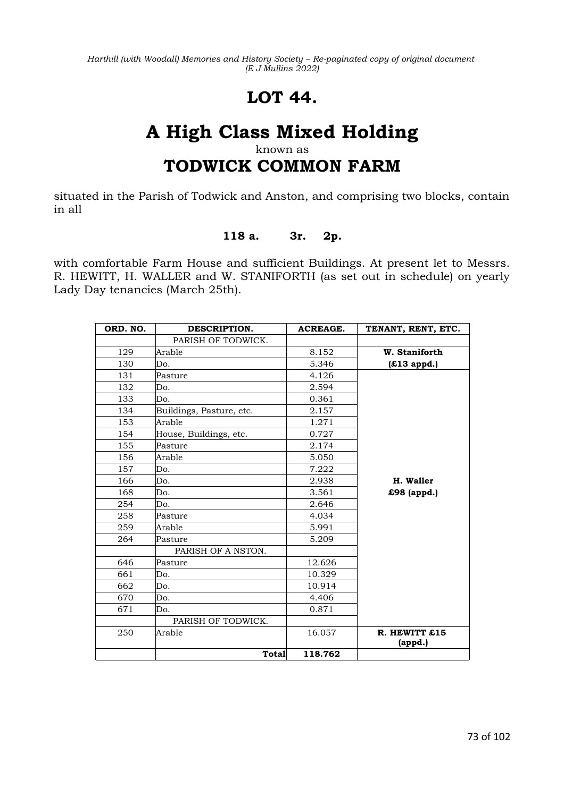# **LOT 44.**

# **A High Class Mixed Holding**

## known as

## **TODWICK COMMON FARM**

situated in the Parish of Todwick and Anston, and comprising two blocks, contain in all

### **118 a. 3r. 2p.**

with comfortable Farm House and sufficient Buildings. At present let to Messrs. R. HEWITT, H. WALLER and W. STANIFORTH (as set out in schedule) on yearly Lady Day tenancies (March 25th).

| ORD. NO. | DESCRIPTION.             | <b>ACREAGE.</b> | TENANT, RENT, ETC. |
|----------|--------------------------|-----------------|--------------------|
|          | PARISH OF TODWICK.       |                 |                    |
| 129      | Arable                   | 8.152           | W. Staniforth      |
| 130      | Do.                      | 5.346           | (£13 appd.)        |
| 131      | Pasture                  | 4.126           |                    |
| 132      | Do.                      | 2.594           |                    |
| 133      | Do.                      | 0.361           |                    |
| 134      | Buildings, Pasture, etc. | 2.157           |                    |
| 153      | Arable                   | 1.271           |                    |
| 154      | House, Buildings, etc.   | 0.727           |                    |
| 155      | Pasture                  | 2.174           |                    |
| 156      | Arable                   | 5.050           |                    |
| 157      | Do.                      | 7.222           |                    |
| 166      | Do.                      | 2.938           | H. Waller          |
| 168      | Do.                      | 3.561           | £98 (appd.)        |
| 254      | Do.                      | 2.646           |                    |
| 258      | Pasture                  | 4.034           |                    |
| 259      | Arable                   | 5.991           |                    |
| 264      | Pasture                  | 5.209           |                    |
|          | PARISH OF A NSTON.       |                 |                    |
| 646      | Pasture                  | 12.626          |                    |
| 661      | Do.                      | 10.329          |                    |
| 662      | Do.                      | 10.914          |                    |
| 670      | Do.                      | 4.406           |                    |
| 671      | Do.                      | 0.871           |                    |
|          | PARISH OF TODWICK.       |                 |                    |
| 250      | Arable                   | 16.057          | R. HEWITT £15      |
|          |                          |                 | (appd.)            |
|          | Total                    | 118.762         |                    |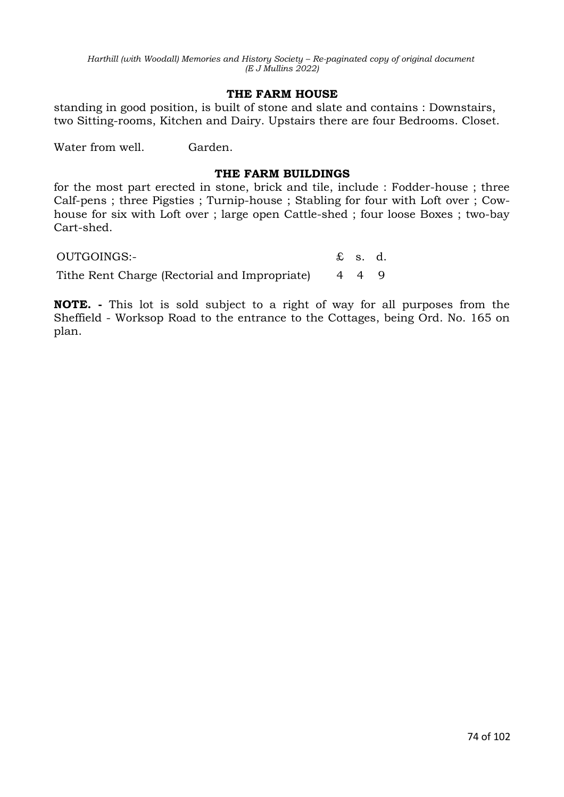#### **THE FARM HOUSE**

standing in good position, is built of stone and slate and contains : Downstairs, two Sitting-rooms, Kitchen and Dairy. Upstairs there are four Bedrooms. Closet.

Water from well. Garden.

## **THE FARM BUILDINGS**

for the most part erected in stone, brick and tile, include : Fodder-house ; three Calf-pens ; three Pigsties ; Turnip-house ; Stabling for four with Loft over ; Cowhouse for six with Loft over ; large open Cattle-shed ; four loose Boxes ; two-bay Cart-shed.

OUTGOINGS:- £ s. d. Tithe Rent Charge (Rectorial and Impropriate) 4 4 9

**NOTE. -** This lot is sold subject to a right of way for all purposes from the Sheffield - Worksop Road to the entrance to the Cottages, being Ord. No. 165 on plan.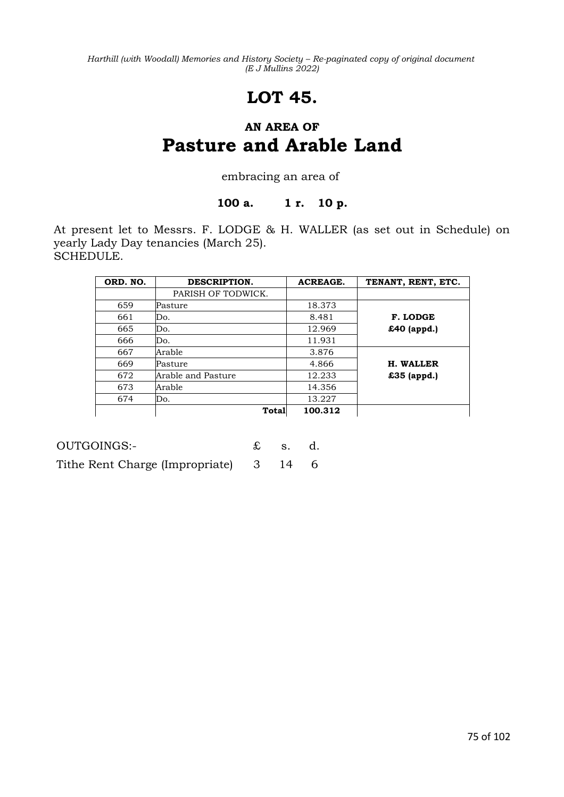# **LOT 45.**

## **AN AREA OF Pasture and Arable Land**

### embracing an area of

### **100 a. 1 r. 10 p.**

At present let to Messrs. F. LODGE & H. WALLER (as set out in Schedule) on yearly Lady Day tenancies (March 25). SCHEDULE.

| ORD. NO. | DESCRIPTION.       | <b>ACREAGE.</b> | TENANT, RENT, ETC. |
|----------|--------------------|-----------------|--------------------|
|          | PARISH OF TODWICK. |                 |                    |
| 659      | Pasture            | 18.373          |                    |
| 661      | Do.                | 8.481           | F. LODGE           |
| 665      | Do.                | 12.969          | £40 (appd.)        |
| 666      | Do.                | 11.931          |                    |
| 667      | Arable             | 3.876           |                    |
| 669      | Pasture            | 4.866           | H. WALLER          |
| 672      | Arable and Pasture | 12.233          | £35 (appd.)        |
| 673      | Arable             | 14.356          |                    |
| 674      | Do.                | 13.227          |                    |
|          | Total              | 100.312         |                    |

| OUTGOINGS:-                            | $\mathbf{\pounds}$ s. d. |  |
|----------------------------------------|--------------------------|--|
| Tithe Rent Charge (Impropriate) 3 14 6 |                          |  |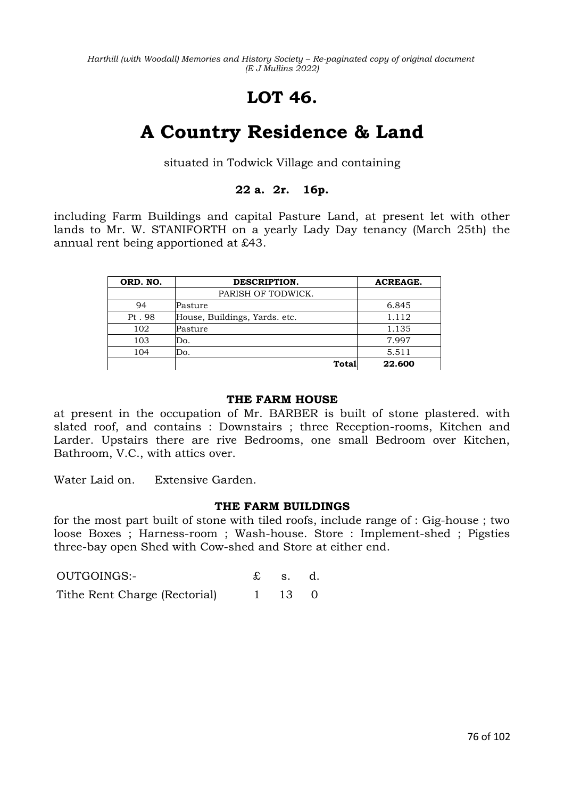# **LOT 46.**

# **A Country Residence & Land**

situated in Todwick Village and containing

## **22 a. 2r. 16p.**

including Farm Buildings and capital Pasture Land, at present let with other lands to Mr. W. STANIFORTH on a yearly Lady Day tenancy (March 25th) the annual rent being apportioned at £43.

| ORD. NO. | DESCRIPTION.                  | <b>ACREAGE.</b> |
|----------|-------------------------------|-----------------|
|          | PARISH OF TODWICK.            |                 |
| 94       | Pasture                       | 6.845           |
| Pt. 98   | House, Buildings, Yards. etc. | 1.112           |
| 102      | Pasture                       | 1.135           |
| 103      | Do.                           | 7.997           |
| 104      | Do.                           | 5.511           |
|          | Total                         | 22.600          |

#### **THE FARM HOUSE**

at present in the occupation of Mr. BARBER is built of stone plastered. with slated roof, and contains : Downstairs ; three Reception-rooms, Kitchen and Larder. Upstairs there are rive Bedrooms, one small Bedroom over Kitchen, Bathroom, V.C., with attics over.

Water Laid on. Extensive Garden.

#### **THE FARM BUILDINGS**

for the most part built of stone with tiled roofs, include range of : Gig-house ; two loose Boxes ; Harness-room ; Wash-house. Store : Implement-shed ; Pigsties three-bay open Shed with Cow-shed and Store at either end.

| OUTGOINGS:-                   | $\mathbf{\pounds}$ s. d. |  |
|-------------------------------|--------------------------|--|
| Tithe Rent Charge (Rectorial) | 1 13 0                   |  |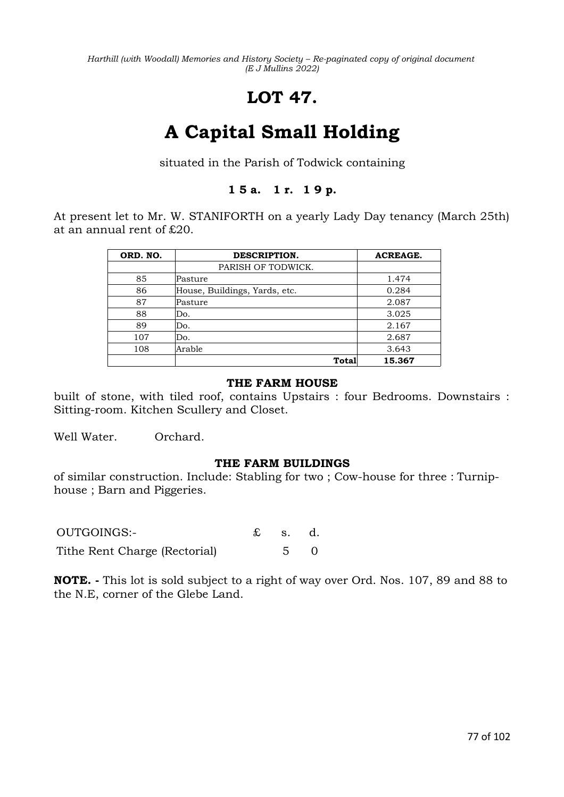# **LOT 47.**

# **A Capital Small Holding**

situated in the Parish of Todwick containing

## **1 5 a. 1 r. 1 9 p.**

At present let to Mr. W. STANIFORTH on a yearly Lady Day tenancy (March 25th) at an annual rent of £20.

| ORD. NO. | DESCRIPTION.                  | ACREAGE. |
|----------|-------------------------------|----------|
|          | PARISH OF TODWICK.            |          |
| 85       | Pasture                       | 1.474    |
| 86       | House, Buildings, Yards, etc. | 0.284    |
| 87       | Pasture                       | 2.087    |
| 88       | Do.                           | 3.025    |
| 89       | Do.                           | 2.167    |
| 107      | Do.                           | 2.687    |
| 108      | Arable                        | 3.643    |
|          | Total                         | 15.367   |

### **THE FARM HOUSE**

built of stone, with tiled roof, contains Upstairs : four Bedrooms. Downstairs : Sitting-room. Kitchen Scullery and Closet.

Well Water. Orchard.

#### **THE FARM BUILDINGS**

of similar construction. Include: Stabling for two ; Cow-house for three : Turniphouse ; Barn and Piggeries.

| OUTGOINGS:-                   | $\mathbf{\pounds}$ s. d. |  |
|-------------------------------|--------------------------|--|
| Tithe Rent Charge (Rectorial) | $5 \quad 0$              |  |

**NOTE. -** This lot is sold subject to a right of way over Ord. Nos. 107, 89 and 88 to the N.E, corner of the Glebe Land.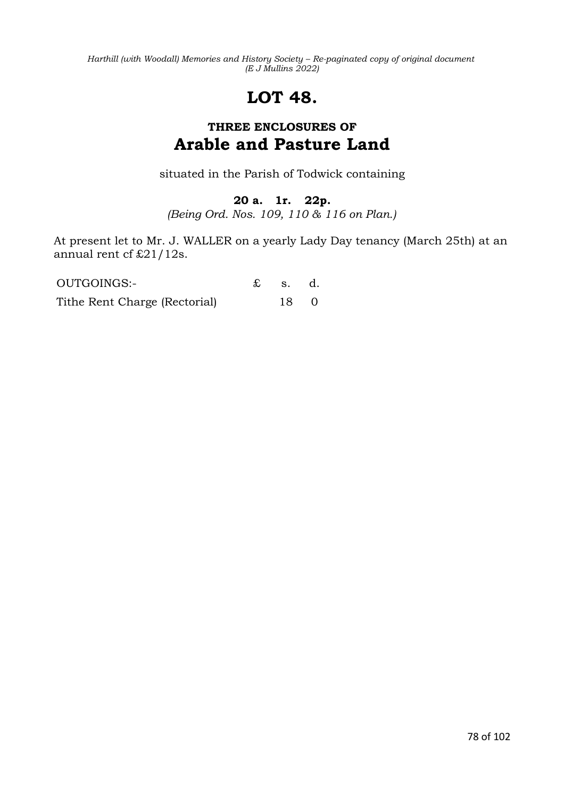# **LOT 48.**

## **THREE ENCLOSURES OF Arable and Pasture Land**

situated in the Parish of Todwick containing

## **20 a. 1r. 22p.**

*(Being Ord. Nos. 109, 110 & 116 on Plan.)*

At present let to Mr. J. WALLER on a yearly Lady Day tenancy (March 25th) at an annual rent cf £21/12s.

| OUTGOINGS:-                   | $\mathbf{\pounds}$ s. d. |  |
|-------------------------------|--------------------------|--|
| Tithe Rent Charge (Rectorial) | 18 0                     |  |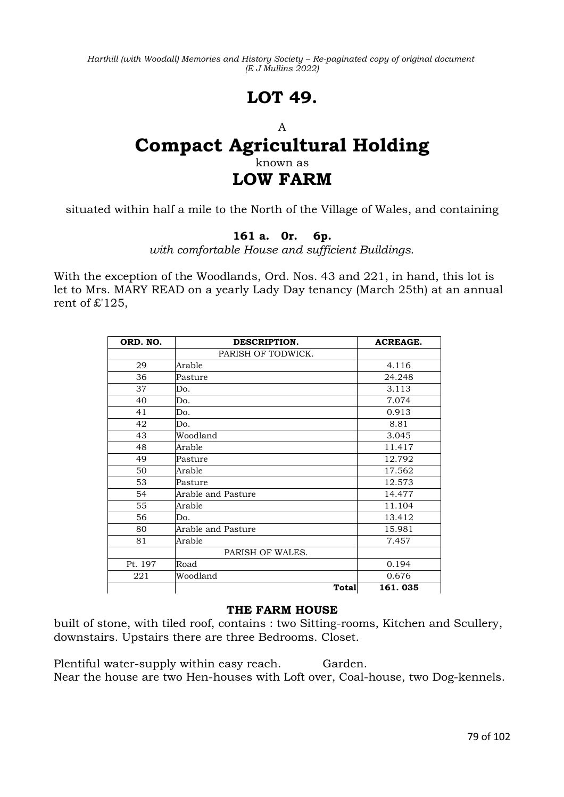# **LOT 49.**

#### A

# **Compact Agricultural Holding** known as **LOW FARM**

situated within half a mile to the North of the Village of Wales, and containing

## **161 a. 0r. 6p.**

*with comfortable House and sufficient Buildings.*

With the exception of the Woodlands, Ord. Nos. 43 and 221, in hand, this lot is let to Mrs. MARY READ on a yearly Lady Day tenancy (March 25th) at an annual rent of £'125,

| ORD. NO. | DESCRIPTION.       | <b>ACREAGE.</b> |
|----------|--------------------|-----------------|
|          | PARISH OF TODWICK. |                 |
| 29       | Arable             | 4.116           |
| 36       | Pasture            | 24.248          |
| 37       | Do.                | 3.113           |
| 40       | Do.                | 7.074           |
| 41       | Do.                | 0.913           |
| 42       | Do.                | 8.81            |
| 43       | Woodland           | 3.045           |
| 48       | Arable             | 11.417          |
| 49       | Pasture            | 12.792          |
| 50       | Arable             | 17.562          |
| 53       | Pasture            | 12.573          |
| 54       | Arable and Pasture | 14.477          |
| 55       | Arable             | 11.104          |
| 56       | Do.                | 13.412          |
| 80       | Arable and Pasture | 15.981          |
| 81       | Arable             | 7.457           |
|          | PARISH OF WALES.   |                 |
| Pt. 197  | Road               | 0.194           |
| 221      | Woodland           | 0.676           |
|          | <b>Total</b>       | 161.035         |

#### **THE FARM HOUSE**

built of stone, with tiled roof, contains : two Sitting-rooms, Kitchen and Scullery, downstairs. Upstairs there are three Bedrooms. Closet.

Plentiful water-supply within easy reach. Garden. Near the house are two Hen-houses with Loft over, Coal-house, two Dog-kennels.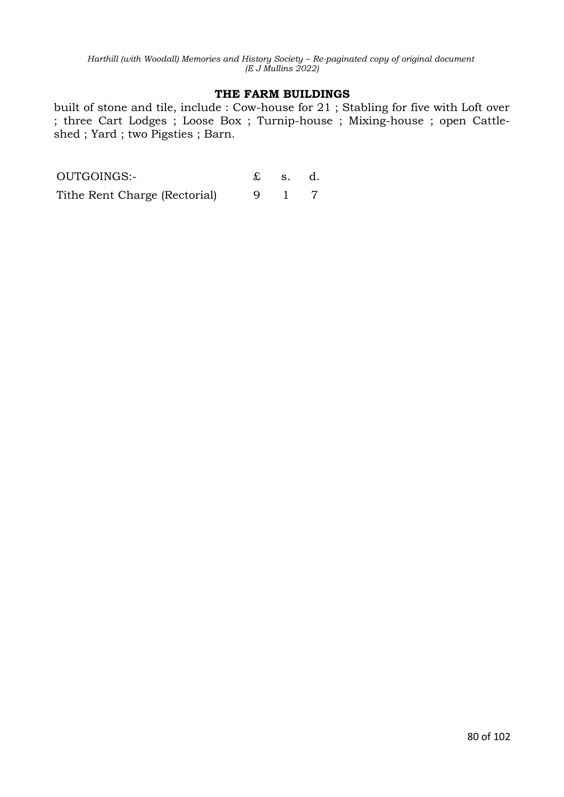#### **THE FARM BUILDINGS**

built of stone and tile, include : Cow-house for 21 ; Stabling for five with Loft over ; three Cart Lodges ; Loose Box ; Turnip-house ; Mixing-house ; open Cattleshed ; Yard ; two Pigsties ; Barn.

| OUTGOINGS:-                   | $\pounds$ s. d. |  |
|-------------------------------|-----------------|--|
| Tithe Rent Charge (Rectorial) |                 |  |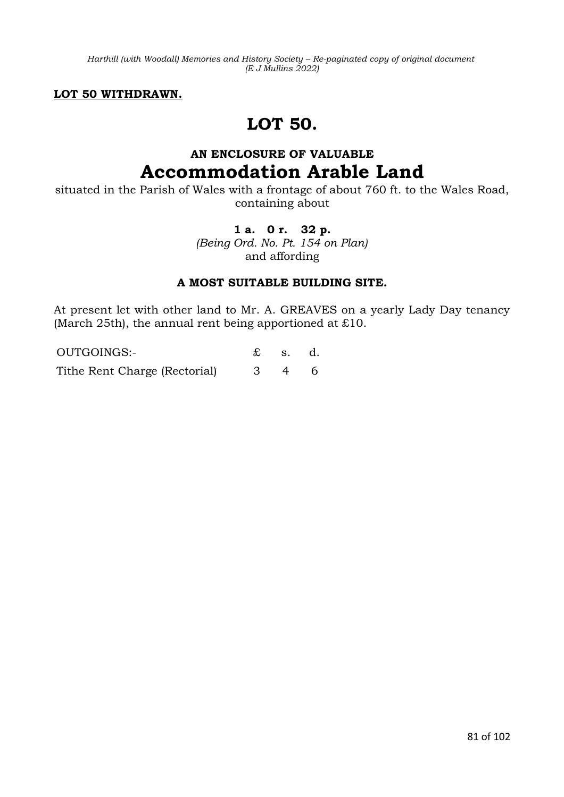**LOT 50 WITHDRAWN.**

## **LOT 50.**

## **AN ENCLOSURE OF VALUABLE Accommodation Arable Land**

situated in the Parish of Wales with a frontage of about 760 ft. to the Wales Road, containing about

## **1 a. 0 r. 32 p.**

*(Being Ord. No. Pt. 154 on Plan)* and affording

### **A MOST SUITABLE BUILDING SITE.**

At present let with other land to Mr. A. GREAVES on a yearly Lady Day tenancy (March 25th), the annual rent being apportioned at £10.

OUTGOINGS:- £ s. d. Tithe Rent Charge (Rectorial) 3 4 6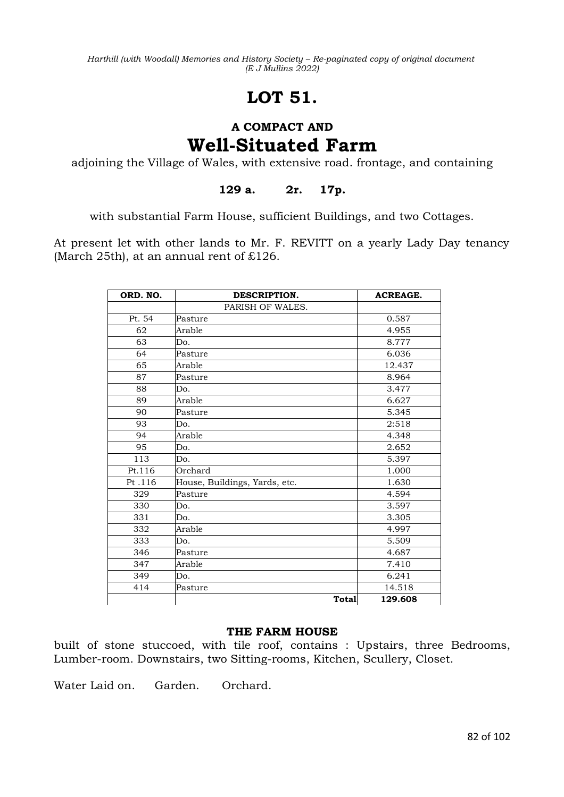# **LOT 51.**

## **A COMPACT AND Well-Situated Farm**

adjoining the Village of Wales, with extensive road. frontage, and containing

**129 a. 2r. 17p.**

with substantial Farm House, sufficient Buildings, and two Cottages.

At present let with other lands to Mr. F. REVITT on a yearly Lady Day tenancy (March 25th), at an annual rent of  $£126$ .

| ORD. NO. | DESCRIPTION.                  | <b>ACREAGE.</b> |
|----------|-------------------------------|-----------------|
|          | PARISH OF WALES.              |                 |
| Pt. 54   | Pasture                       | 0.587           |
| 62       | Arable                        | 4.955           |
| 63       | Do.                           | 8.777           |
| 64       | Pasture                       | 6.036           |
| 65       | Arable                        | 12.437          |
| 87       | Pasture                       | 8.964           |
| 88       | Do.                           | 3.477           |
| 89       | Arable                        | 6.627           |
| 90       | Pasture                       | 5.345           |
| 93       | Do.                           | 2:518           |
| 94       | Arable                        | 4.348           |
| 95       | Do.                           | 2.652           |
| 113      | Do.                           | 5.397           |
| Pt.116   | Orchard                       | 1.000           |
| Pt.116   | House, Buildings, Yards, etc. | 1.630           |
| 329      | Pasture                       | 4.594           |
| 330      | Do.                           | 3.597           |
| 331      | Do.                           | 3.305           |
| 332      | Arable                        | 4.997           |
| 333      | Do.                           | 5.509           |
| 346      | Pasture                       | 4.687           |
| 347      | Arable                        | 7.410           |
| 349      | Do.                           | 6.241           |
| 414      | Pasture                       | 14.518          |
|          | Total                         | 129.608         |

#### **THE FARM HOUSE**

built of stone stuccoed, with tile roof, contains : Upstairs, three Bedrooms, Lumber-room. Downstairs, two Sitting-rooms, Kitchen, Scullery, Closet.

Water Laid on. Garden. Orchard.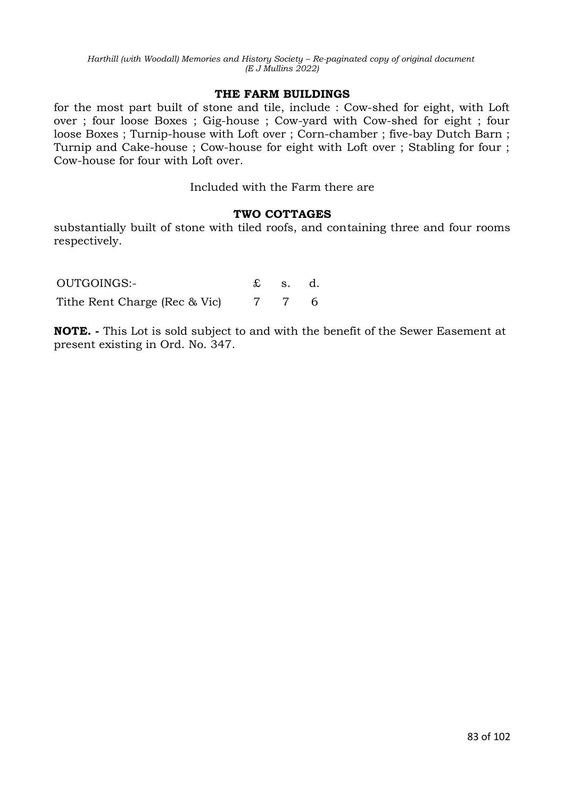#### **THE FARM BUILDINGS**

for the most part built of stone and tile, include : Cow-shed for eight, with Loft over ; four loose Boxes ; Gig-house ; Cow-yard with Cow-shed for eight ; four loose Boxes ; Turnip-house with Loft over ; Corn-chamber ; five-bay Dutch Barn ; Turnip and Cake-house ; Cow-house for eight with Loft over ; Stabling for four ; Cow-house for four with Loft over.

Included with the Farm there are

### **TWO COTTAGES**

substantially built of stone with tiled roofs, and containing three and four rooms respectively.

| OUTGOINGS:-                   | $\mathbf{\pounds}$ s. d. |  |
|-------------------------------|--------------------------|--|
| Tithe Rent Charge (Rec & Vic) | 7 7 6                    |  |

**NOTE. -** This Lot is sold subject to and with the benefit of the Sewer Easement at present existing in Ord. No. 347.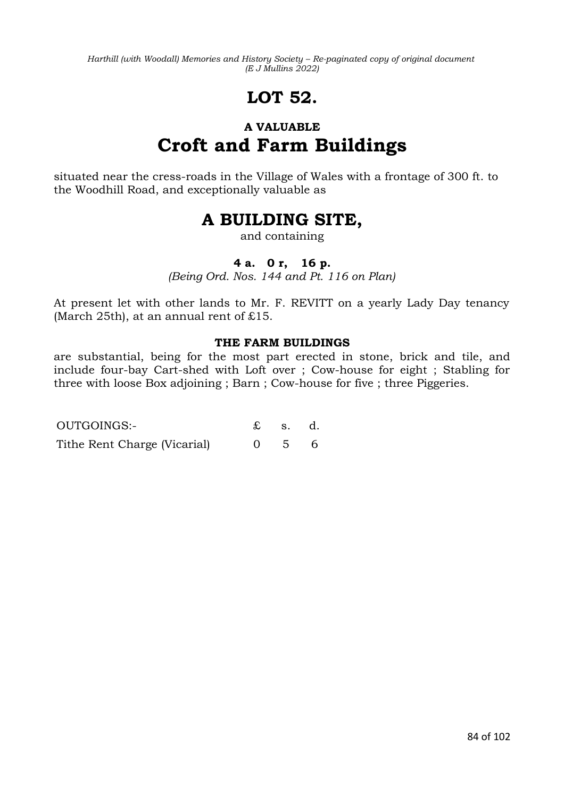# **LOT 52.**

# **A VALUABLE Croft and Farm Buildings**

situated near the cress-roads in the Village of Wales with a frontage of 300 ft. to the Woodhill Road, and exceptionally valuable as

## **A BUILDING SITE,**

and containing

## **4 a. 0 r, 16 p.**

*(Being Ord. Nos. 144 and Pt. 116 on Plan)*

At present let with other lands to Mr. F. REVITT on a yearly Lady Day tenancy (March 25th), at an annual rent of  $£15$ .

### **THE FARM BUILDINGS**

are substantial, being for the most part erected in stone, brick and tile, and include four-bay Cart-shed with Loft over ; Cow-house for eight ; Stabling for three with loose Box adjoining ; Barn ; Cow-house for five ; three Piggeries.

| OUTGOINGS:-                  | $\mathbf{\pounds}$ s. d. |  |
|------------------------------|--------------------------|--|
| Tithe Rent Charge (Vicarial) | $0 \quad 5 \quad 6$      |  |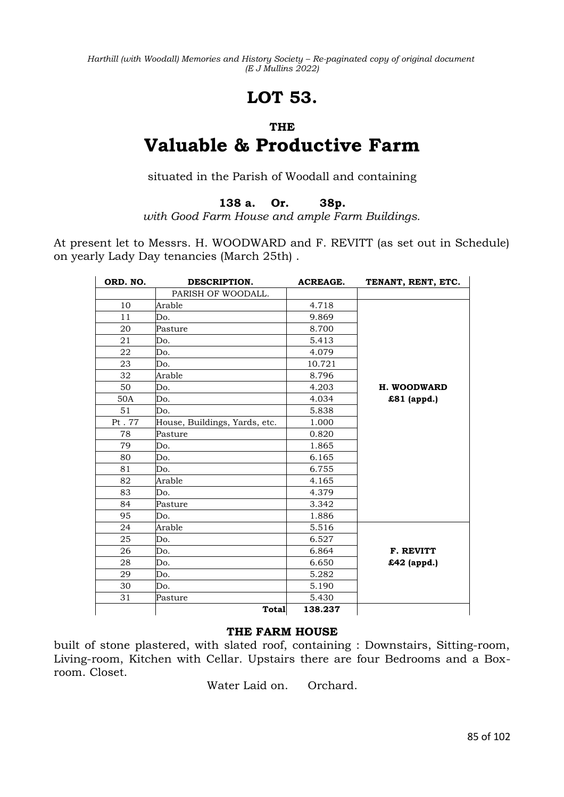# **LOT 53.**

#### **THE**

# **Valuable & Productive Farm**

situated in the Parish of Woodall and containing

**138 a. Or. 38p.**

*with Good Farm House and ample Farm Buildings.*

At present let to Messrs. H. WOODWARD and F. REVITT (as set out in Schedule) on yearly Lady Day tenancies (March 25th) .

| ORD. NO. | DESCRIPTION.                  | <b>ACREAGE.</b> | TENANT, RENT, ETC. |
|----------|-------------------------------|-----------------|--------------------|
|          | PARISH OF WOODALL.            |                 |                    |
| 10       | Arable                        | 4.718           |                    |
| 11       | Do.                           | 9.869           |                    |
| 20       | Pasture                       | 8.700           |                    |
| 21       | Do.                           | 5.413           |                    |
| 22       | Do.                           | 4.079           |                    |
| 23       | Do.                           | 10.721          |                    |
| 32       | Arable                        | 8.796           |                    |
| 50       | Do.                           | 4.203           | <b>H. WOODWARD</b> |
| 50A      | Do.                           | 4.034           | £81 (appd.)        |
| 51       | Do.                           | 5.838           |                    |
| Pt. 77   | House, Buildings, Yards, etc. | 1.000           |                    |
| 78       | Pasture                       | 0.820           |                    |
| 79       | Do.                           | 1.865           |                    |
| 80       | Do.                           | 6.165           |                    |
| 81       | Do.                           | 6.755           |                    |
| 82       | Arable                        | 4.165           |                    |
| 83       | Do.                           | 4.379           |                    |
| 84       | Pasture                       | 3.342           |                    |
| 95       | Do.                           | 1.886           |                    |
| 24       | Arable                        | 5.516           |                    |
| 25       | Do.                           | 6.527           |                    |
| 26       | Do.                           | 6.864           | F. REVITT          |
| 28       | Do.                           | 6.650           | £42 (appd.)        |
| 29       | Do.                           | 5.282           |                    |
| 30       | Do.                           | 5.190           |                    |
| 31       | Pasture                       | 5.430           |                    |
|          | <b>Total</b>                  | 138.237         |                    |

### **THE FARM HOUSE**

built of stone plastered, with slated roof, containing : Downstairs, Sitting-room, Living-room, Kitchen with Cellar. Upstairs there are four Bedrooms and a Boxroom. Closet.

Water Laid on. Orchard.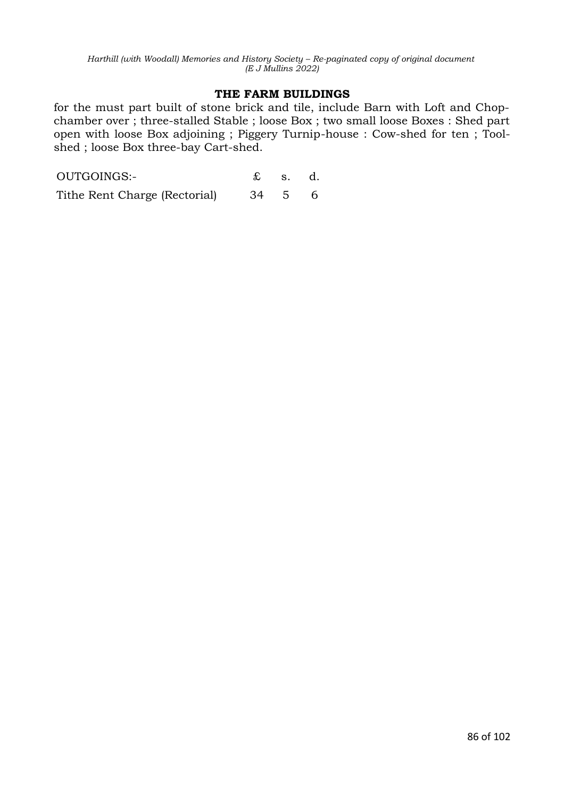#### **THE FARM BUILDINGS**

for the must part built of stone brick and tile, include Barn with Loft and Chopchamber over ; three-stalled Stable ; loose Box ; two small loose Boxes : Shed part open with loose Box adjoining ; Piggery Turnip-house : Cow-shed for ten ; Toolshed ; loose Box three-bay Cart-shed.

| OUTGOINGS:-                   |        | $\pounds$ s. d. |  |
|-------------------------------|--------|-----------------|--|
| Tithe Rent Charge (Rectorial) | 34 5 6 |                 |  |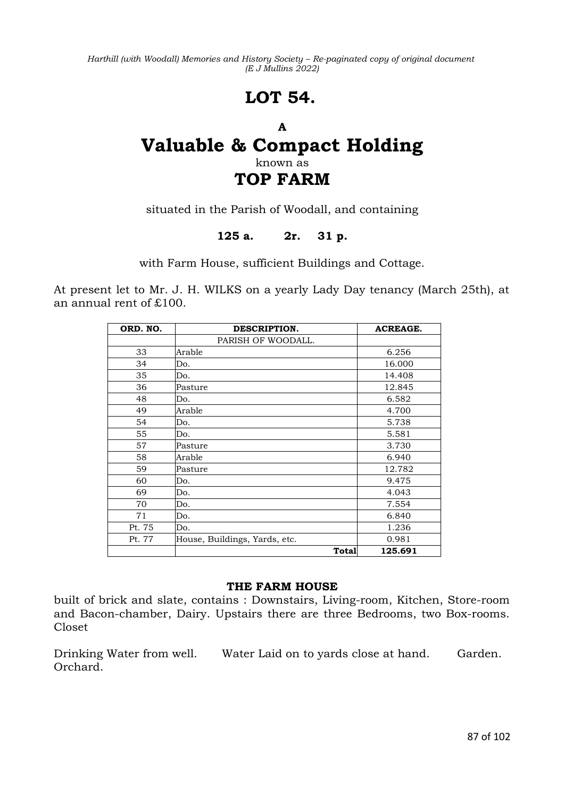# **LOT 54.**

## **A Valuable & Compact Holding** known as **TOP FARM**

situated in the Parish of Woodall, and containing

## **125 a. 2r. 31 p.**

with Farm House, sufficient Buildings and Cottage.

At present let to Mr. J. H. WILKS on a yearly Lady Day tenancy (March 25th), at an annual rent of £100.

| ORD. NO. | DESCRIPTION.                  | <b>ACREAGE.</b> |
|----------|-------------------------------|-----------------|
|          | PARISH OF WOODALL.            |                 |
| 33       | Arable                        | 6.256           |
| 34       | Do.                           | 16.000          |
| 35       | Do.                           | 14.408          |
| 36       | Pasture                       | 12.845          |
| 48       | Do.                           | 6.582           |
| 49       | Arable                        | 4.700           |
| 54       | Do.                           | 5.738           |
| 55       | Do.                           | 5.581           |
| 57       | Pasture                       | 3.730           |
| 58       | Arable                        | 6.940           |
| 59       | Pasture                       | 12.782          |
| 60       | Do.                           | 9.475           |
| 69       | Do.                           | 4.043           |
| 70       | Do.                           | 7.554           |
| 71       | Do.                           | 6.840           |
| Pt. 75   | Do.                           | 1.236           |
| Pt. 77   | House, Buildings, Yards, etc. | 0.981           |
|          | Total                         | 125.691         |

#### **THE FARM HOUSE**

built of brick and slate, contains : Downstairs, Living-room, Kitchen, Store-room and Bacon-chamber, Dairy. Upstairs there are three Bedrooms, two Box-rooms. Closet

Drinking Water from well. Water Laid on to yards close at hand. Garden. Orchard.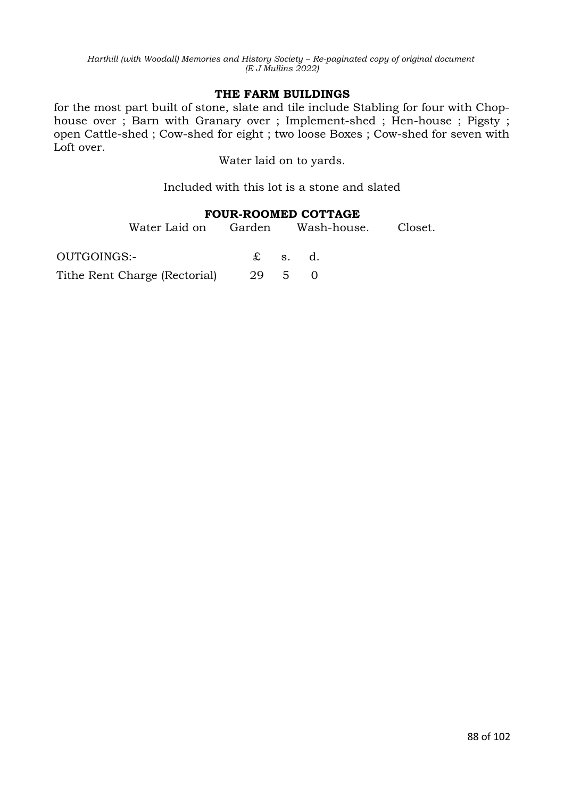#### **THE FARM BUILDINGS**

for the most part built of stone, slate and tile include Stabling for four with Chophouse over ; Barn with Granary over ; Implement-shed ; Hen-house ; Pigsty ; open Cattle-shed ; Cow-shed for eight ; two loose Boxes ; Cow-shed for seven with Loft over.

Water laid on to yards.

Included with this lot is a stone and slated

### **FOUR-ROOMED COTTAGE**

|             | Water Laid on Garden Wash-house. Closet. |  |                 |  |
|-------------|------------------------------------------|--|-----------------|--|
| OUTGOINGS:- |                                          |  | $\pounds$ s. d. |  |
|             | Tithe Rent Charge (Rectorial) 29 5 0     |  |                 |  |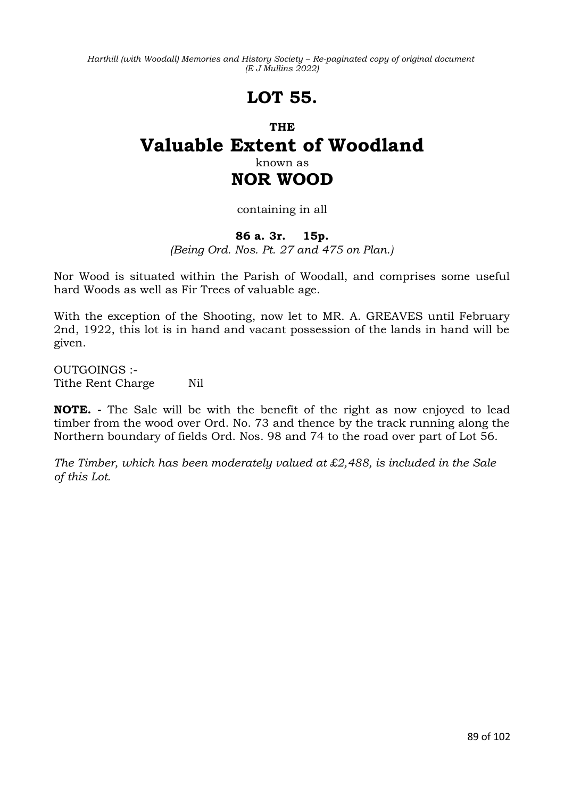# **LOT 55.**

## **THE Valuable Extent of Woodland** known as **NOR WOOD**

## containing in all

### **86 a. 3r. 15p.**

*(Being Ord. Nos. Pt. 27 and 475 on Plan.)*

Nor Wood is situated within the Parish of Woodall, and comprises some useful hard Woods as well as Fir Trees of valuable age.

With the exception of the Shooting, now let to MR. A. GREAVES until February 2nd, 1922, this lot is in hand and vacant possession of the lands in hand will be given.

OUTGOINGS :- Tithe Rent Charge Nil

**NOTE. -** The Sale will be with the benefit of the right as now enjoyed to lead timber from the wood over Ord. No. 73 and thence by the track running along the Northern boundary of fields Ord. Nos. 98 and 74 to the road over part of Lot 56.

*The Timber, which has been moderately valued at £2,488, is included in the Sale of this Lot.*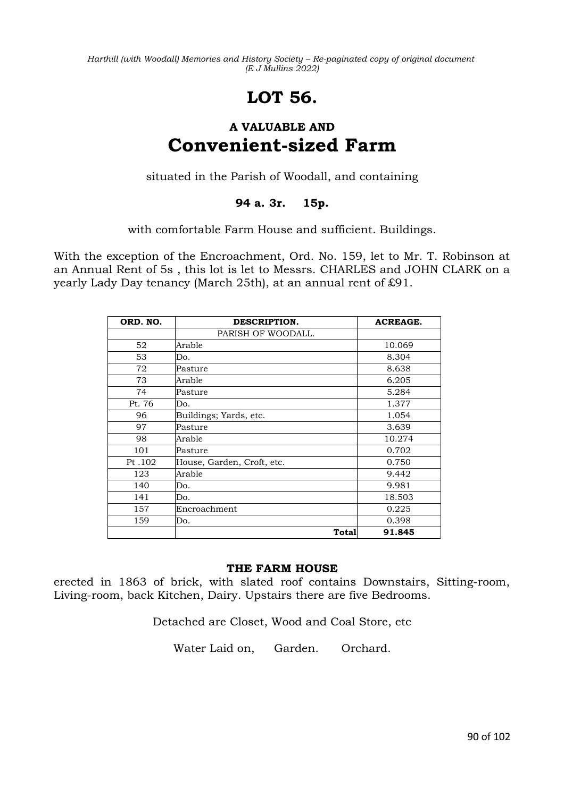# **LOT 56.**

## **A VALUABLE AND Convenient-sized Farm**

situated in the Parish of Woodall, and containing

## **94 a. 3r. 15p.**

with comfortable Farm House and sufficient. Buildings.

With the exception of the Encroachment, Ord. No. 159, let to Mr. T. Robinson at an Annual Rent of 5s , this lot is let to Messrs. CHARLES and JOHN CLARK on a yearly Lady Day tenancy (March 25th), at an annual rent of £91.

| ORD. NO. | DESCRIPTION.               | <b>ACREAGE.</b> |
|----------|----------------------------|-----------------|
|          | PARISH OF WOODALL.         |                 |
| 52       | Arable                     | 10.069          |
| 53       | Do.                        | 8.304           |
| 72       | Pasture                    | 8.638           |
| 73       | Arable                     | 6.205           |
| 74       | Pasture                    | 5.284           |
| Pt. 76   | Do.                        | 1.377           |
| 96       | Buildings; Yards, etc.     | 1.054           |
| 97       | Pasture                    | 3.639           |
| 98       | Arable                     | 10.274          |
| 101      | Pasture                    | 0.702           |
| Pt .102  | House, Garden, Croft, etc. | 0.750           |
| 123      | Arable                     | 9.442           |
| 140      | Do.                        | 9.981           |
| 141      | Do.                        | 18.503          |
| 157      | Encroachment               | 0.225           |
| 159      | Do.                        | 0.398           |
|          | Total                      | 91.845          |

### **THE FARM HOUSE**

erected in 1863 of brick, with slated roof contains Downstairs, Sitting-room, Living-room, back Kitchen, Dairy. Upstairs there are five Bedrooms.

Detached are Closet, Wood and Coal Store, etc

Water Laid on, Garden. Orchard.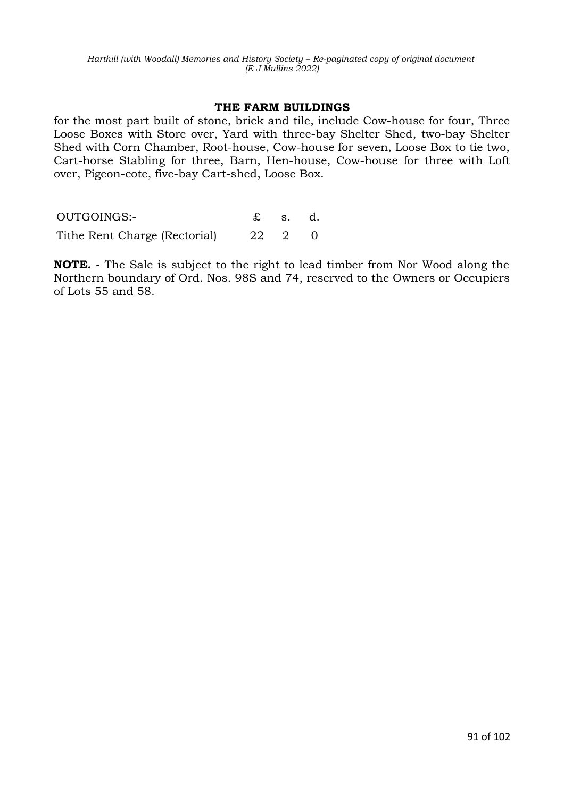#### **THE FARM BUILDINGS**

for the most part built of stone, brick and tile, include Cow-house for four, Three Loose Boxes with Store over, Yard with three-bay Shelter Shed, two-bay Shelter Shed with Corn Chamber, Root-house, Cow-house for seven, Loose Box to tie two, Cart-horse Stabling for three, Barn, Hen-house, Cow-house for three with Loft over, Pigeon-cote, five-bay Cart-shed, Loose Box.

| OUTGOINGS:-                   |        | $\mathbf{\pounds}$ s. d. |  |
|-------------------------------|--------|--------------------------|--|
| Tithe Rent Charge (Rectorial) | 22 2 0 |                          |  |

**NOTE. -** The Sale is subject to the right to lead timber from Nor Wood along the Northern boundary of Ord. Nos. 98S and 74, reserved to the Owners or Occupiers of Lots 55 and 58.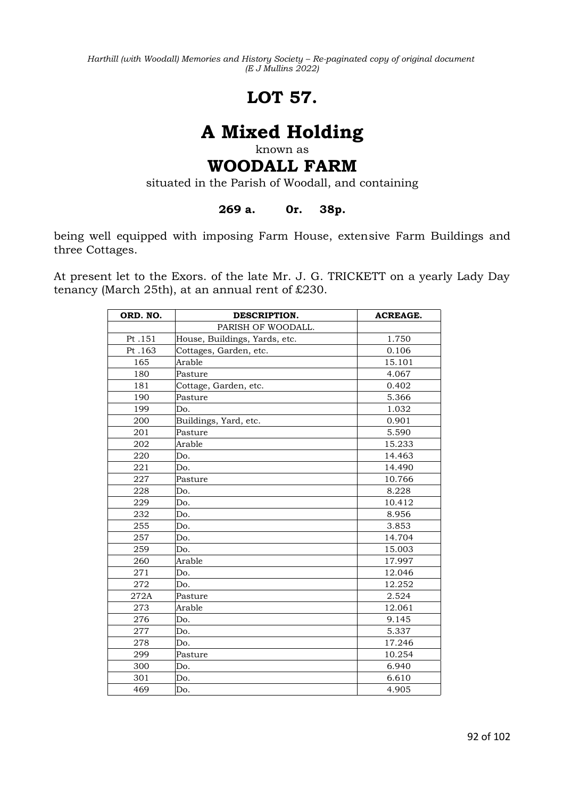# **LOT 57.**

# **A Mixed Holding**

known as

# **WOODALL FARM**

situated in the Parish of Woodall, and containing

### **269 a. 0r. 38p.**

being well equipped with imposing Farm House, extensive Farm Buildings and three Cottages.

At present let to the Exors. of the late Mr. J. G. TRICKETT on a yearly Lady Day tenancy (March 25th), at an annual rent of £230.

| ORD. NO. | DESCRIPTION.                  | <b>ACREAGE.</b> |
|----------|-------------------------------|-----------------|
|          | PARISH OF WOODALL.            |                 |
| Pt.151   | House, Buildings, Yards, etc. | 1.750           |
| Pt.163   | Cottages, Garden, etc.        | 0.106           |
| 165      | Arable                        | 15.101          |
| 180      | Pasture                       | 4.067           |
| 181      | Cottage, Garden, etc.         | 0.402           |
| 190      | Pasture                       | 5.366           |
| 199      | Do.                           | 1.032           |
| 200      | Buildings, Yard, etc.         | 0.901           |
| 201      | Pasture                       | 5.590           |
| 202      | Arable                        | 15.233          |
| 220      | Do.                           | 14.463          |
| 221      | Do.                           | 14.490          |
| 227      | Pasture                       | 10.766          |
| 228      | Do.                           | 8.228           |
| 229      | Do.                           | 10.412          |
| 232      | Do.                           | 8.956           |
| 255      | Do.                           | 3.853           |
| 257      | Do.                           | 14.704          |
| 259      | Do.                           | 15.003          |
| 260      | Arable                        | 17.997          |
| 271      | Do.                           | 12.046          |
| 272      | Do.                           | 12.252          |
| 272A     | Pasture                       | 2.524           |
| 273      | Arable                        | 12.061          |
| 276      | Do.                           | 9.145           |
| 277      | Do.                           | 5.337           |
| 278      | Do.                           | 17.246          |
| 299      | Pasture                       | 10.254          |
| 300      | Do.                           | 6.940           |
| 301      | Do.                           | 6.610           |
| 469      | Do.                           | 4.905           |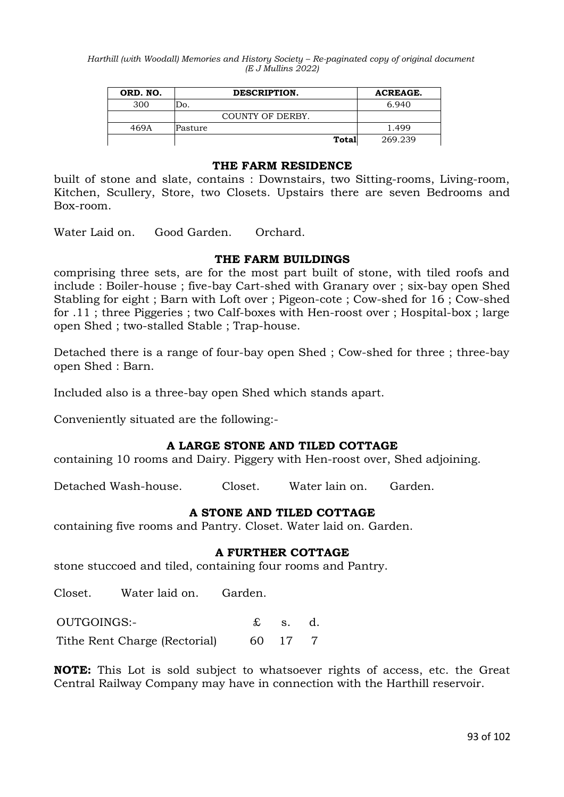| ORD. NO. | DESCRIPTION.     | ACREAGE. |
|----------|------------------|----------|
| 300      | Jo.              | 6.940    |
|          | COUNTY OF DERBY. |          |
| 469A     | Pasture          | 1.499    |
|          | Total            | 269.239  |

#### **THE FARM RESIDENCE**

built of stone and slate, contains : Downstairs, two Sitting-rooms, Living-room, Kitchen, Scullery, Store, two Closets. Upstairs there are seven Bedrooms and Box-room.

Water Laid on. Good Garden. Orchard.

#### **THE FARM BUILDINGS**

comprising three sets, are for the most part built of stone, with tiled roofs and include : Boiler-house ; five-bay Cart-shed with Granary over ; six-bay open Shed Stabling for eight ; Barn with Loft over ; Pigeon-cote ; Cow-shed for 16 ; Cow-shed for .11 ; three Piggeries ; two Calf-boxes with Hen-roost over ; Hospital-box ; large open Shed ; two-stalled Stable ; Trap-house.

Detached there is a range of four-bay open Shed ; Cow-shed for three ; three-bay open Shed : Barn.

Included also is a three-bay open Shed which stands apart.

Conveniently situated are the following:-

#### **A LARGE STONE AND TILED COTTAGE**

containing 10 rooms and Dairy. Piggery with Hen-roost over, Shed adjoining.

Detached Wash-house. Closet. Water lain on. Garden.

#### **A STONE AND TILED COTTAGE**

containing five rooms and Pantry. Closet. Water laid on. Garden.

#### **A FURTHER COTTAGE**

stone stuccoed and tiled, containing four rooms and Pantry.

Closet. Water laid on. Garden.

OUTGOINGS:- £ s. d.

Tithe Rent Charge (Rectorial) 60 17 7

**NOTE:** This Lot is sold subject to whatsoever rights of access, etc. the Great Central Railway Company may have in connection with the Harthill reservoir.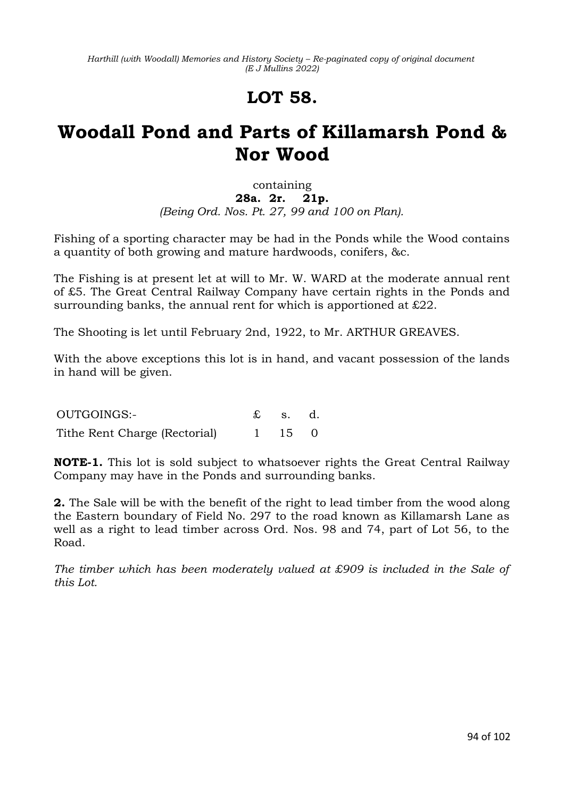# **LOT 58.**

# **Woodall Pond and Parts of Killamarsh Pond & Nor Wood**

## containing **28a. 2r. 21p.** *(Being Ord. Nos. Pt. 27, 99 and 100 on Plan).*

Fishing of a sporting character may be had in the Ponds while the Wood contains a quantity of both growing and mature hardwoods, conifers, &c.

The Fishing is at present let at will to Mr. W. WARD at the moderate annual rent of £5. The Great Central Railway Company have certain rights in the Ponds and surrounding banks, the annual rent for which is apportioned at £22.

The Shooting is let until February 2nd, 1922, to Mr. ARTHUR GREAVES.

With the above exceptions this lot is in hand, and vacant possession of the lands in hand will be given.

| OUTGOINGS:-                   | $\mathfrak{L}$ s. d. |  |
|-------------------------------|----------------------|--|
| Tithe Rent Charge (Rectorial) | $1 \t15 \t0$         |  |

**NOTE-1.** This lot is sold subject to whatsoever rights the Great Central Railway Company may have in the Ponds and surrounding banks.

**2.** The Sale will be with the benefit of the right to lead timber from the wood along the Eastern boundary of Field No. 297 to the road known as Killamarsh Lane as well as a right to lead timber across Ord. Nos. 98 and 74, part of Lot 56, to the Road.

*The timber which has been moderately valued at £909 is included in the Sale of this Lot.*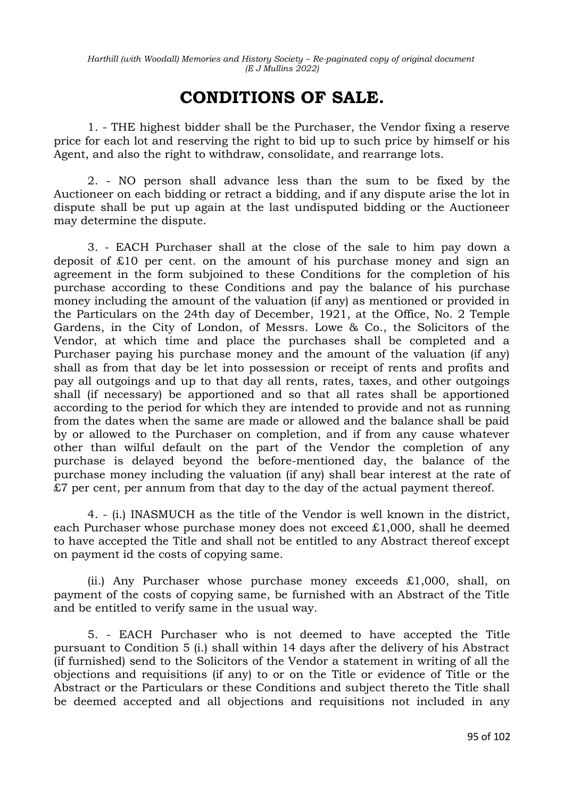## **CONDITIONS OF SALE.**

1. - THE highest bidder shall be the Purchaser, the Vendor fixing a reserve price for each lot and reserving the right to bid up to such price by himself or his Agent, and also the right to withdraw, consolidate, and rearrange lots.

2. - NO person shall advance less than the sum to be fixed by the Auctioneer on each bidding or retract a bidding, and if any dispute arise the lot in dispute shall be put up again at the last undisputed bidding or the Auctioneer may determine the dispute.

3. - EACH Purchaser shall at the close of the sale to him pay down a deposit of £10 per cent. on the amount of his purchase money and sign an agreement in the form subjoined to these Conditions for the completion of his purchase according to these Conditions and pay the balance of his purchase money including the amount of the valuation (if any) as mentioned or provided in the Particulars on the 24th day of December, 1921, at the Office, No. 2 Temple Gardens, in the City of London, of Messrs. Lowe & Co., the Solicitors of the Vendor, at which time and place the purchases shall be completed and a Purchaser paying his purchase money and the amount of the valuation (if any) shall as from that day be let into possession or receipt of rents and profits and pay all outgoings and up to that day all rents, rates, taxes, and other outgoings shall (if necessary) be apportioned and so that all rates shall be apportioned according to the period for which they are intended to provide and not as running from the dates when the same are made or allowed and the balance shall be paid by or allowed to the Purchaser on completion, and if from any cause whatever other than wilful default on the part of the Vendor the completion of any purchase is delayed beyond the before-mentioned day, the balance of the purchase money including the valuation (if any) shall bear interest at the rate of £7 per cent, per annum from that day to the day of the actual payment thereof.

4. - (i.) INASMUCH as the title of the Vendor is well known in the district, each Purchaser whose purchase money does not exceed £1,000, shall he deemed to have accepted the Title and shall not be entitled to any Abstract thereof except on payment id the costs of copying same.

(ii.) Any Purchaser whose purchase money exceeds  $£1,000$ , shall, on payment of the costs of copying same, be furnished with an Abstract of the Title and be entitled to verify same in the usual way.

5. - EACH Purchaser who is not deemed to have accepted the Title pursuant to Condition 5 (i.) shall within 14 days after the delivery of his Abstract (if furnished) send to the Solicitors of the Vendor a statement in writing of all the objections and requisitions (if any) to or on the Title or evidence of Title or the Abstract or the Particulars or these Conditions and subject thereto the Title shall be deemed accepted and all objections and requisitions not included in any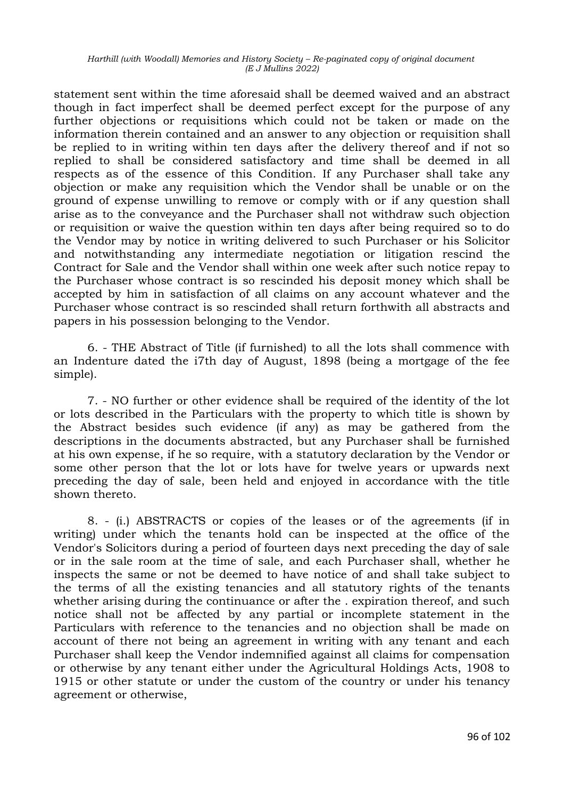statement sent within the time aforesaid shall be deemed waived and an abstract though in fact imperfect shall be deemed perfect except for the purpose of any further objections or requisitions which could not be taken or made on the information therein contained and an answer to any objection or requisition shall be replied to in writing within ten days after the delivery thereof and if not so replied to shall be considered satisfactory and time shall be deemed in all respects as of the essence of this Condition. If any Purchaser shall take any objection or make any requisition which the Vendor shall be unable or on the ground of expense unwilling to remove or comply with or if any question shall arise as to the conveyance and the Purchaser shall not withdraw such objection or requisition or waive the question within ten days after being required so to do the Vendor may by notice in writing delivered to such Purchaser or his Solicitor and notwithstanding any intermediate negotiation or litigation rescind the Contract for Sale and the Vendor shall within one week after such notice repay to the Purchaser whose contract is so rescinded his deposit money which shall be accepted by him in satisfaction of all claims on any account whatever and the Purchaser whose contract is so rescinded shall return forthwith all abstracts and papers in his possession belonging to the Vendor.

6. - THE Abstract of Title (if furnished) to all the lots shall commence with an Indenture dated the i7th day of August, 1898 (being a mortgage of the fee simple).

7. - NO further or other evidence shall be required of the identity of the lot or lots described in the Particulars with the property to which title is shown by the Abstract besides such evidence (if any) as may be gathered from the descriptions in the documents abstracted, but any Purchaser shall be furnished at his own expense, if he so require, with a statutory declaration by the Vendor or some other person that the lot or lots have for twelve years or upwards next preceding the day of sale, been held and enjoyed in accordance with the title shown thereto.

8. - (i.) ABSTRACTS or copies of the leases or of the agreements (if in writing) under which the tenants hold can be inspected at the office of the Vendor's Solicitors during a period of fourteen days next preceding the day of sale or in the sale room at the time of sale, and each Purchaser shall, whether he inspects the same or not be deemed to have notice of and shall take subject to the terms of all the existing tenancies and all statutory rights of the tenants whether arising during the continuance or after the . expiration thereof, and such notice shall not be affected by any partial or incomplete statement in the Particulars with reference to the tenancies and no objection shall be made on account of there not being an agreement in writing with any tenant and each Purchaser shall keep the Vendor indemnified against all claims for compensation or otherwise by any tenant either under the Agricultural Holdings Acts, 1908 to 1915 or other statute or under the custom of the country or under his tenancy agreement or otherwise,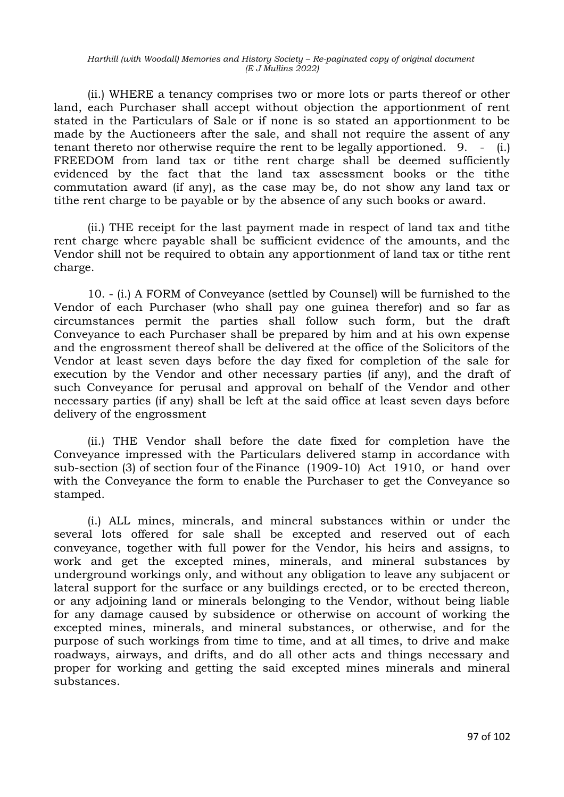(ii.) WHERE a tenancy comprises two or more lots or parts thereof or other land, each Purchaser shall accept without objection the apportionment of rent stated in the Particulars of Sale or if none is so stated an apportionment to be made by the Auctioneers after the sale, and shall not require the assent of any tenant thereto nor otherwise require the rent to be legally apportioned. 9. - (i.) FREEDOM from land tax or tithe rent charge shall be deemed sufficiently evidenced by the fact that the land tax assessment books or the tithe commutation award (if any), as the case may be, do not show any land tax or tithe rent charge to be payable or by the absence of any such books or award.

(ii.) THE receipt for the last payment made in respect of land tax and tithe rent charge where payable shall be sufficient evidence of the amounts, and the Vendor shill not be required to obtain any apportionment of land tax or tithe rent charge.

10. - (i.) A FORM of Conveyance (settled by Counsel) will be furnished to the Vendor of each Purchaser (who shall pay one guinea therefor) and so far as circumstances permit the parties shall follow such form, but the draft Conveyance to each Purchaser shall be prepared by him and at his own expense and the engrossment thereof shall be delivered at the office of the Solicitors of the Vendor at least seven days before the day fixed for completion of the sale for execution by the Vendor and other necessary parties (if any), and the draft of such Conveyance for perusal and approval on behalf of the Vendor and other necessary parties (if any) shall be left at the said office at least seven days before delivery of the engrossment

(ii.) THE Vendor shall before the date fixed for completion have the Conveyance impressed with the Particulars delivered stamp in accordance with sub-section (3) of section four of theFinance (1909-10) Act 1910, or hand over with the Conveyance the form to enable the Purchaser to get the Conveyance so stamped.

(i.) ALL mines, minerals, and mineral substances within or under the several lots offered for sale shall be excepted and reserved out of each conveyance, together with full power for the Vendor, his heirs and assigns, to work and get the excepted mines, minerals, and mineral substances by underground workings only, and without any obligation to leave any subjacent or lateral support for the surface or any buildings erected, or to be erected thereon, or any adjoining land or minerals belonging to the Vendor, without being liable for any damage caused by subsidence or otherwise on account of working the excepted mines, minerals, and mineral substances, or otherwise, and for the purpose of such workings from time to time, and at all times, to drive and make roadways, airways, and drifts, and do all other acts and things necessary and proper for working and getting the said excepted mines minerals and mineral substances.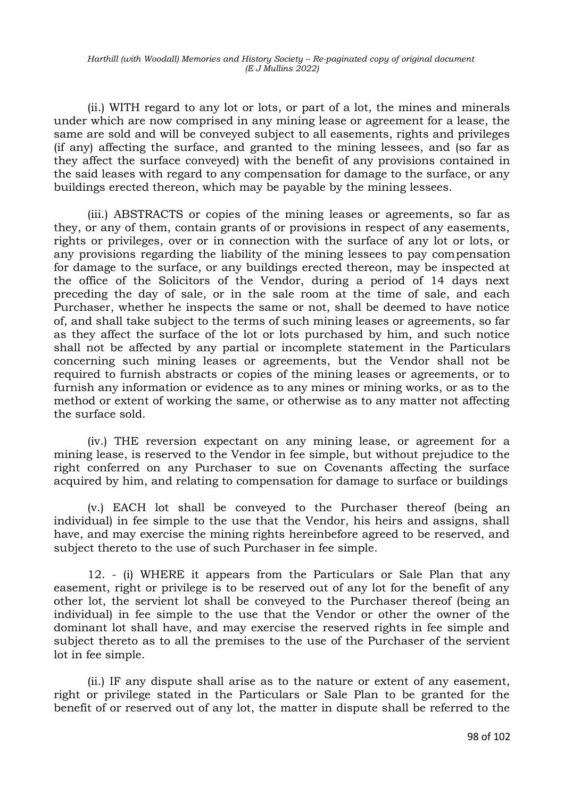(ii.) WITH regard to any lot or lots, or part of a lot, the mines and minerals under which are now comprised in any mining lease or agreement for a lease, the same are sold and will be conveyed subject to all easements, rights and privileges (if any) affecting the surface, and granted to the mining lessees, and (so far as they affect the surface conveyed) with the benefit of any provisions contained in the said leases with regard to any compensation for damage to the surface, or any buildings erected thereon, which may be payable by the mining lessees.

(iii.) ABSTRACTS or copies of the mining leases or agreements, so far as they, or any of them, contain grants of or provisions in respect of any easements, rights or privileges, over or in connection with the surface of any lot or lots, or any provisions regarding the liability of the mining lessees to pay compensation for damage to the surface, or any buildings erected thereon, may be inspected at the office of the Solicitors of the Vendor, during a period of 14 days next preceding the day of sale, or in the sale room at the time of sale, and each Purchaser, whether he inspects the same or not, shall be deemed to have notice of, and shall take subject to the terms of such mining leases or agreements, so far as they affect the surface of the lot or lots purchased by him, and such notice shall not be affected by any partial or incomplete statement in the Particulars concerning such mining leases or agreements, but the Vendor shall not be required to furnish abstracts or copies of the mining leases or agreements, or to furnish any information or evidence as to any mines or mining works, or as to the method or extent of working the same, or otherwise as to any matter not affecting the surface sold.

(iv.) THE reversion expectant on any mining lease, or agreement for a mining lease, is reserved to the Vendor in fee simple, but without prejudice to the right conferred on any Purchaser to sue on Covenants affecting the surface acquired by him, and relating to compensation for damage to surface or buildings

(v.) EACH lot shall be conveyed to the Purchaser thereof (being an individual) in fee simple to the use that the Vendor, his heirs and assigns, shall have, and may exercise the mining rights hereinbefore agreed to be reserved, and subject thereto to the use of such Purchaser in fee simple.

12. - (i) WHERE it appears from the Particulars or Sale Plan that any easement, right or privilege is to be reserved out of any lot for the benefit of any other lot, the servient lot shall be conveyed to the Purchaser thereof (being an individual) in fee simple to the use that the Vendor or other the owner of the dominant lot shall have, and may exercise the reserved rights in fee simple and subject thereto as to all the premises to the use of the Purchaser of the servient lot in fee simple.

(ii.) IF any dispute shall arise as to the nature or extent of any easement, right or privilege stated in the Particulars or Sale Plan to be granted for the benefit of or reserved out of any lot, the matter in dispute shall be referred to the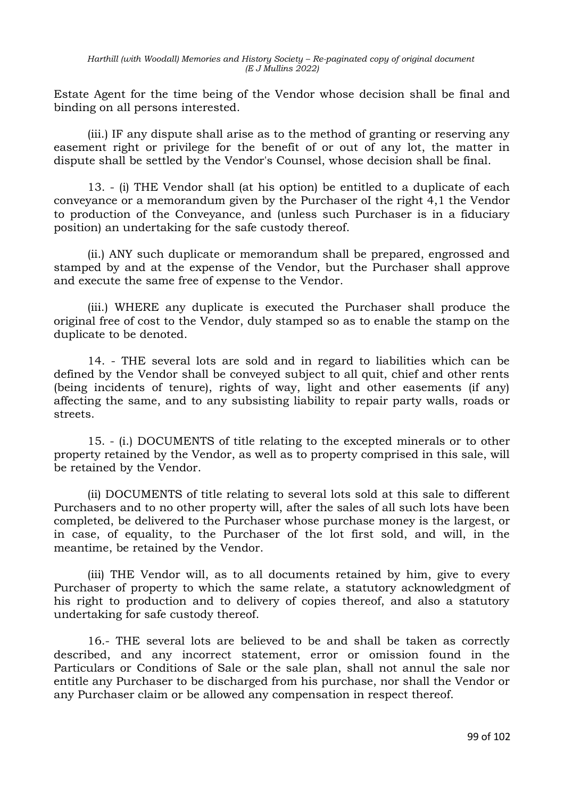Estate Agent for the time being of the Vendor whose decision shall be final and binding on all persons interested.

(iii.) IF any dispute shall arise as to the method of granting or reserving any easement right or privilege for the benefit of or out of any lot, the matter in dispute shall be settled by the Vendor's Counsel, whose decision shall be final.

13. - (i) THE Vendor shall (at his option) be entitled to a duplicate of each conveyance or a memorandum given by the Purchaser oI the right 4,1 the Vendor to production of the Conveyance, and (unless such Purchaser is in a fiduciary position) an undertaking for the safe custody thereof.

(ii.) ANY such duplicate or memorandum shall be prepared, engrossed and stamped by and at the expense of the Vendor, but the Purchaser shall approve and execute the same free of expense to the Vendor.

(iii.) WHERE any duplicate is executed the Purchaser shall produce the original free of cost to the Vendor, duly stamped so as to enable the stamp on the duplicate to be denoted.

14. - THE several lots are sold and in regard to liabilities which can be defined by the Vendor shall be conveyed subject to all quit, chief and other rents (being incidents of tenure), rights of way, light and other easements (if any) affecting the same, and to any subsisting liability to repair party walls, roads or streets.

15. - (i.) DOCUMENTS of title relating to the excepted minerals or to other property retained by the Vendor, as well as to property comprised in this sale, will be retained by the Vendor.

(ii) DOCUMENTS of title relating to several lots sold at this sale to different Purchasers and to no other property will, after the sales of all such lots have been completed, be delivered to the Purchaser whose purchase money is the largest, or in case, of equality, to the Purchaser of the lot first sold, and will, in the meantime, be retained by the Vendor.

(iii) THE Vendor will, as to all documents retained by him, give to every Purchaser of property to which the same relate, a statutory acknowledgment of his right to production and to delivery of copies thereof, and also a statutory undertaking for safe custody thereof.

16.- THE several lots are believed to be and shall be taken as correctly described, and any incorrect statement, error or omission found in the Particulars or Conditions of Sale or the sale plan, shall not annul the sale nor entitle any Purchaser to be discharged from his purchase, nor shall the Vendor or any Purchaser claim or be allowed any compensation in respect thereof.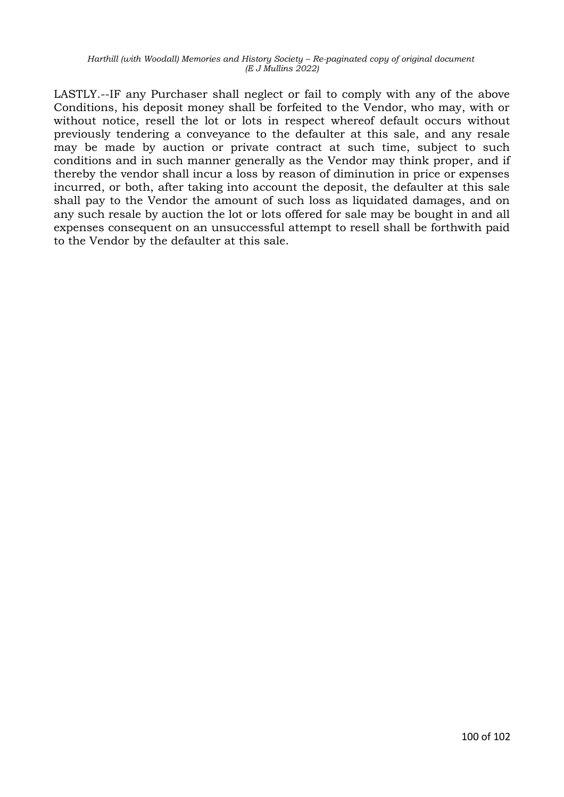LASTLY.--IF any Purchaser shall neglect or fail to comply with any of the above Conditions, his deposit money shall be forfeited to the Vendor, who may, with or without notice, resell the lot or lots in respect whereof default occurs without previously tendering a conveyance to the defaulter at this sale, and any resale may be made by auction or private contract at such time, subject to such conditions and in such manner generally as the Vendor may think proper, and if thereby the vendor shall incur a loss by reason of diminution in price or expenses incurred, or both, after taking into account the deposit, the defaulter at this sale shall pay to the Vendor the amount of such loss as liquidated damages, and on any such resale by auction the lot or lots offered for sale may be bought in and all expenses consequent on an unsuccessful attempt to resell shall be forthwith paid to the Vendor by the defaulter at this sale.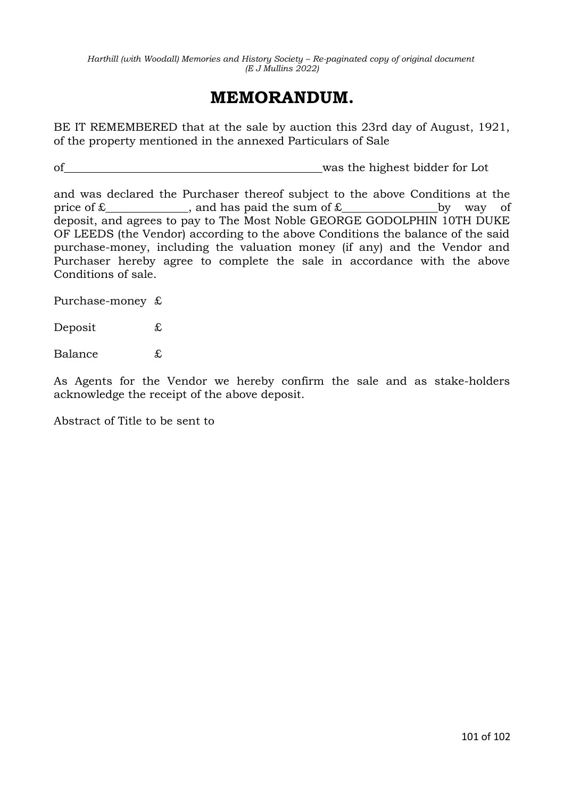# **MEMORANDUM.**

BE IT REMEMBERED that at the sale by auction this 23rd day of August, 1921, of the property mentioned in the annexed Particulars of Sale

of was the highest bidder for Lot

and was declared the Purchaser thereof subject to the above Conditions at the price of  $£$  , and has paid the sum of  $£$  by way of deposit, and agrees to pay to The Most Noble GEORGE GODOLPHIN 10TH DUKE OF LEEDS (the Vendor) according to the above Conditions the balance of the said purchase-money, including the valuation money (if any) and the Vendor and Purchaser hereby agree to complete the sale in accordance with the above Conditions of sale.

Purchase-money £

Deposit £

Balance £

As Agents for the Vendor we hereby confirm the sale and as stake-holders acknowledge the receipt of the above deposit.

Abstract of Title to be sent to